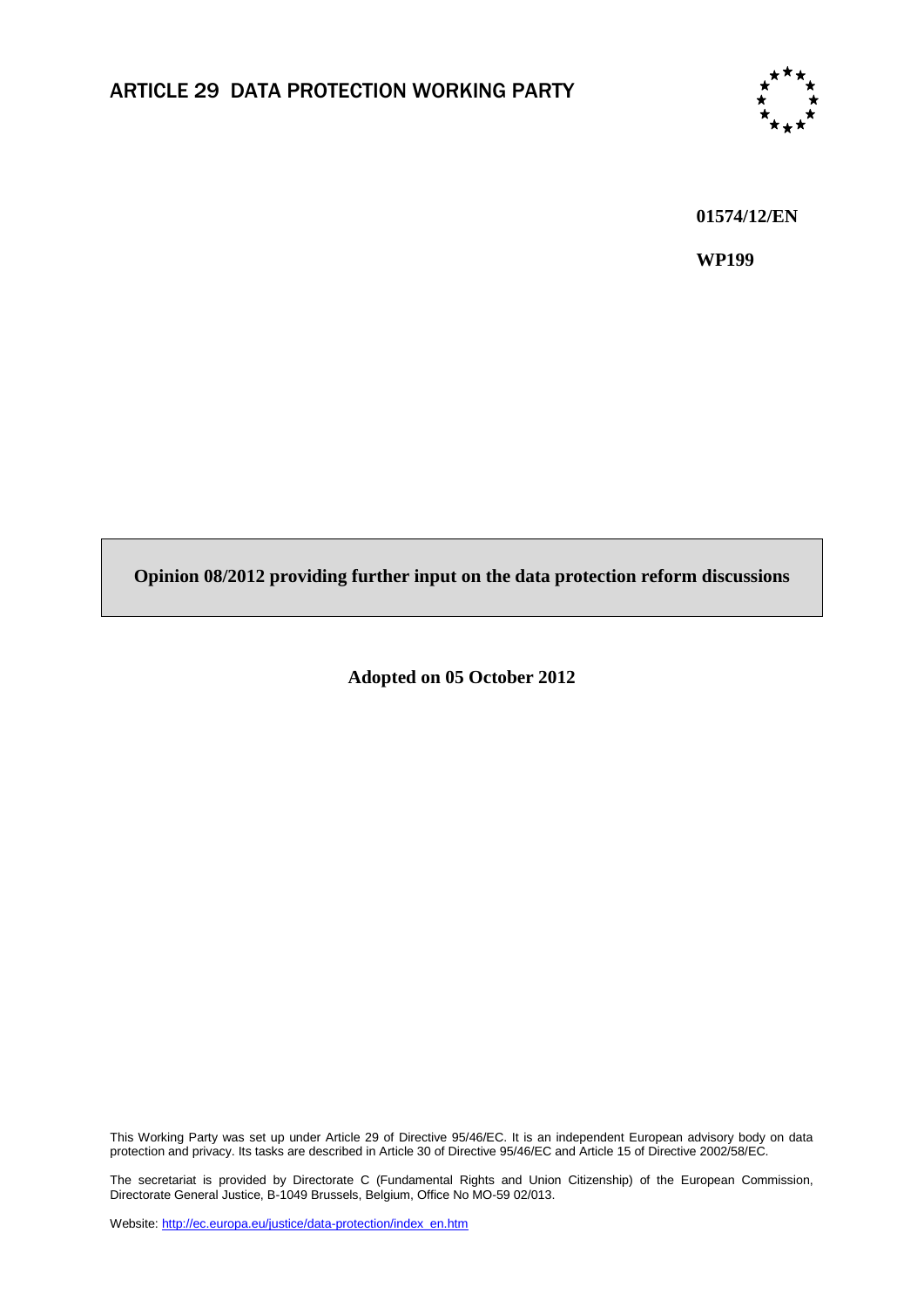

**01574/12/EN**

**WP199**

**Opinion 08/2012 providing further input on the data protection reform discussions**

**Adopted on 05 October 2012**

This Working Party was set up under Article 29 of Directive 95/46/EC. It is an independent European advisory body on data protection and privacy. Its tasks are described in Article 30 of Directive 95/46/EC and Article 15 of Directive 2002/58/EC.

The secretariat is provided by Directorate C (Fundamental Rights and Union Citizenship) of the European Commission, Directorate General Justice, B-1049 Brussels, Belgium, Office No MO-59 02/013.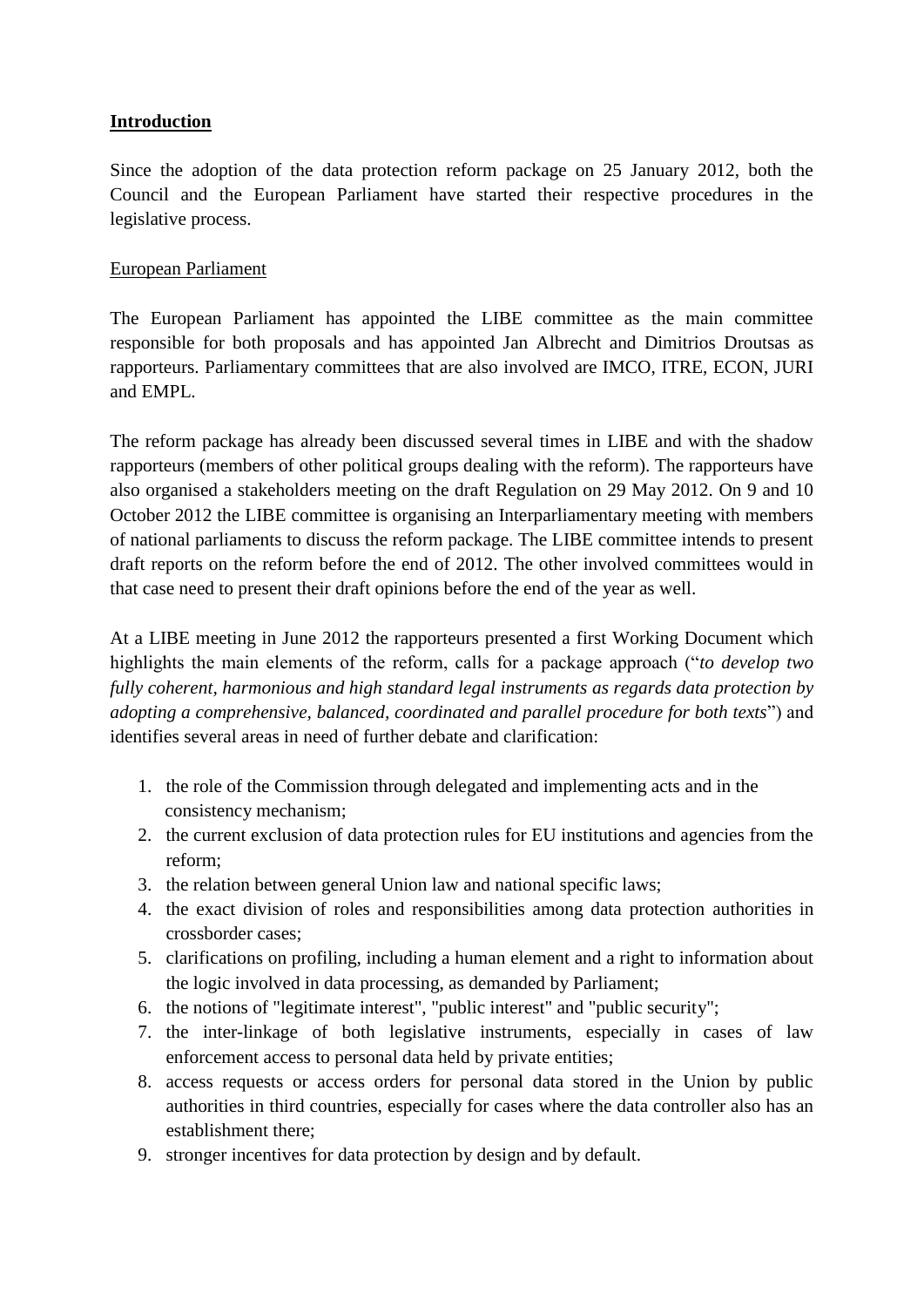### **Introduction**

Since the adoption of the data protection reform package on 25 January 2012, both the Council and the European Parliament have started their respective procedures in the legislative process.

### European Parliament

The European Parliament has appointed the LIBE committee as the main committee responsible for both proposals and has appointed Jan Albrecht and Dimitrios Droutsas as rapporteurs. Parliamentary committees that are also involved are IMCO, ITRE, ECON, JURI and EMPL.

The reform package has already been discussed several times in LIBE and with the shadow rapporteurs (members of other political groups dealing with the reform). The rapporteurs have also organised a stakeholders meeting on the draft Regulation on 29 May 2012. On 9 and 10 October 2012 the LIBE committee is organising an Interparliamentary meeting with members of national parliaments to discuss the reform package. The LIBE committee intends to present draft reports on the reform before the end of 2012. The other involved committees would in that case need to present their draft opinions before the end of the year as well.

At a LIBE meeting in June 2012 the rapporteurs presented a first Working Document which highlights the main elements of the reform, calls for a package approach ("*to develop two fully coherent, harmonious and high standard legal instruments as regards data protection by adopting a comprehensive, balanced, coordinated and parallel procedure for both texts*") and identifies several areas in need of further debate and clarification:

- 1. the role of the Commission through delegated and implementing acts and in the consistency mechanism;
- 2. the current exclusion of data protection rules for EU institutions and agencies from the reform;
- 3. the relation between general Union law and national specific laws;
- 4. the exact division of roles and responsibilities among data protection authorities in crossborder cases;
- 5. clarifications on profiling, including a human element and a right to information about the logic involved in data processing, as demanded by Parliament;
- 6. the notions of "legitimate interest", "public interest" and "public security";
- 7. the inter-linkage of both legislative instruments, especially in cases of law enforcement access to personal data held by private entities;
- 8. access requests or access orders for personal data stored in the Union by public authorities in third countries, especially for cases where the data controller also has an establishment there;
- 9. stronger incentives for data protection by design and by default.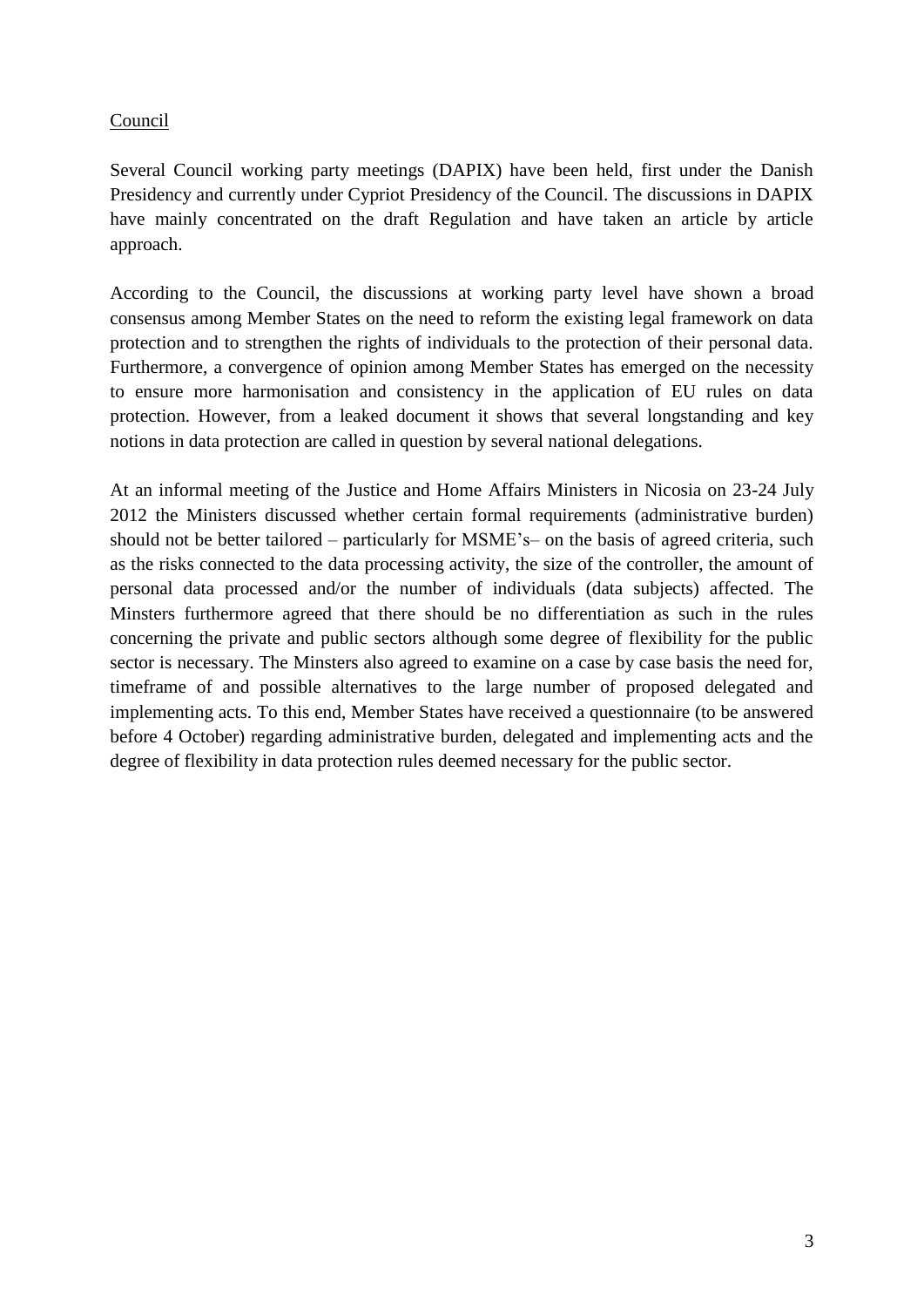### Council

Several Council working party meetings (DAPIX) have been held, first under the Danish Presidency and currently under Cypriot Presidency of the Council. The discussions in DAPIX have mainly concentrated on the draft Regulation and have taken an article by article approach.

According to the Council, the discussions at working party level have shown a broad consensus among Member States on the need to reform the existing legal framework on data protection and to strengthen the rights of individuals to the protection of their personal data. Furthermore, a convergence of opinion among Member States has emerged on the necessity to ensure more harmonisation and consistency in the application of EU rules on data protection. However, from a leaked document it shows that several longstanding and key notions in data protection are called in question by several national delegations.

At an informal meeting of the Justice and Home Affairs Ministers in Nicosia on 23-24 July 2012 the Ministers discussed whether certain formal requirements (administrative burden) should not be better tailored – particularly for MSME's– on the basis of agreed criteria, such as the risks connected to the data processing activity, the size of the controller, the amount of personal data processed and/or the number of individuals (data subjects) affected. The Minsters furthermore agreed that there should be no differentiation as such in the rules concerning the private and public sectors although some degree of flexibility for the public sector is necessary. The Minsters also agreed to examine on a case by case basis the need for, timeframe of and possible alternatives to the large number of proposed delegated and implementing acts. To this end, Member States have received a questionnaire (to be answered before 4 October) regarding administrative burden, delegated and implementing acts and the degree of flexibility in data protection rules deemed necessary for the public sector.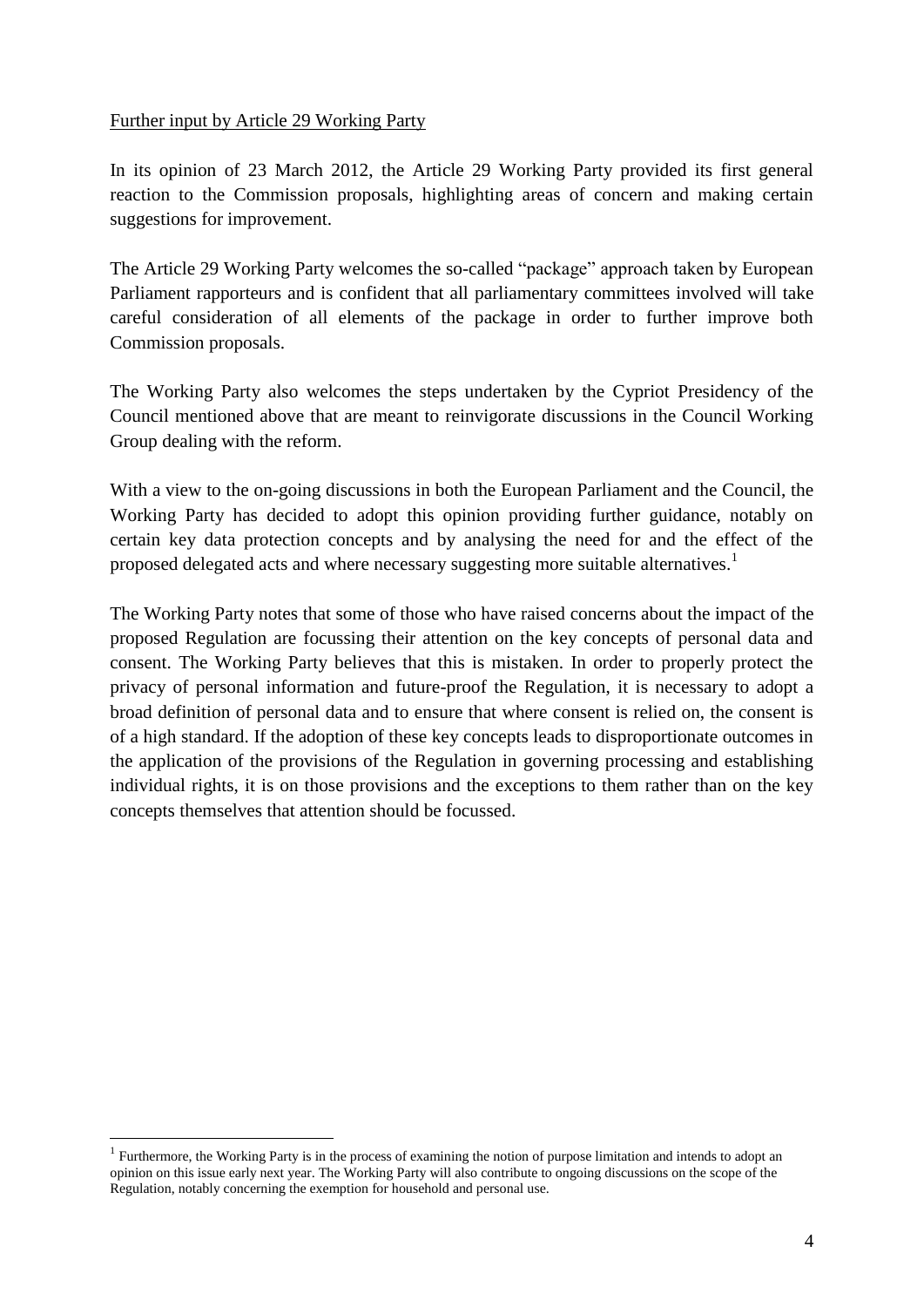#### Further input by Article 29 Working Party

In its opinion of 23 March 2012, the Article 29 Working Party provided its first general reaction to the Commission proposals, highlighting areas of concern and making certain suggestions for improvement.

The Article 29 Working Party welcomes the so-called "package" approach taken by European Parliament rapporteurs and is confident that all parliamentary committees involved will take careful consideration of all elements of the package in order to further improve both Commission proposals.

The Working Party also welcomes the steps undertaken by the Cypriot Presidency of the Council mentioned above that are meant to reinvigorate discussions in the Council Working Group dealing with the reform.

With a view to the on-going discussions in both the European Parliament and the Council, the Working Party has decided to adopt this opinion providing further guidance, notably on certain key data protection concepts and by analysing the need for and the effect of the proposed delegated acts and where necessary suggesting more suitable alternatives.<sup>1</sup>

The Working Party notes that some of those who have raised concerns about the impact of the proposed Regulation are focussing their attention on the key concepts of personal data and consent. The Working Party believes that this is mistaken. In order to properly protect the privacy of personal information and future-proof the Regulation, it is necessary to adopt a broad definition of personal data and to ensure that where consent is relied on, the consent is of a high standard. If the adoption of these key concepts leads to disproportionate outcomes in the application of the provisions of the Regulation in governing processing and establishing individual rights, it is on those provisions and the exceptions to them rather than on the key concepts themselves that attention should be focussed.

 $\overline{a}$ 

<sup>&</sup>lt;sup>1</sup> Furthermore, the Working Party is in the process of examining the notion of purpose limitation and intends to adopt an opinion on this issue early next year. The Working Party will also contribute to ongoing discussions on the scope of the Regulation, notably concerning the exemption for household and personal use.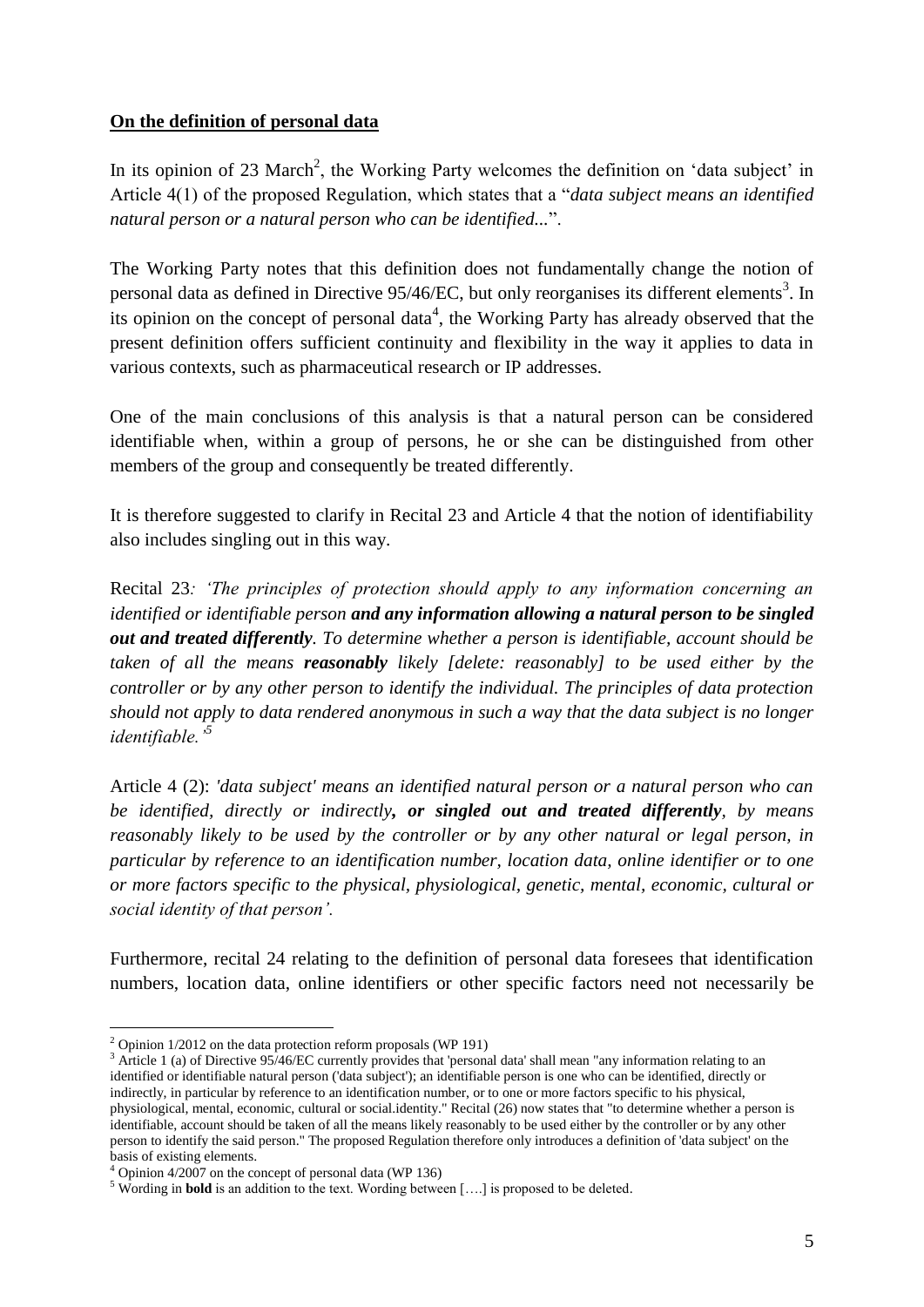### **On the definition of personal data**

In its opinion of 23 March<sup>2</sup>, the Working Party welcomes the definition on 'data subject' in Article 4(1) of the proposed Regulation, which states that a "*data subject means an identified natural person or a natural person who can be identified...*".

The Working Party notes that this definition does not fundamentally change the notion of personal data as defined in Directive  $95/46$ /EC, but only reorganises its different elements<sup>3</sup>. In its opinion on the concept of personal data<sup>4</sup>, the Working Party has already observed that the present definition offers sufficient continuity and flexibility in the way it applies to data in various contexts, such as pharmaceutical research or IP addresses.

One of the main conclusions of this analysis is that a natural person can be considered identifiable when, within a group of persons, he or she can be distinguished from other members of the group and consequently be treated differently.

It is therefore suggested to clarify in Recital 23 and Article 4 that the notion of identifiability also includes singling out in this way.

Recital 23*: 'The principles of protection should apply to any information concerning an identified or identifiable person and any information allowing a natural person to be singled out and treated differently. To determine whether a person is identifiable, account should be taken of all the means reasonably likely [delete: reasonably] to be used either by the controller or by any other person to identify the individual. The principles of data protection should not apply to data rendered anonymous in such a way that the data subject is no longer identifiable.'<sup>5</sup>*

Article 4 (2): *'data subject' means an identified natural person or a natural person who can be identified, directly or indirectly, or singled out and treated differently, by means reasonably likely to be used by the controller or by any other natural or legal person, in particular by reference to an identification number, location data, online identifier or to one or more factors specific to the physical, physiological, genetic, mental, economic, cultural or social identity of that person'.*

Furthermore, recital 24 relating to the definition of personal data foresees that identification numbers, location data, online identifiers or other specific factors need not necessarily be

 $\overline{a}$  $2$  Opinion 1/2012 on the data protection reform proposals (WP 191)

<sup>&</sup>lt;sup>3</sup> Article 1 (a) of Directive 95/46/EC currently provides that 'personal data' shall mean "any information relating to an identified or identifiable natural person ('data subject'); an identifiable person is one who can be identified, directly or indirectly, in particular by reference to an identification number, or to one or more factors specific to his physical, physiological, mental, economic, cultural or social.identity." Recital (26) now states that "to determine whether a person is identifiable, account should be taken of all the means likely reasonably to be used either by the controller or by any other person to identify the said person." The proposed Regulation therefore only introduces a definition of 'data subject' on the basis of existing elements.

 $4$  Opinion 4/2007 on the concept of personal data (WP 136)

<sup>&</sup>lt;sup>5</sup> Wording in **bold** is an addition to the text. Wording between [....] is proposed to be deleted.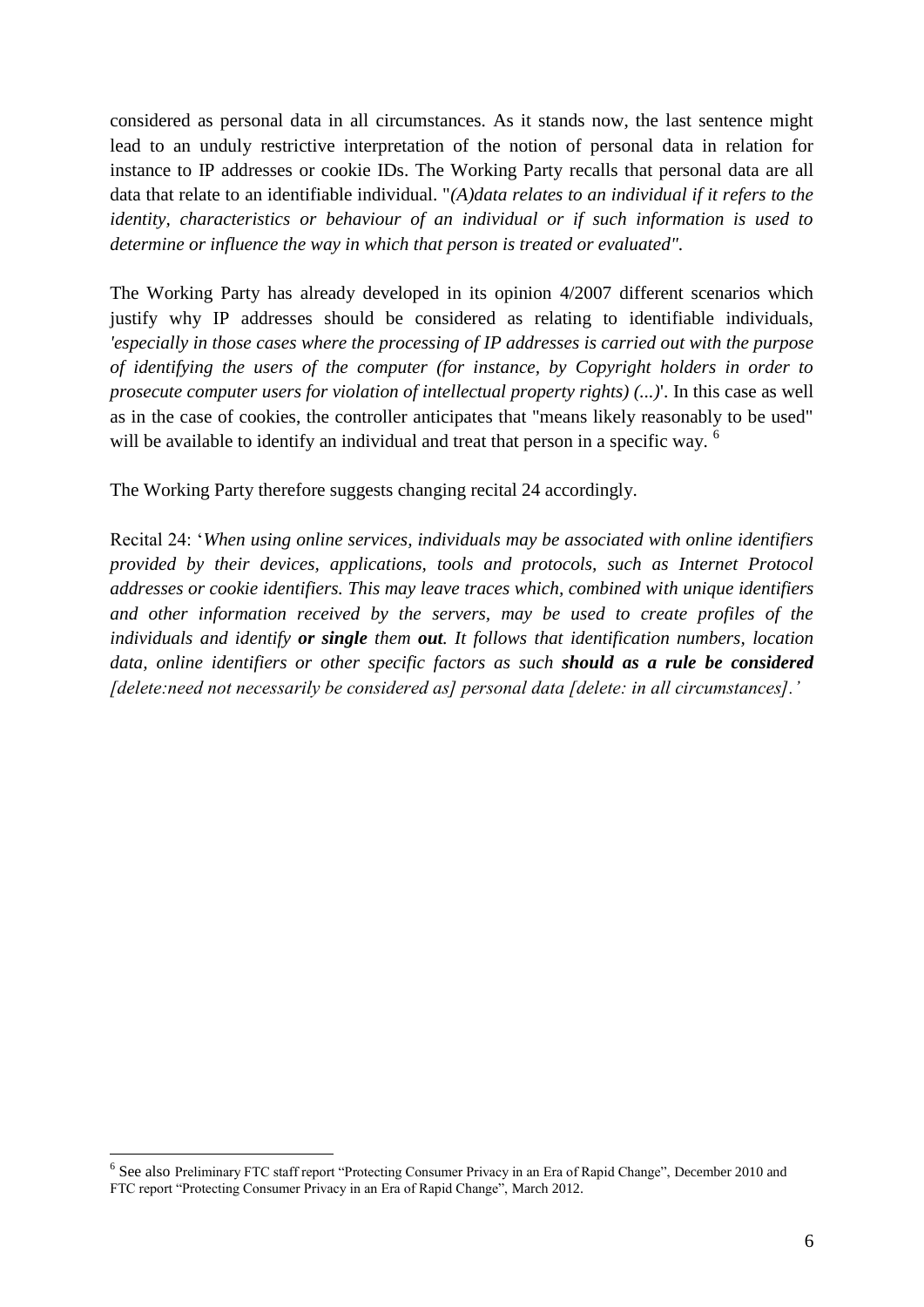considered as personal data in all circumstances. As it stands now, the last sentence might lead to an unduly restrictive interpretation of the notion of personal data in relation for instance to IP addresses or cookie IDs. The Working Party recalls that personal data are all data that relate to an identifiable individual. "*(A)data relates to an individual if it refers to the identity, characteristics or behaviour of an individual or if such information is used to determine or influence the way in which that person is treated or evaluated".*

The Working Party has already developed in its opinion 4/2007 different scenarios which justify why IP addresses should be considered as relating to identifiable individuals, *'especially in those cases where the processing of IP addresses is carried out with the purpose of identifying the users of the computer (for instance, by Copyright holders in order to prosecute computer users for violation of intellectual property rights) (...)*'. In this case as well as in the case of cookies, the controller anticipates that "means likely reasonably to be used" will be available to identify an individual and treat that person in a specific way. <sup>6</sup>

The Working Party therefore suggests changing recital 24 accordingly.

Recital 24: '*When using online services, individuals may be associated with online identifiers provided by their devices, applications, tools and protocols, such as Internet Protocol addresses or cookie identifiers. This may leave traces which, combined with unique identifiers and other information received by the servers, may be used to create profiles of the individuals and identify or single them out. It follows that identification numbers, location data, online identifiers or other specific factors as such should as a rule be considered [delete:need not necessarily be considered as] personal data [delete: in all circumstances].'*

 $\overline{a}$ 

<sup>&</sup>lt;sup>6</sup> See also Preliminary FTC staff report "Protecting Consumer Privacy in an Era of Rapid Change", December 2010 and FTC report "Protecting Consumer Privacy in an Era of Rapid Change", March 2012.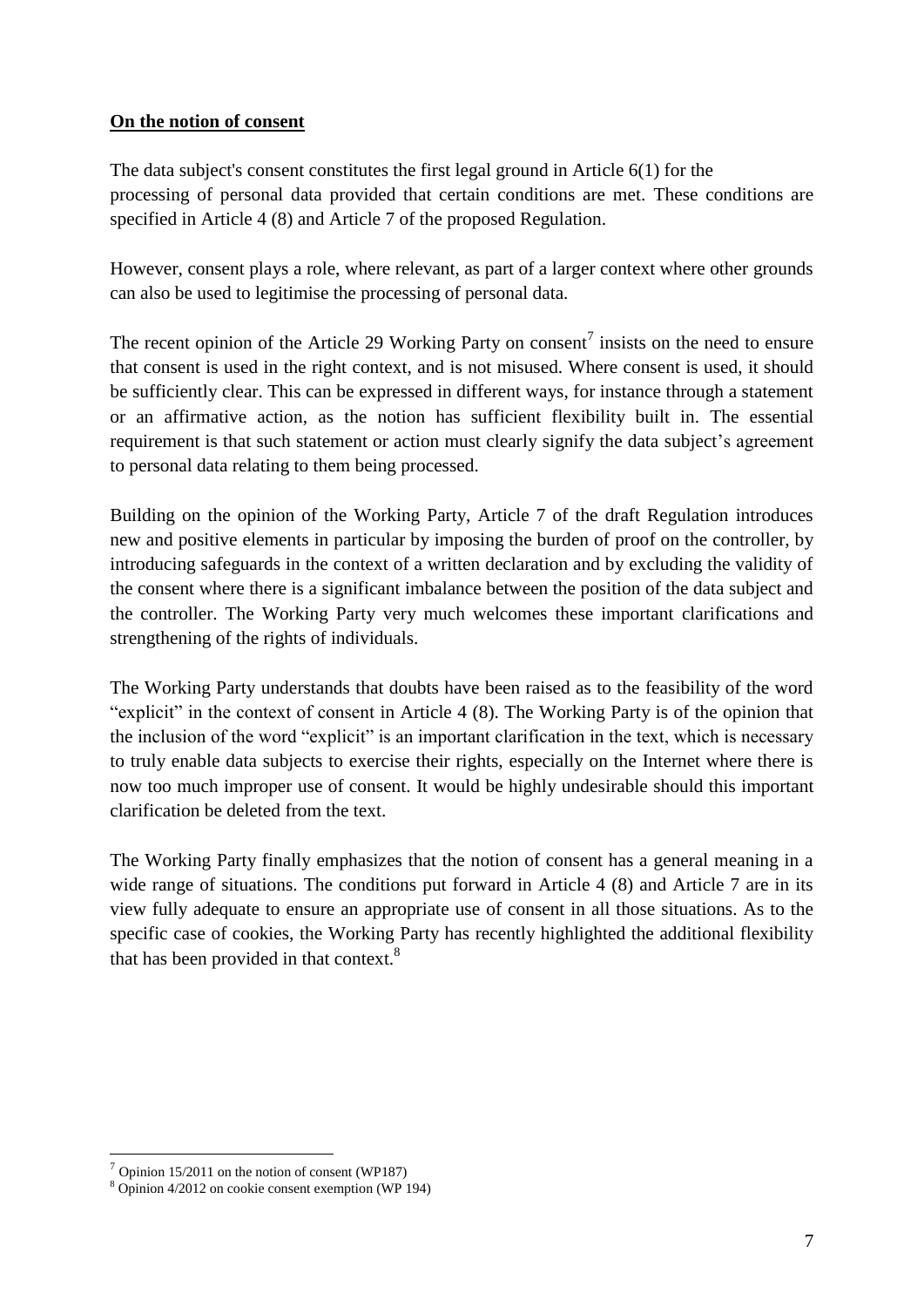### **On the notion of consent**

The data subject's consent constitutes the first legal ground in Article 6(1) for the processing of personal data provided that certain conditions are met. These conditions are specified in Article 4 (8) and Article 7 of the proposed Regulation.

However, consent plays a role, where relevant, as part of a larger context where other grounds can also be used to legitimise the processing of personal data.

The recent opinion of the Article 29 Working Party on consent<sup>7</sup> insists on the need to ensure that consent is used in the right context, and is not misused. Where consent is used, it should be sufficiently clear. This can be expressed in different ways, for instance through a statement or an affirmative action, as the notion has sufficient flexibility built in. The essential requirement is that such statement or action must clearly signify the data subject's agreement to personal data relating to them being processed.

Building on the opinion of the Working Party, Article 7 of the draft Regulation introduces new and positive elements in particular by imposing the burden of proof on the controller, by introducing safeguards in the context of a written declaration and by excluding the validity of the consent where there is a significant imbalance between the position of the data subject and the controller. The Working Party very much welcomes these important clarifications and strengthening of the rights of individuals.

The Working Party understands that doubts have been raised as to the feasibility of the word "explicit" in the context of consent in Article 4 (8). The Working Party is of the opinion that the inclusion of the word "explicit" is an important clarification in the text, which is necessary to truly enable data subjects to exercise their rights, especially on the Internet where there is now too much improper use of consent. It would be highly undesirable should this important clarification be deleted from the text.

The Working Party finally emphasizes that the notion of consent has a general meaning in a wide range of situations. The conditions put forward in Article 4 (8) and Article 7 are in its view fully adequate to ensure an appropriate use of consent in all those situations. As to the specific case of cookies, the Working Party has recently highlighted the additional flexibility that has been provided in that context.<sup>8</sup>

 $\overline{a}$ 

 $<sup>7</sup>$  Opinion 15/2011 on the notion of consent (WP187)</sup>

<sup>8</sup> Opinion 4/2012 on cookie consent exemption (WP 194)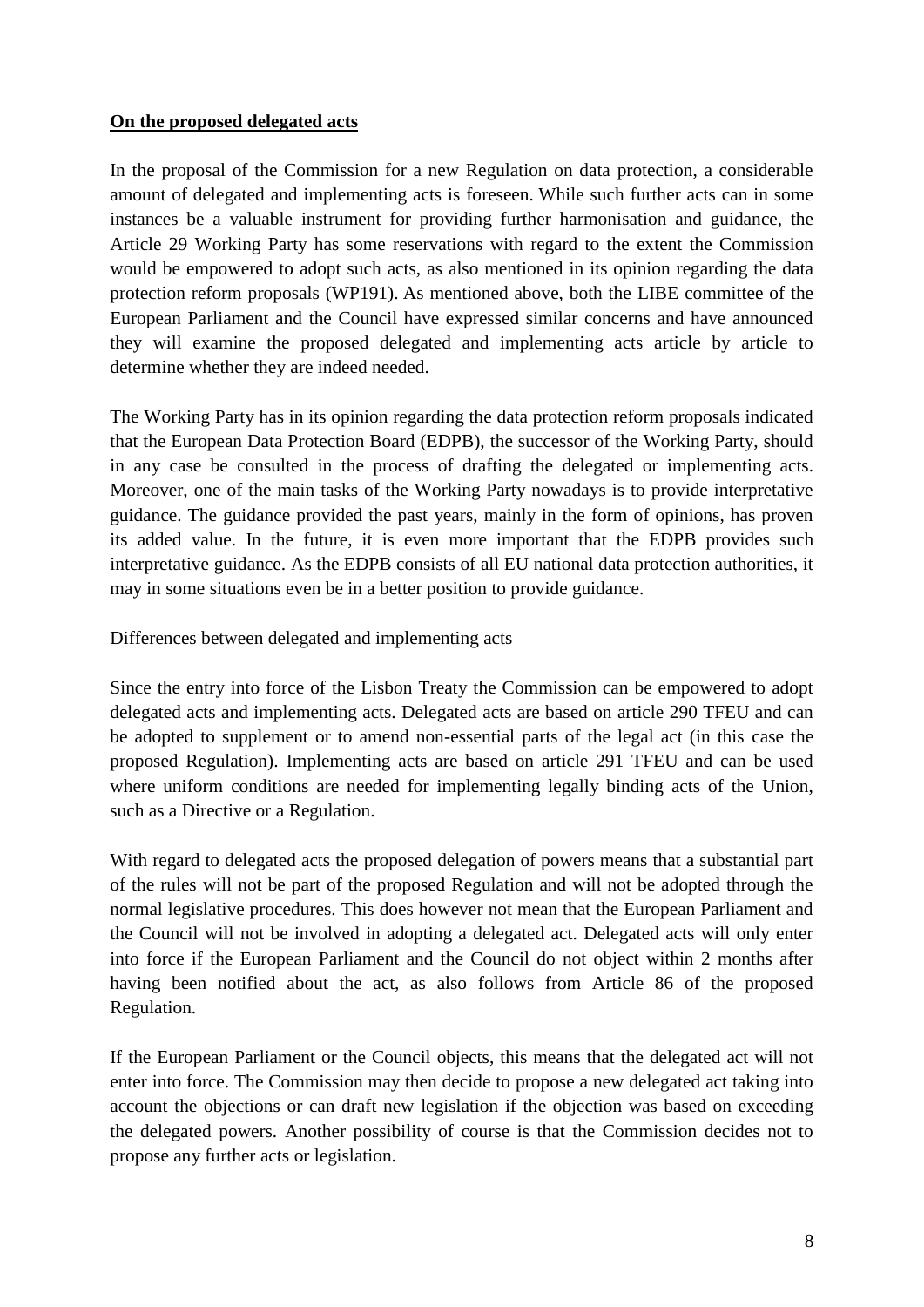### **On the proposed delegated acts**

In the proposal of the Commission for a new Regulation on data protection, a considerable amount of delegated and implementing acts is foreseen. While such further acts can in some instances be a valuable instrument for providing further harmonisation and guidance, the Article 29 Working Party has some reservations with regard to the extent the Commission would be empowered to adopt such acts, as also mentioned in its opinion regarding the data protection reform proposals (WP191). As mentioned above, both the LIBE committee of the European Parliament and the Council have expressed similar concerns and have announced they will examine the proposed delegated and implementing acts article by article to determine whether they are indeed needed.

The Working Party has in its opinion regarding the data protection reform proposals indicated that the European Data Protection Board (EDPB), the successor of the Working Party, should in any case be consulted in the process of drafting the delegated or implementing acts. Moreover, one of the main tasks of the Working Party nowadays is to provide interpretative guidance. The guidance provided the past years, mainly in the form of opinions, has proven its added value. In the future, it is even more important that the EDPB provides such interpretative guidance. As the EDPB consists of all EU national data protection authorities, it may in some situations even be in a better position to provide guidance.

### Differences between delegated and implementing acts

Since the entry into force of the Lisbon Treaty the Commission can be empowered to adopt delegated acts and implementing acts. Delegated acts are based on article 290 TFEU and can be adopted to supplement or to amend non-essential parts of the legal act (in this case the proposed Regulation). Implementing acts are based on article 291 TFEU and can be used where uniform conditions are needed for implementing legally binding acts of the Union, such as a Directive or a Regulation.

With regard to delegated acts the proposed delegation of powers means that a substantial part of the rules will not be part of the proposed Regulation and will not be adopted through the normal legislative procedures. This does however not mean that the European Parliament and the Council will not be involved in adopting a delegated act. Delegated acts will only enter into force if the European Parliament and the Council do not object within 2 months after having been notified about the act, as also follows from Article 86 of the proposed Regulation.

If the European Parliament or the Council objects, this means that the delegated act will not enter into force. The Commission may then decide to propose a new delegated act taking into account the objections or can draft new legislation if the objection was based on exceeding the delegated powers. Another possibility of course is that the Commission decides not to propose any further acts or legislation.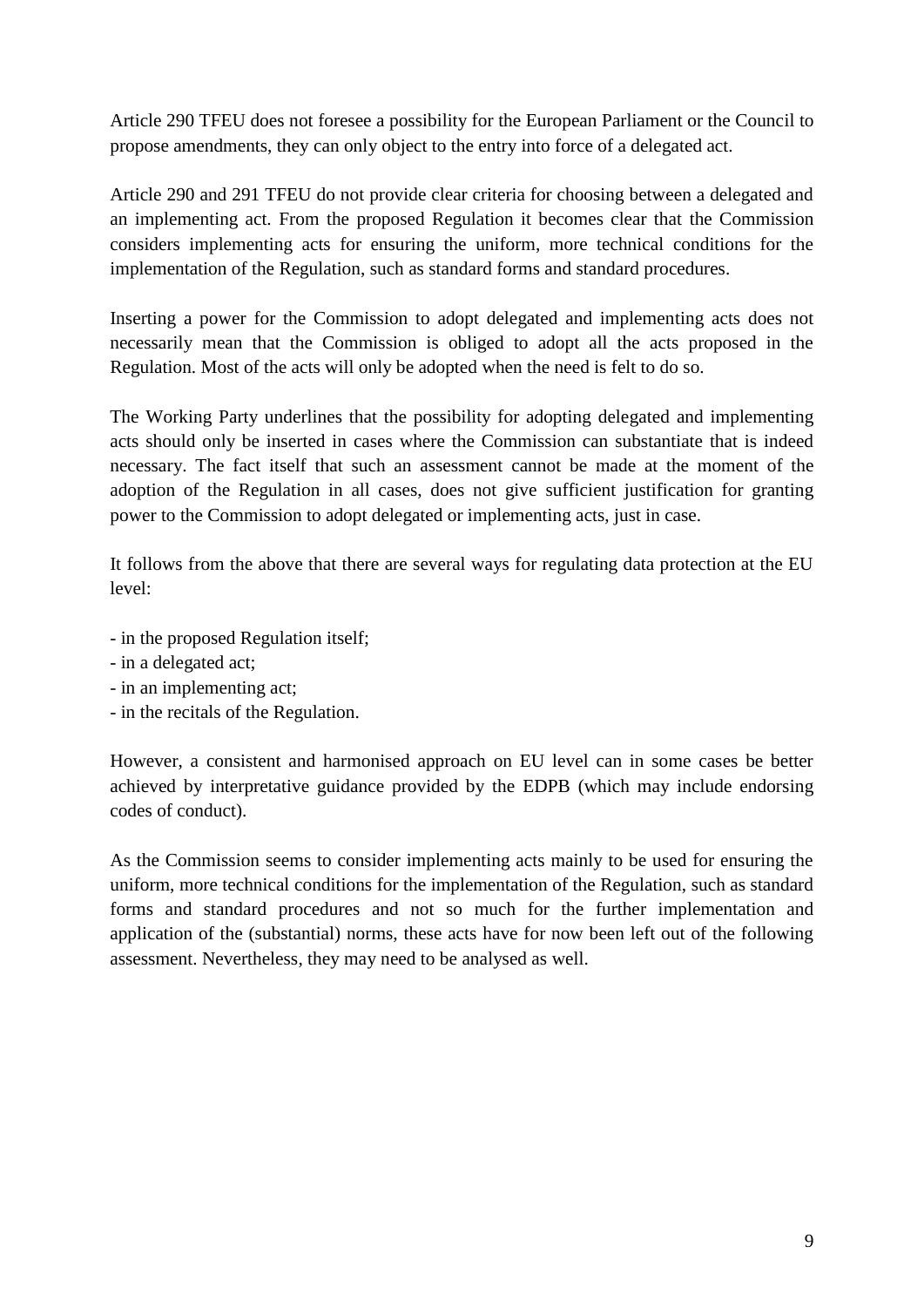Article 290 TFEU does not foresee a possibility for the European Parliament or the Council to propose amendments, they can only object to the entry into force of a delegated act.

Article 290 and 291 TFEU do not provide clear criteria for choosing between a delegated and an implementing act. From the proposed Regulation it becomes clear that the Commission considers implementing acts for ensuring the uniform, more technical conditions for the implementation of the Regulation, such as standard forms and standard procedures.

Inserting a power for the Commission to adopt delegated and implementing acts does not necessarily mean that the Commission is obliged to adopt all the acts proposed in the Regulation. Most of the acts will only be adopted when the need is felt to do so.

The Working Party underlines that the possibility for adopting delegated and implementing acts should only be inserted in cases where the Commission can substantiate that is indeed necessary. The fact itself that such an assessment cannot be made at the moment of the adoption of the Regulation in all cases, does not give sufficient justification for granting power to the Commission to adopt delegated or implementing acts, just in case.

It follows from the above that there are several ways for regulating data protection at the EU level:

- in the proposed Regulation itself;
- in a delegated act;
- in an implementing act;
- in the recitals of the Regulation.

However, a consistent and harmonised approach on EU level can in some cases be better achieved by interpretative guidance provided by the EDPB (which may include endorsing codes of conduct).

As the Commission seems to consider implementing acts mainly to be used for ensuring the uniform, more technical conditions for the implementation of the Regulation, such as standard forms and standard procedures and not so much for the further implementation and application of the (substantial) norms, these acts have for now been left out of the following assessment. Nevertheless, they may need to be analysed as well.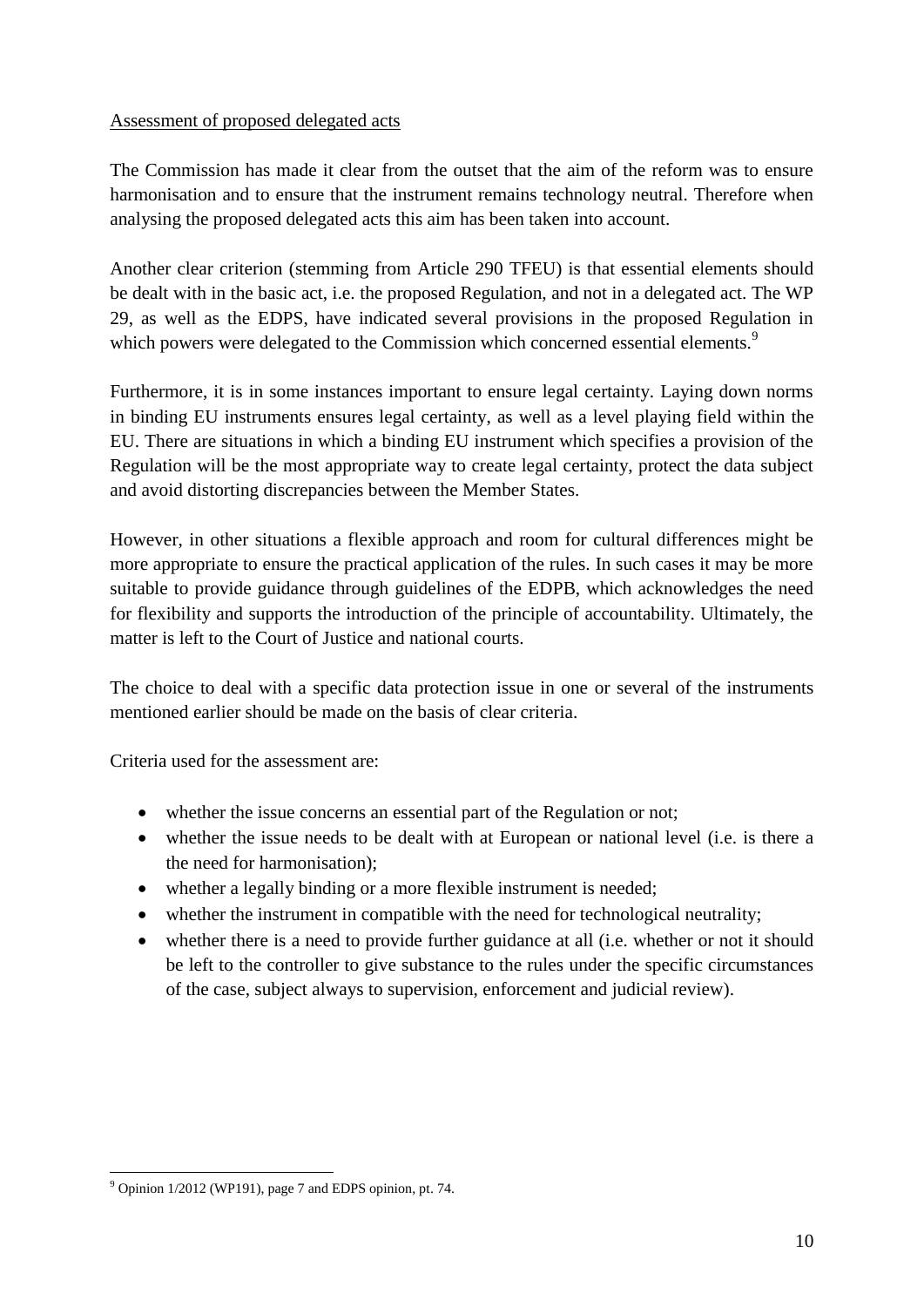### Assessment of proposed delegated acts

The Commission has made it clear from the outset that the aim of the reform was to ensure harmonisation and to ensure that the instrument remains technology neutral. Therefore when analysing the proposed delegated acts this aim has been taken into account.

Another clear criterion (stemming from Article 290 TFEU) is that essential elements should be dealt with in the basic act, i.e. the proposed Regulation, and not in a delegated act. The WP 29, as well as the EDPS, have indicated several provisions in the proposed Regulation in which powers were delegated to the Commission which concerned essential elements.<sup>9</sup>

Furthermore, it is in some instances important to ensure legal certainty. Laying down norms in binding EU instruments ensures legal certainty, as well as a level playing field within the EU. There are situations in which a binding EU instrument which specifies a provision of the Regulation will be the most appropriate way to create legal certainty, protect the data subject and avoid distorting discrepancies between the Member States.

However, in other situations a flexible approach and room for cultural differences might be more appropriate to ensure the practical application of the rules. In such cases it may be more suitable to provide guidance through guidelines of the EDPB, which acknowledges the need for flexibility and supports the introduction of the principle of accountability. Ultimately, the matter is left to the Court of Justice and national courts.

The choice to deal with a specific data protection issue in one or several of the instruments mentioned earlier should be made on the basis of clear criteria.

Criteria used for the assessment are:

- whether the issue concerns an essential part of the Regulation or not;
- whether the issue needs to be dealt with at European or national level (i.e. is there a the need for harmonisation);
- whether a legally binding or a more flexible instrument is needed;
- whether the instrument in compatible with the need for technological neutrality;
- whether there is a need to provide further guidance at all (i.e. whether or not it should be left to the controller to give substance to the rules under the specific circumstances of the case, subject always to supervision, enforcement and judicial review).

 $\overline{a}$ 

<sup>&</sup>lt;sup>9</sup> Opinion 1/2012 (WP191), page 7 and EDPS opinion, pt. 74.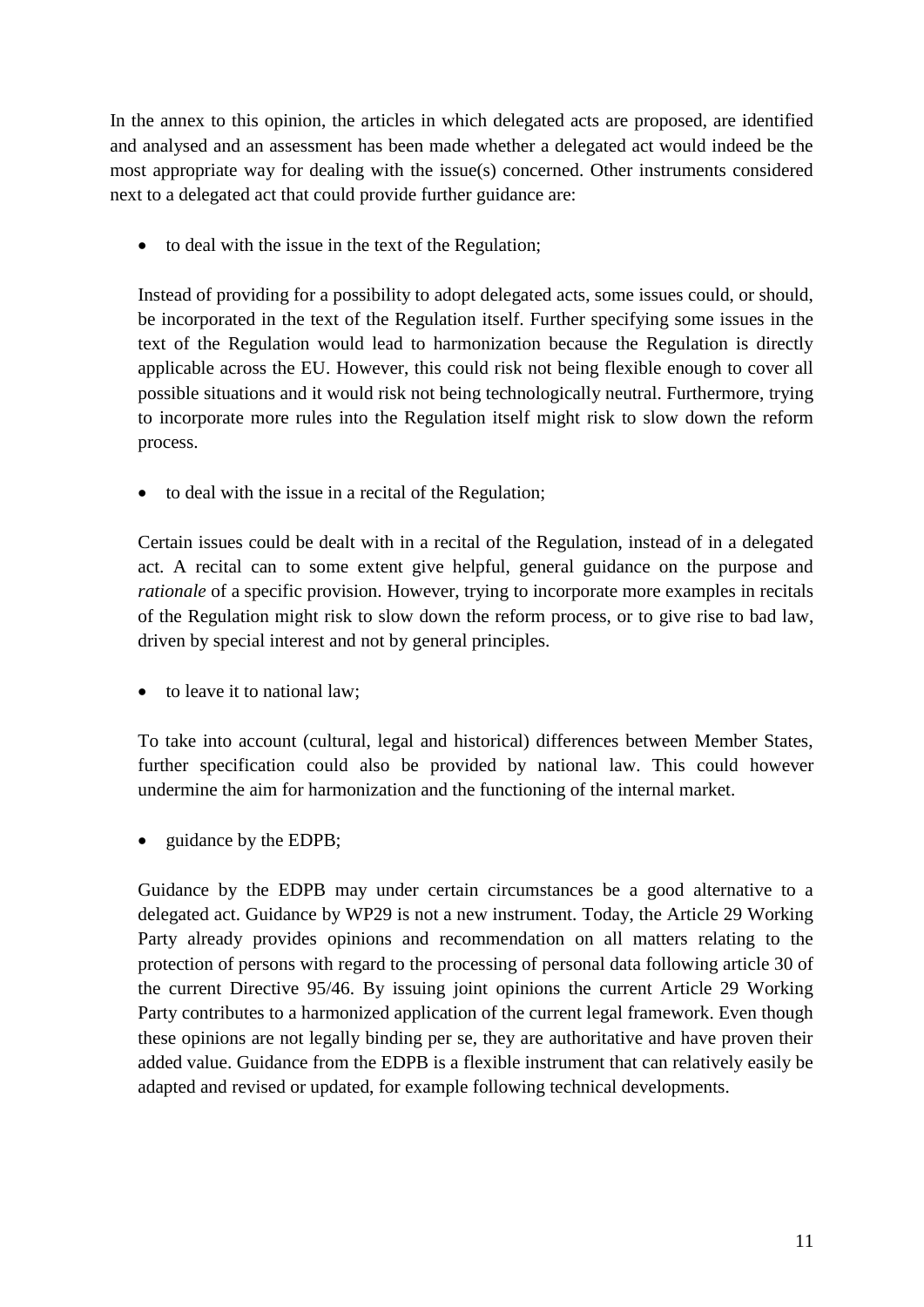In the annex to this opinion, the articles in which delegated acts are proposed, are identified and analysed and an assessment has been made whether a delegated act would indeed be the most appropriate way for dealing with the issue(s) concerned. Other instruments considered next to a delegated act that could provide further guidance are:

• to deal with the issue in the text of the Regulation;

Instead of providing for a possibility to adopt delegated acts, some issues could, or should, be incorporated in the text of the Regulation itself. Further specifying some issues in the text of the Regulation would lead to harmonization because the Regulation is directly applicable across the EU. However, this could risk not being flexible enough to cover all possible situations and it would risk not being technologically neutral. Furthermore, trying to incorporate more rules into the Regulation itself might risk to slow down the reform process.

• to deal with the issue in a recital of the Regulation;

Certain issues could be dealt with in a recital of the Regulation, instead of in a delegated act. A recital can to some extent give helpful, general guidance on the purpose and *rationale* of a specific provision. However, trying to incorporate more examples in recitals of the Regulation might risk to slow down the reform process, or to give rise to bad law, driven by special interest and not by general principles.

• to leave it to national law:

To take into account (cultural, legal and historical) differences between Member States, further specification could also be provided by national law. This could however undermine the aim for harmonization and the functioning of the internal market.

guidance by the EDPB;

Guidance by the EDPB may under certain circumstances be a good alternative to a delegated act. Guidance by WP29 is not a new instrument. Today, the Article 29 Working Party already provides opinions and recommendation on all matters relating to the protection of persons with regard to the processing of personal data following article 30 of the current Directive 95/46. By issuing joint opinions the current Article 29 Working Party contributes to a harmonized application of the current legal framework. Even though these opinions are not legally binding per se, they are authoritative and have proven their added value. Guidance from the EDPB is a flexible instrument that can relatively easily be adapted and revised or updated, for example following technical developments.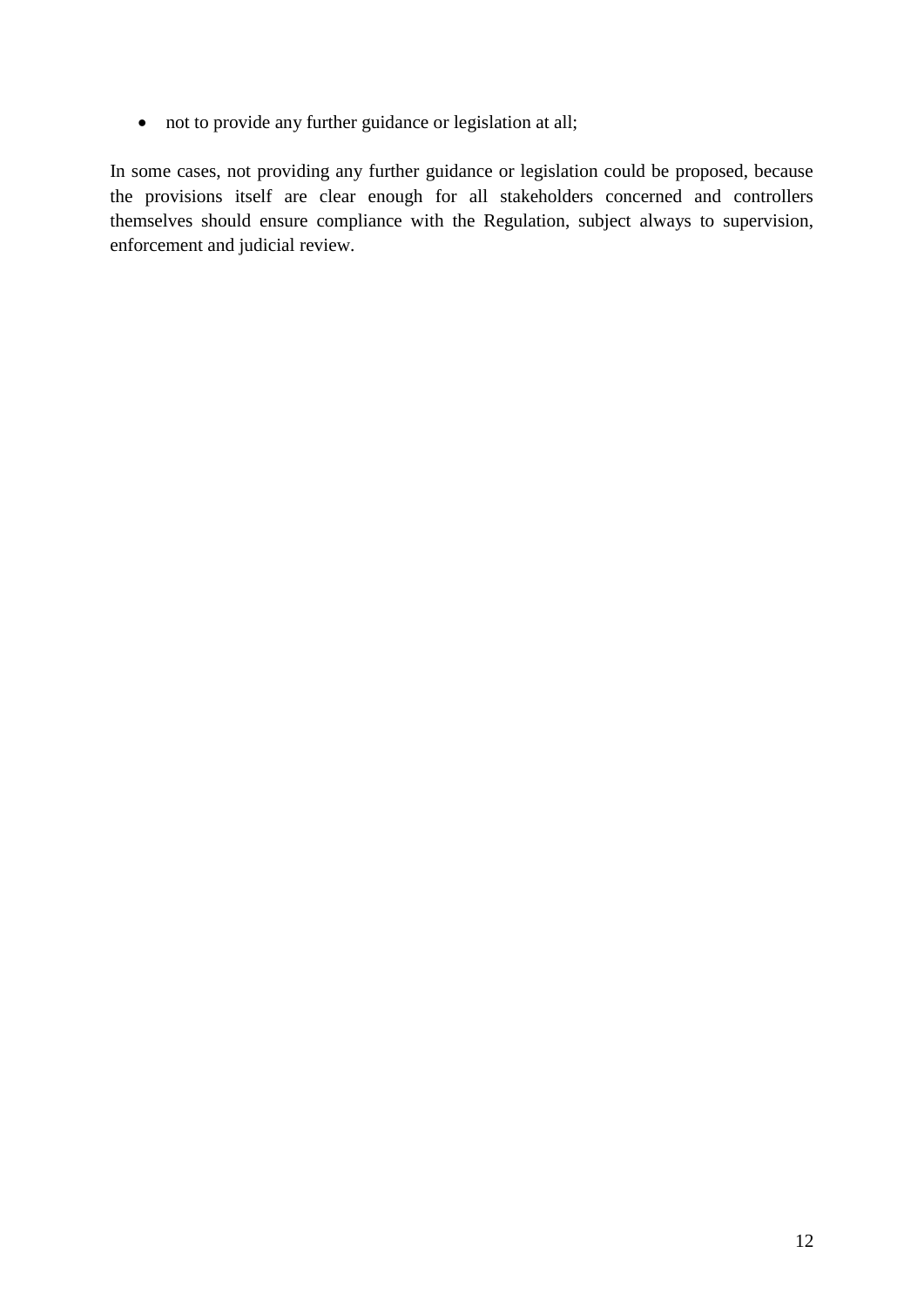not to provide any further guidance or legislation at all;

In some cases, not providing any further guidance or legislation could be proposed, because the provisions itself are clear enough for all stakeholders concerned and controllers themselves should ensure compliance with the Regulation, subject always to supervision, enforcement and judicial review.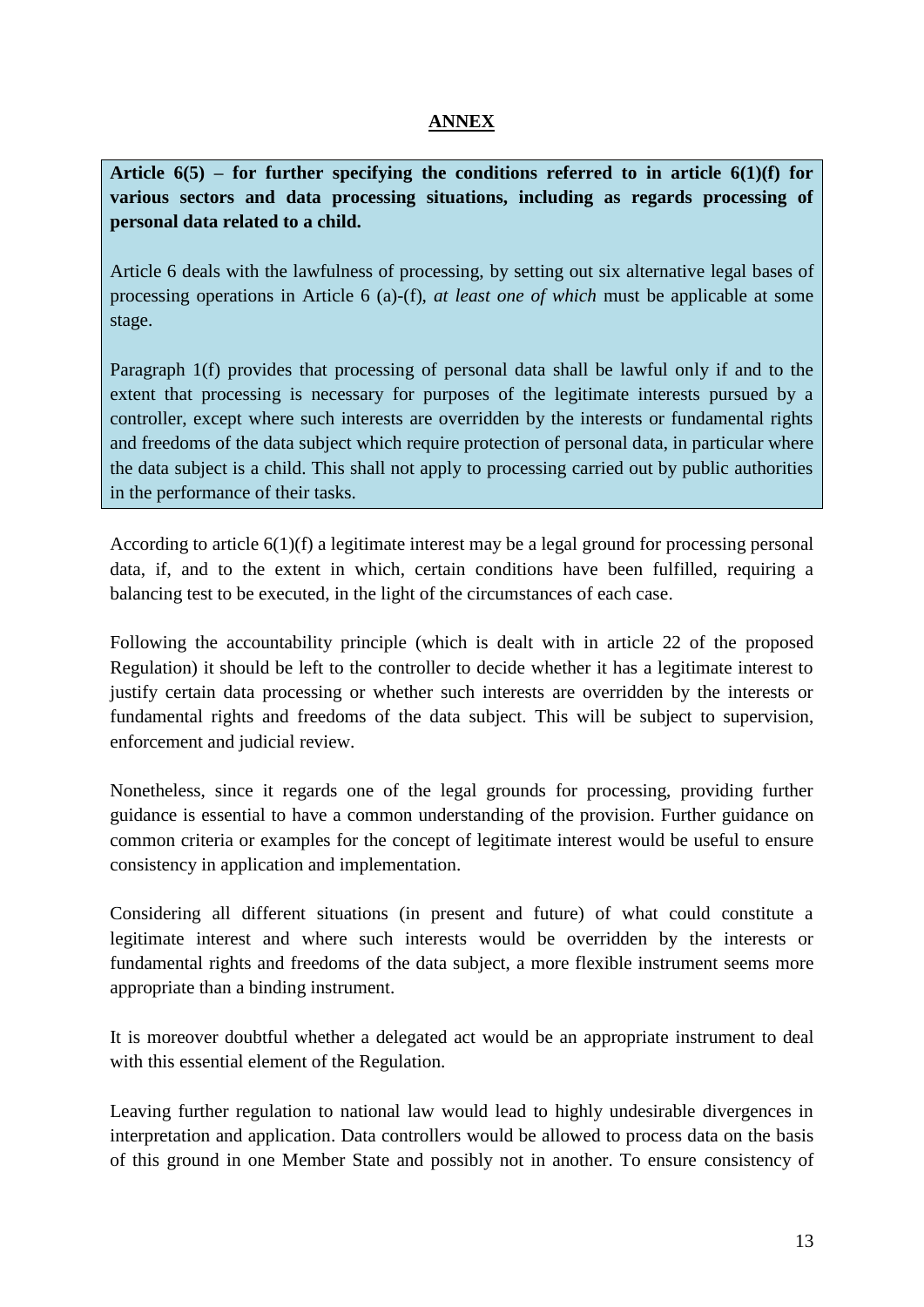### **ANNEX**

**Article 6(5) – for further specifying the conditions referred to in article 6(1)(f) for various sectors and data processing situations, including as regards processing of personal data related to a child.** 

Article 6 deals with the lawfulness of processing, by setting out six alternative legal bases of processing operations in Article 6 (a)-(f), *at least one of which* must be applicable at some stage.

Paragraph 1(f) provides that processing of personal data shall be lawful only if and to the extent that processing is necessary for purposes of the legitimate interests pursued by a controller, except where such interests are overridden by the interests or fundamental rights and freedoms of the data subject which require protection of personal data, in particular where the data subject is a child. This shall not apply to processing carried out by public authorities in the performance of their tasks.

According to article  $6(1)(f)$  a legitimate interest may be a legal ground for processing personal data, if, and to the extent in which, certain conditions have been fulfilled, requiring a balancing test to be executed, in the light of the circumstances of each case.

Following the accountability principle (which is dealt with in article 22 of the proposed Regulation) it should be left to the controller to decide whether it has a legitimate interest to justify certain data processing or whether such interests are overridden by the interests or fundamental rights and freedoms of the data subject. This will be subject to supervision, enforcement and judicial review.

Nonetheless, since it regards one of the legal grounds for processing, providing further guidance is essential to have a common understanding of the provision. Further guidance on common criteria or examples for the concept of legitimate interest would be useful to ensure consistency in application and implementation.

Considering all different situations (in present and future) of what could constitute a legitimate interest and where such interests would be overridden by the interests or fundamental rights and freedoms of the data subject, a more flexible instrument seems more appropriate than a binding instrument.

It is moreover doubtful whether a delegated act would be an appropriate instrument to deal with this essential element of the Regulation.

Leaving further regulation to national law would lead to highly undesirable divergences in interpretation and application. Data controllers would be allowed to process data on the basis of this ground in one Member State and possibly not in another. To ensure consistency of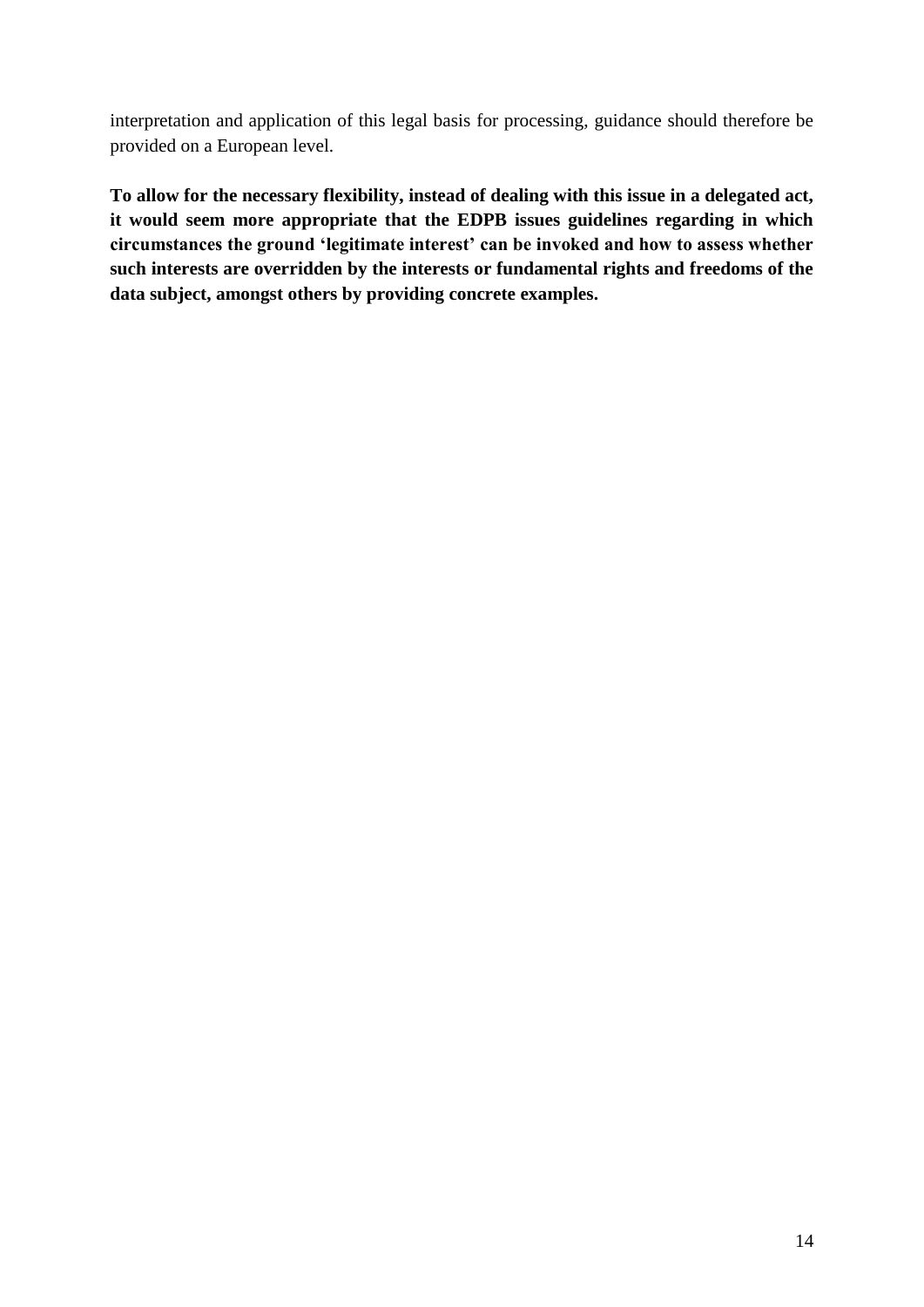interpretation and application of this legal basis for processing, guidance should therefore be provided on a European level.

**To allow for the necessary flexibility, instead of dealing with this issue in a delegated act, it would seem more appropriate that the EDPB issues guidelines regarding in which circumstances the ground 'legitimate interest' can be invoked and how to assess whether such interests are overridden by the interests or fundamental rights and freedoms of the data subject, amongst others by providing concrete examples.**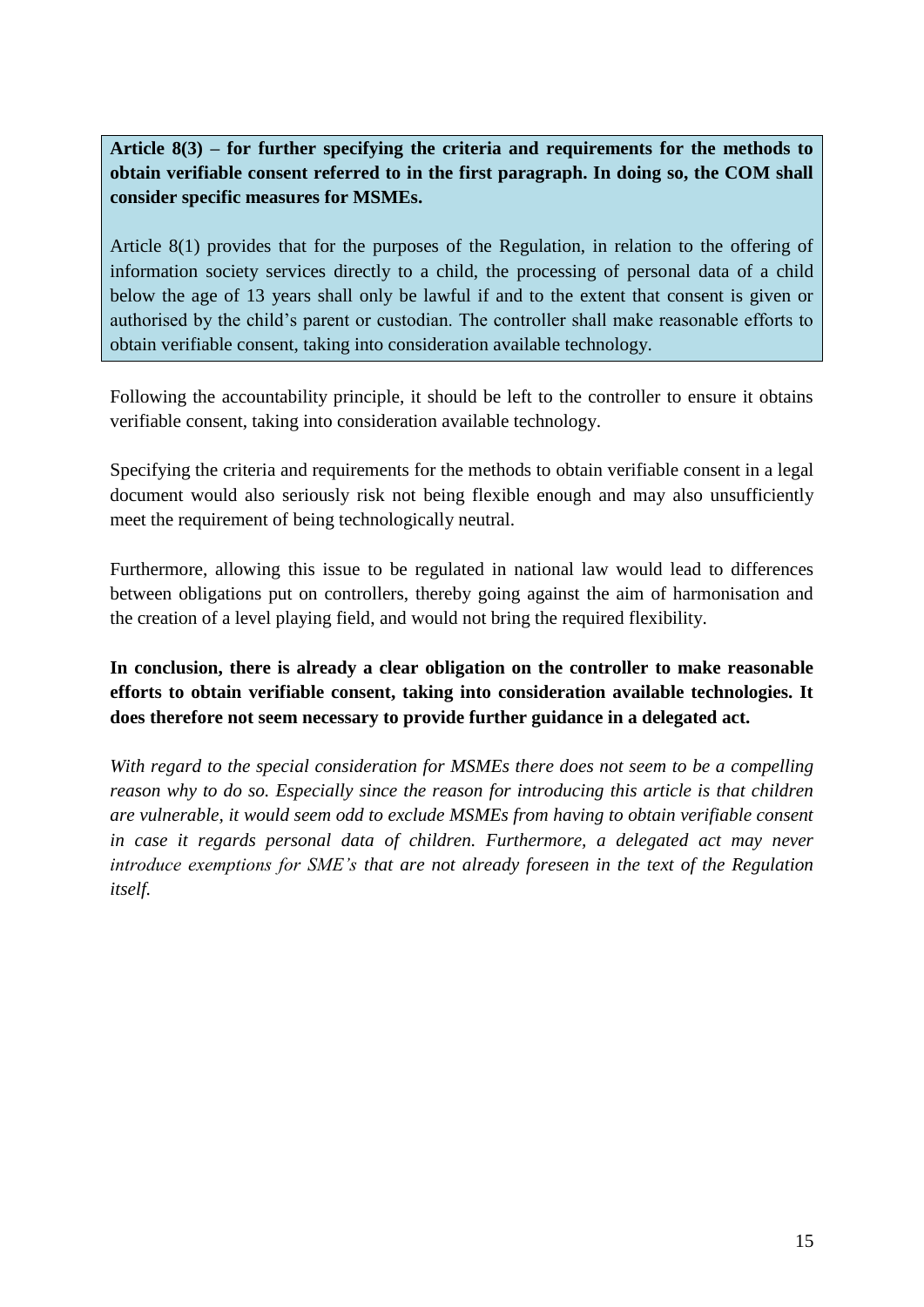**Article 8(3) – for further specifying the criteria and requirements for the methods to obtain verifiable consent referred to in the first paragraph. In doing so, the COM shall consider specific measures for MSMEs.**

Article 8(1) provides that for the purposes of the Regulation, in relation to the offering of information society services directly to a child, the processing of personal data of a child below the age of 13 years shall only be lawful if and to the extent that consent is given or authorised by the child's parent or custodian. The controller shall make reasonable efforts to obtain verifiable consent, taking into consideration available technology.

Following the accountability principle, it should be left to the controller to ensure it obtains verifiable consent, taking into consideration available technology.

Specifying the criteria and requirements for the methods to obtain verifiable consent in a legal document would also seriously risk not being flexible enough and may also unsufficiently meet the requirement of being technologically neutral.

Furthermore, allowing this issue to be regulated in national law would lead to differences between obligations put on controllers, thereby going against the aim of harmonisation and the creation of a level playing field, and would not bring the required flexibility.

**In conclusion, there is already a clear obligation on the controller to make reasonable efforts to obtain verifiable consent, taking into consideration available technologies. It does therefore not seem necessary to provide further guidance in a delegated act.** 

*With regard to the special consideration for MSMEs there does not seem to be a compelling reason why to do so. Especially since the reason for introducing this article is that children are vulnerable, it would seem odd to exclude MSMEs from having to obtain verifiable consent in case it regards personal data of children. Furthermore, a delegated act may never introduce exemptions for SME's that are not already foreseen in the text of the Regulation itself.*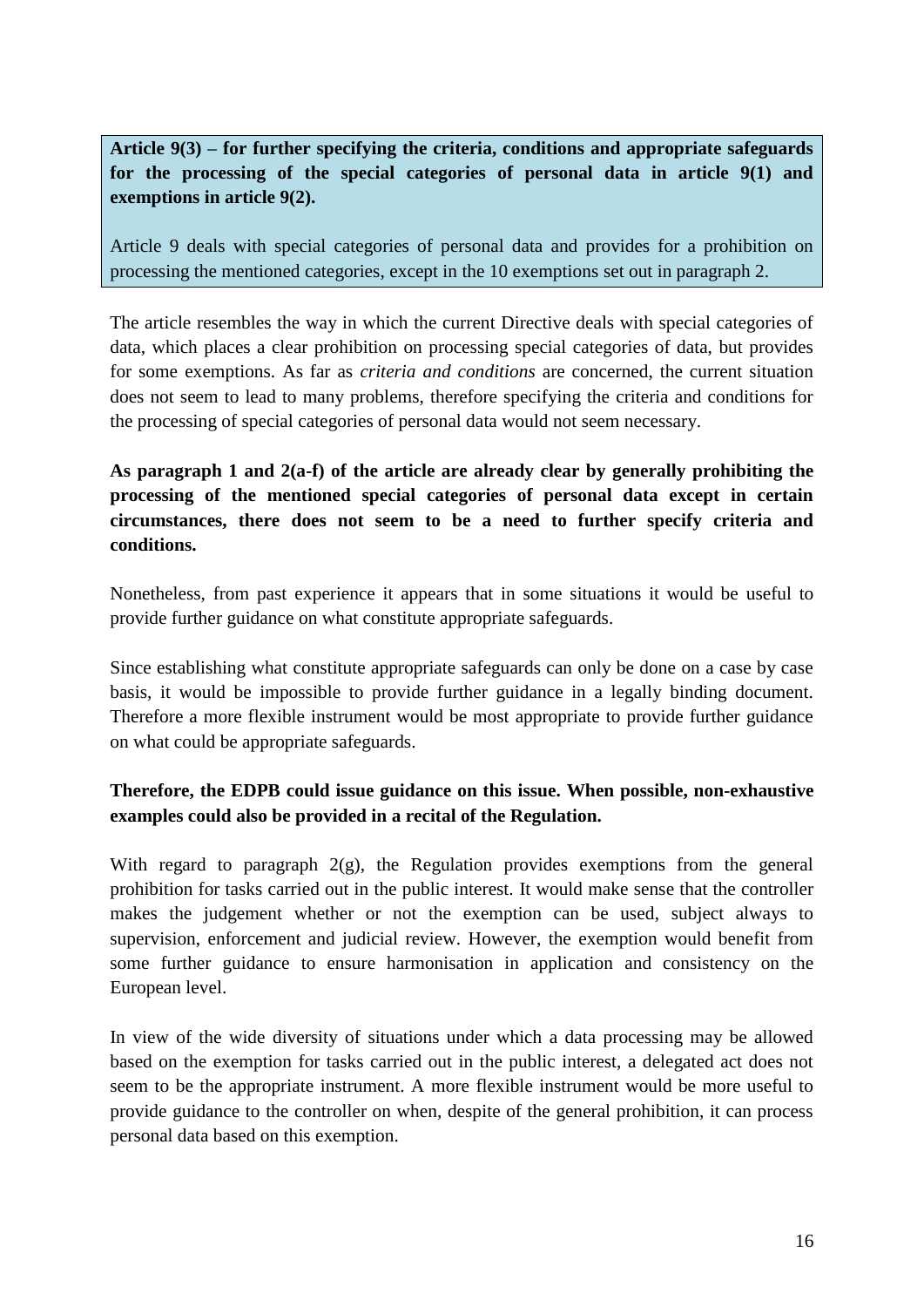**Article 9(3) – for further specifying the criteria, conditions and appropriate safeguards for the processing of the special categories of personal data in article 9(1) and exemptions in article 9(2).** 

Article 9 deals with special categories of personal data and provides for a prohibition on processing the mentioned categories, except in the 10 exemptions set out in paragraph 2.

The article resembles the way in which the current Directive deals with special categories of data, which places a clear prohibition on processing special categories of data, but provides for some exemptions. As far as *criteria and conditions* are concerned, the current situation does not seem to lead to many problems, therefore specifying the criteria and conditions for the processing of special categories of personal data would not seem necessary.

### **As paragraph 1 and 2(a-f) of the article are already clear by generally prohibiting the processing of the mentioned special categories of personal data except in certain circumstances, there does not seem to be a need to further specify criteria and conditions.**

Nonetheless, from past experience it appears that in some situations it would be useful to provide further guidance on what constitute appropriate safeguards.

Since establishing what constitute appropriate safeguards can only be done on a case by case basis, it would be impossible to provide further guidance in a legally binding document. Therefore a more flexible instrument would be most appropriate to provide further guidance on what could be appropriate safeguards.

### **Therefore, the EDPB could issue guidance on this issue. When possible, non-exhaustive examples could also be provided in a recital of the Regulation.**

With regard to paragraph  $2(g)$ , the Regulation provides exemptions from the general prohibition for tasks carried out in the public interest. It would make sense that the controller makes the judgement whether or not the exemption can be used, subject always to supervision, enforcement and judicial review. However, the exemption would benefit from some further guidance to ensure harmonisation in application and consistency on the European level.

In view of the wide diversity of situations under which a data processing may be allowed based on the exemption for tasks carried out in the public interest, a delegated act does not seem to be the appropriate instrument. A more flexible instrument would be more useful to provide guidance to the controller on when, despite of the general prohibition, it can process personal data based on this exemption.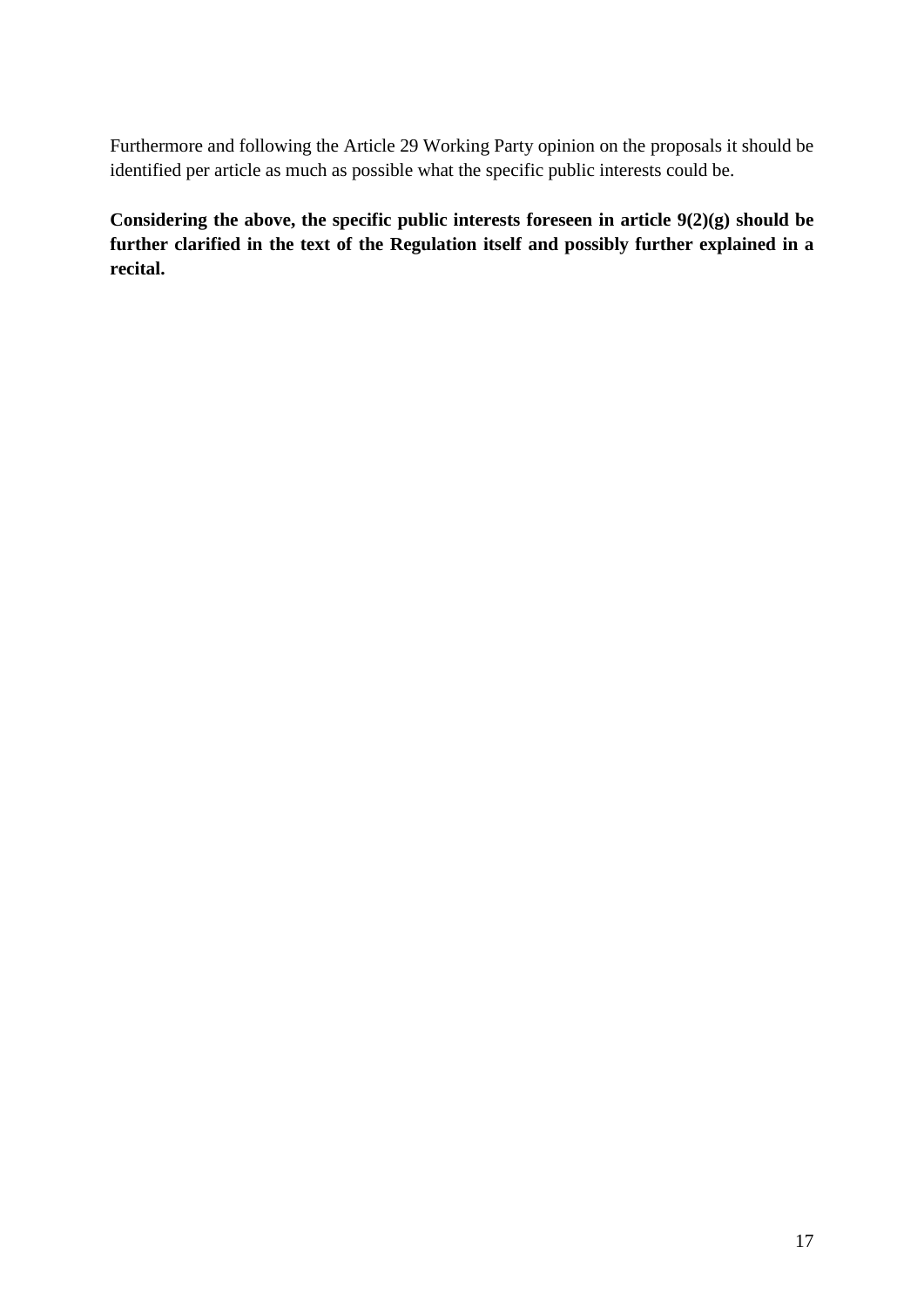Furthermore and following the Article 29 Working Party opinion on the proposals it should be identified per article as much as possible what the specific public interests could be.

**Considering the above, the specific public interests foreseen in article 9(2)(g) should be further clarified in the text of the Regulation itself and possibly further explained in a recital.**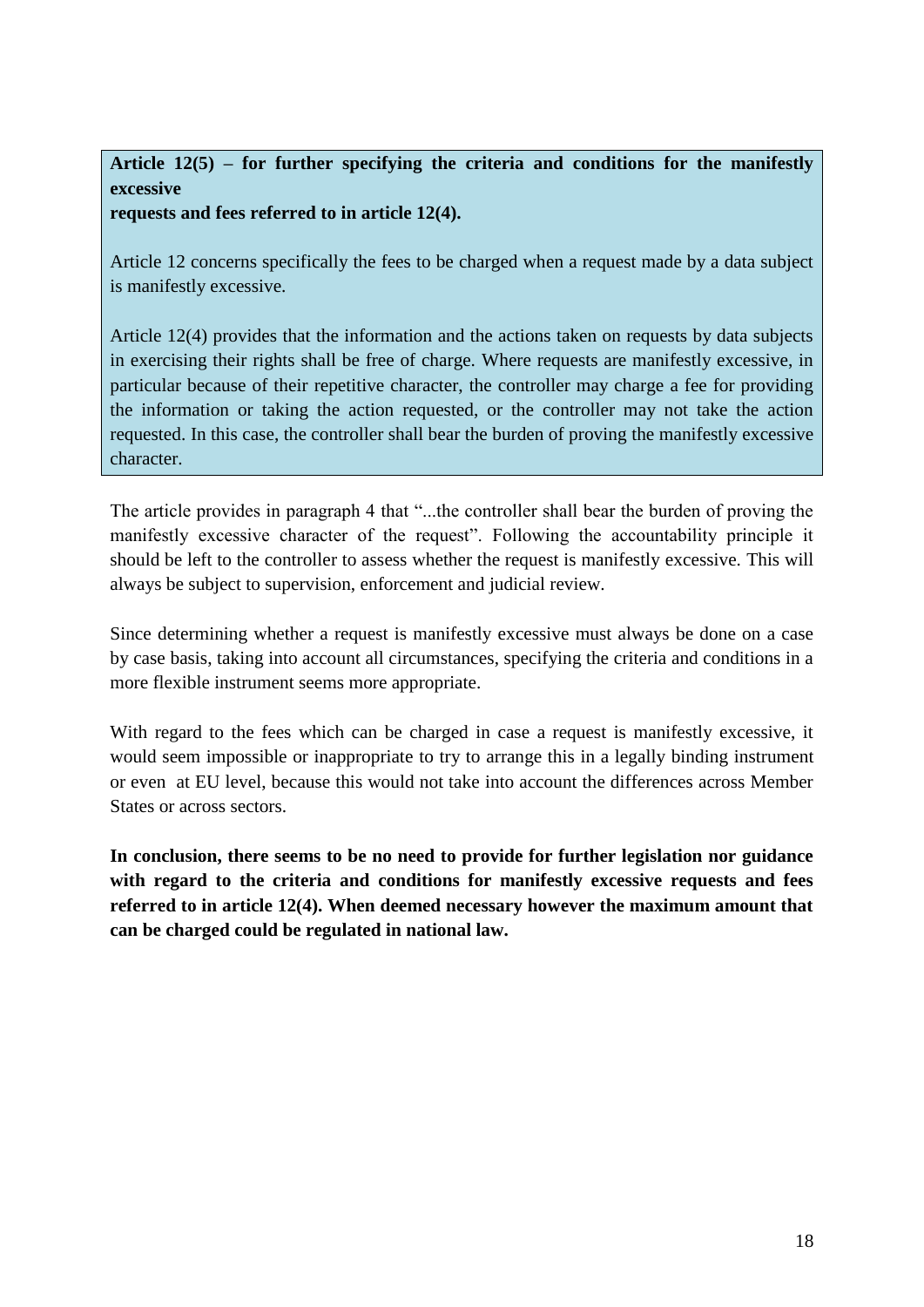# **Article 12(5) – for further specifying the criteria and conditions for the manifestly excessive**

**requests and fees referred to in article 12(4).** 

Article 12 concerns specifically the fees to be charged when a request made by a data subject is manifestly excessive.

Article 12(4) provides that the information and the actions taken on requests by data subjects in exercising their rights shall be free of charge. Where requests are manifestly excessive, in particular because of their repetitive character, the controller may charge a fee for providing the information or taking the action requested, or the controller may not take the action requested. In this case, the controller shall bear the burden of proving the manifestly excessive character.

The article provides in paragraph 4 that "...the controller shall bear the burden of proving the manifestly excessive character of the request". Following the accountability principle it should be left to the controller to assess whether the request is manifestly excessive. This will always be subject to supervision, enforcement and judicial review.

Since determining whether a request is manifestly excessive must always be done on a case by case basis, taking into account all circumstances, specifying the criteria and conditions in a more flexible instrument seems more appropriate.

With regard to the fees which can be charged in case a request is manifestly excessive, it would seem impossible or inappropriate to try to arrange this in a legally binding instrument or even at EU level, because this would not take into account the differences across Member States or across sectors.

**In conclusion, there seems to be no need to provide for further legislation nor guidance with regard to the criteria and conditions for manifestly excessive requests and fees referred to in article 12(4). When deemed necessary however the maximum amount that can be charged could be regulated in national law.**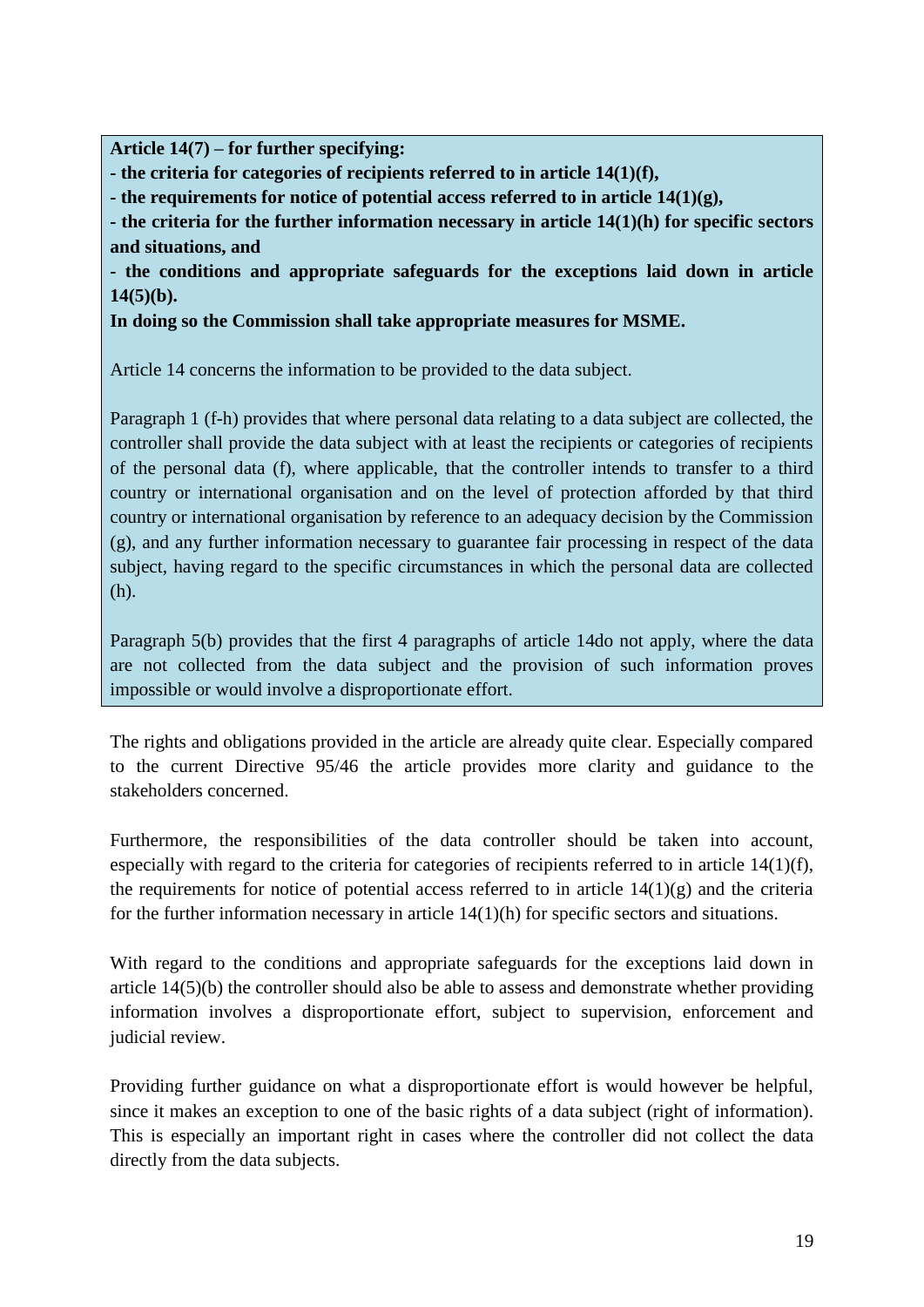**Article 14(7) – for further specifying:**

**- the criteria for categories of recipients referred to in article 14(1)(f),**

**- the requirements for notice of potential access referred to in article 14(1)(g),**

**- the criteria for the further information necessary in article 14(1)(h) for specific sectors and situations, and** 

**- the conditions and appropriate safeguards for the exceptions laid down in article 14(5)(b).** 

**In doing so the Commission shall take appropriate measures for MSME.**

Article 14 concerns the information to be provided to the data subject.

Paragraph 1 (f-h) provides that where personal data relating to a data subject are collected, the controller shall provide the data subject with at least the recipients or categories of recipients of the personal data (f), where applicable, that the controller intends to transfer to a third country or international organisation and on the level of protection afforded by that third country or international organisation by reference to an adequacy decision by the Commission (g), and any further information necessary to guarantee fair processing in respect of the data subject, having regard to the specific circumstances in which the personal data are collected (h).

Paragraph 5(b) provides that the first 4 paragraphs of article 14do not apply, where the data are not collected from the data subject and the provision of such information proves impossible or would involve a disproportionate effort.

The rights and obligations provided in the article are already quite clear. Especially compared to the current Directive 95/46 the article provides more clarity and guidance to the stakeholders concerned.

Furthermore, the responsibilities of the data controller should be taken into account, especially with regard to the criteria for categories of recipients referred to in article 14(1)(f), the requirements for notice of potential access referred to in article  $14(1)(g)$  and the criteria for the further information necessary in article 14(1)(h) for specific sectors and situations.

With regard to the conditions and appropriate safeguards for the exceptions laid down in article 14(5)(b) the controller should also be able to assess and demonstrate whether providing information involves a disproportionate effort, subject to supervision, enforcement and judicial review.

Providing further guidance on what a disproportionate effort is would however be helpful, since it makes an exception to one of the basic rights of a data subject (right of information). This is especially an important right in cases where the controller did not collect the data directly from the data subjects.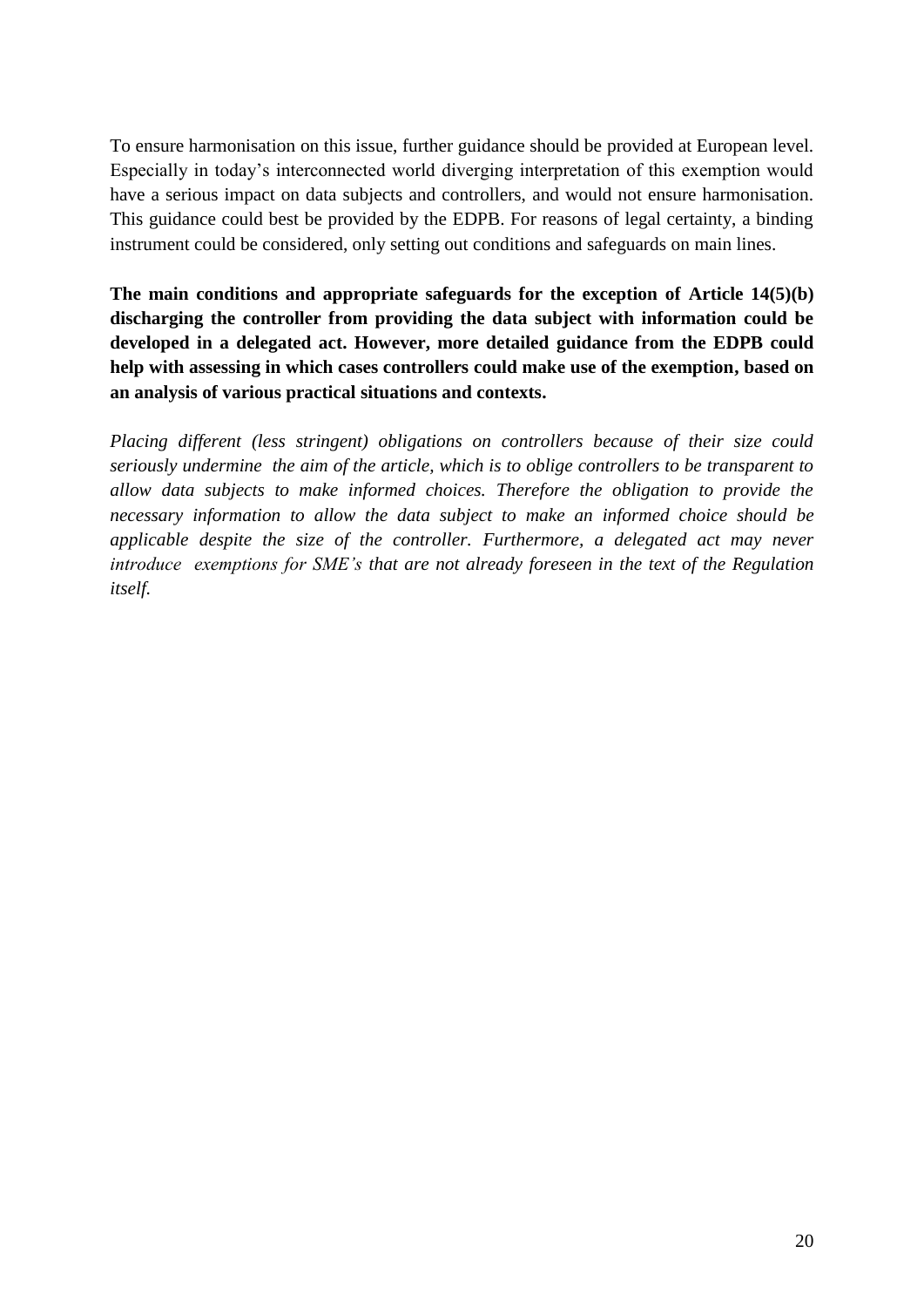To ensure harmonisation on this issue, further guidance should be provided at European level. Especially in today's interconnected world diverging interpretation of this exemption would have a serious impact on data subjects and controllers, and would not ensure harmonisation. This guidance could best be provided by the EDPB. For reasons of legal certainty, a binding instrument could be considered, only setting out conditions and safeguards on main lines.

**The main conditions and appropriate safeguards for the exception of Article 14(5)(b) discharging the controller from providing the data subject with information could be developed in a delegated act. However, more detailed guidance from the EDPB could help with assessing in which cases controllers could make use of the exemption, based on an analysis of various practical situations and contexts.**

*Placing different (less stringent) obligations on controllers because of their size could seriously undermine the aim of the article, which is to oblige controllers to be transparent to allow data subjects to make informed choices. Therefore the obligation to provide the necessary information to allow the data subject to make an informed choice should be applicable despite the size of the controller. Furthermore, a delegated act may never introduce exemptions for SME's that are not already foreseen in the text of the Regulation itself.*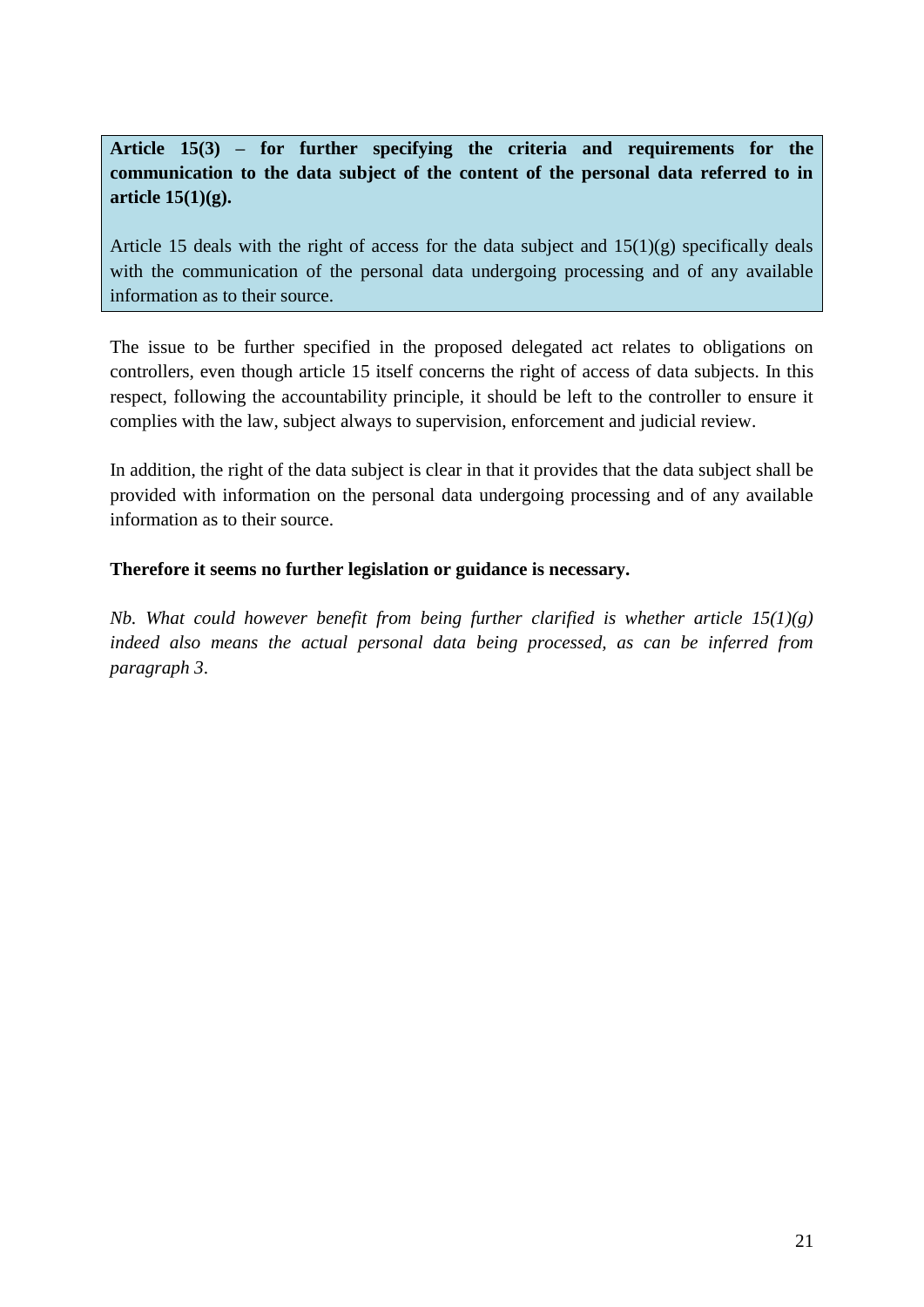**Article 15(3) – for further specifying the criteria and requirements for the communication to the data subject of the content of the personal data referred to in article 15(1)(g).**

Article 15 deals with the right of access for the data subject and  $15(1)(g)$  specifically deals with the communication of the personal data undergoing processing and of any available information as to their source.

The issue to be further specified in the proposed delegated act relates to obligations on controllers, even though article 15 itself concerns the right of access of data subjects. In this respect, following the accountability principle, it should be left to the controller to ensure it complies with the law, subject always to supervision, enforcement and judicial review.

In addition, the right of the data subject is clear in that it provides that the data subject shall be provided with information on the personal data undergoing processing and of any available information as to their source.

### **Therefore it seems no further legislation or guidance is necessary.**

*Nb. What could however benefit from being further clarified is whether article 15(1)(g) indeed also means the actual personal data being processed, as can be inferred from paragraph 3*.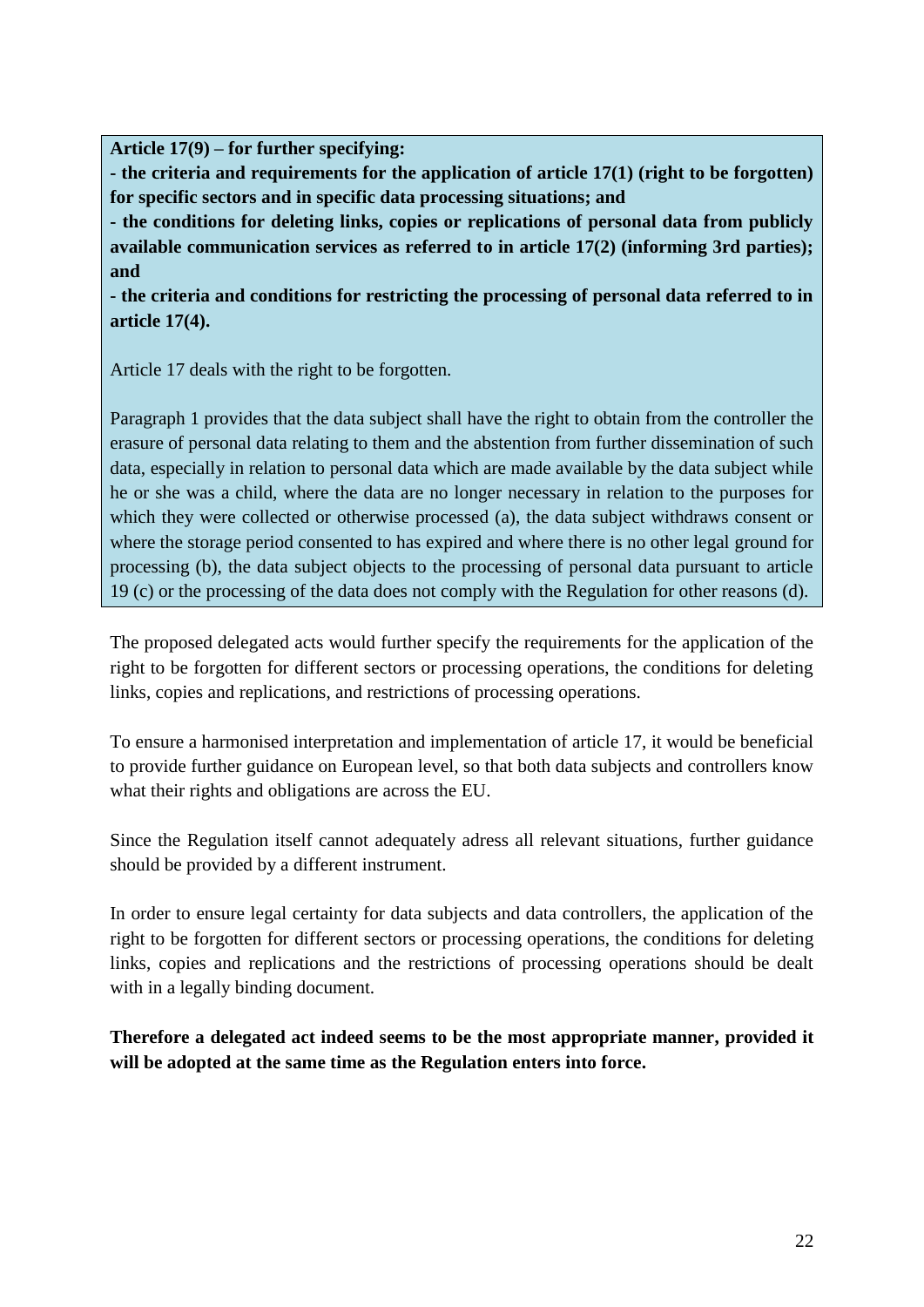**Article 17(9) – for further specifying:**

**- the criteria and requirements for the application of article 17(1) (right to be forgotten) for specific sectors and in specific data processing situations; and**

**- the conditions for deleting links, copies or replications of personal data from publicly available communication services as referred to in article 17(2) (informing 3rd parties); and**

**- the criteria and conditions for restricting the processing of personal data referred to in article 17(4).**

Article 17 deals with the right to be forgotten.

Paragraph 1 provides that the data subject shall have the right to obtain from the controller the erasure of personal data relating to them and the abstention from further dissemination of such data, especially in relation to personal data which are made available by the data subject while he or she was a child, where the data are no longer necessary in relation to the purposes for which they were collected or otherwise processed (a), the data subject withdraws consent or where the storage period consented to has expired and where there is no other legal ground for processing (b), the data subject objects to the processing of personal data pursuant to article 19 (c) or the processing of the data does not comply with the Regulation for other reasons (d).

The proposed delegated acts would further specify the requirements for the application of the right to be forgotten for different sectors or processing operations, the conditions for deleting links, copies and replications, and restrictions of processing operations.

To ensure a harmonised interpretation and implementation of article 17, it would be beneficial to provide further guidance on European level, so that both data subjects and controllers know what their rights and obligations are across the EU.

Since the Regulation itself cannot adequately adress all relevant situations, further guidance should be provided by a different instrument.

In order to ensure legal certainty for data subjects and data controllers, the application of the right to be forgotten for different sectors or processing operations, the conditions for deleting links, copies and replications and the restrictions of processing operations should be dealt with in a legally binding document.

**Therefore a delegated act indeed seems to be the most appropriate manner, provided it will be adopted at the same time as the Regulation enters into force.**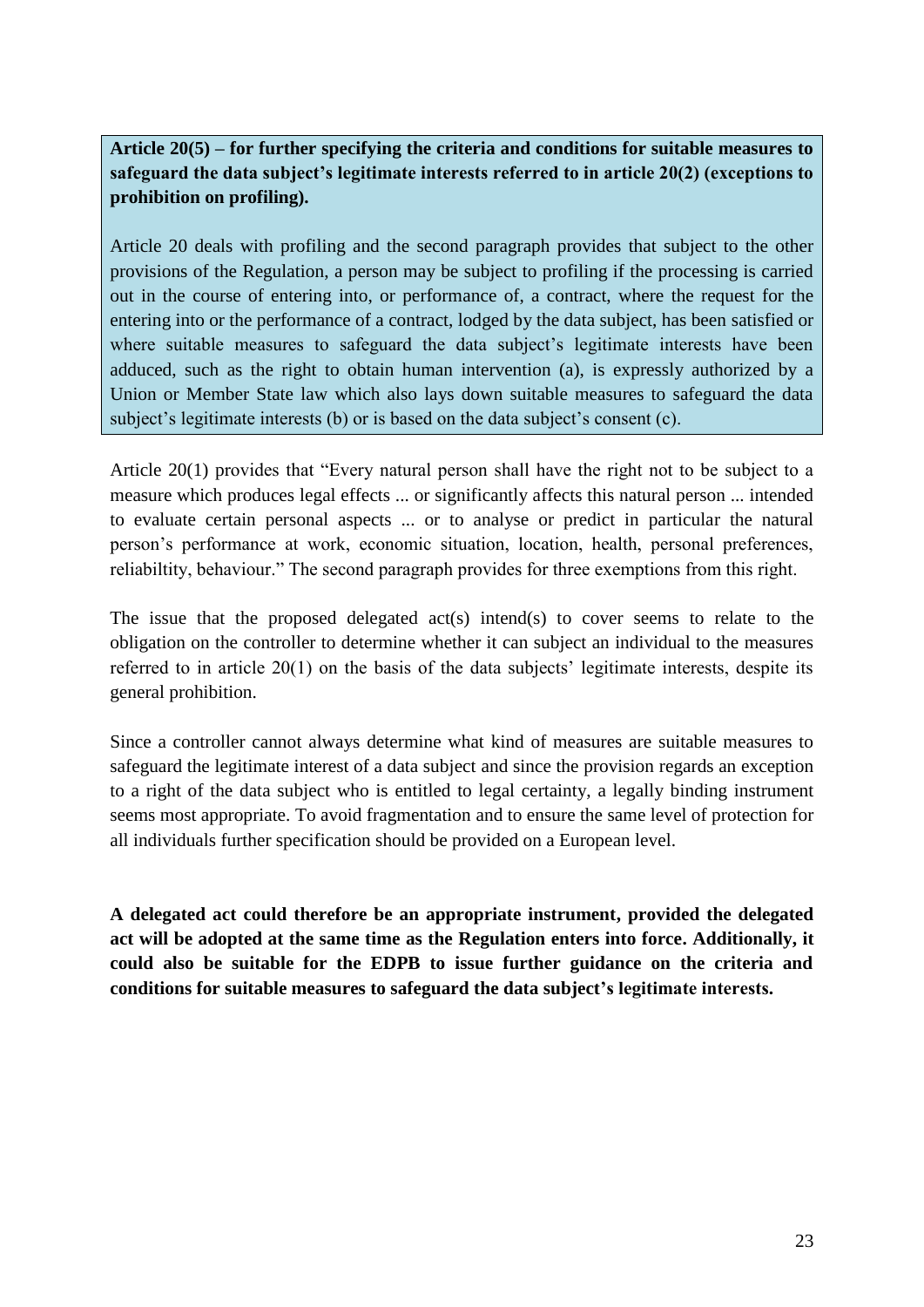**Article 20(5) – for further specifying the criteria and conditions for suitable measures to safeguard the data subject's legitimate interests referred to in article 20(2) (exceptions to prohibition on profiling).**

Article 20 deals with profiling and the second paragraph provides that subject to the other provisions of the Regulation, a person may be subject to profiling if the processing is carried out in the course of entering into, or performance of, a contract, where the request for the entering into or the performance of a contract, lodged by the data subject, has been satisfied or where suitable measures to safeguard the data subject's legitimate interests have been adduced, such as the right to obtain human intervention (a), is expressly authorized by a Union or Member State law which also lays down suitable measures to safeguard the data subject's legitimate interests (b) or is based on the data subject's consent (c).

Article 20(1) provides that "Every natural person shall have the right not to be subject to a measure which produces legal effects ... or significantly affects this natural person ... intended to evaluate certain personal aspects ... or to analyse or predict in particular the natural person's performance at work, economic situation, location, health, personal preferences, reliabiltity, behaviour." The second paragraph provides for three exemptions from this right.

The issue that the proposed delegated act(s) intend(s) to cover seems to relate to the obligation on the controller to determine whether it can subject an individual to the measures referred to in article 20(1) on the basis of the data subjects' legitimate interests, despite its general prohibition.

Since a controller cannot always determine what kind of measures are suitable measures to safeguard the legitimate interest of a data subject and since the provision regards an exception to a right of the data subject who is entitled to legal certainty, a legally binding instrument seems most appropriate. To avoid fragmentation and to ensure the same level of protection for all individuals further specification should be provided on a European level.

**A delegated act could therefore be an appropriate instrument, provided the delegated act will be adopted at the same time as the Regulation enters into force. Additionally, it could also be suitable for the EDPB to issue further guidance on the criteria and conditions for suitable measures to safeguard the data subject's legitimate interests.**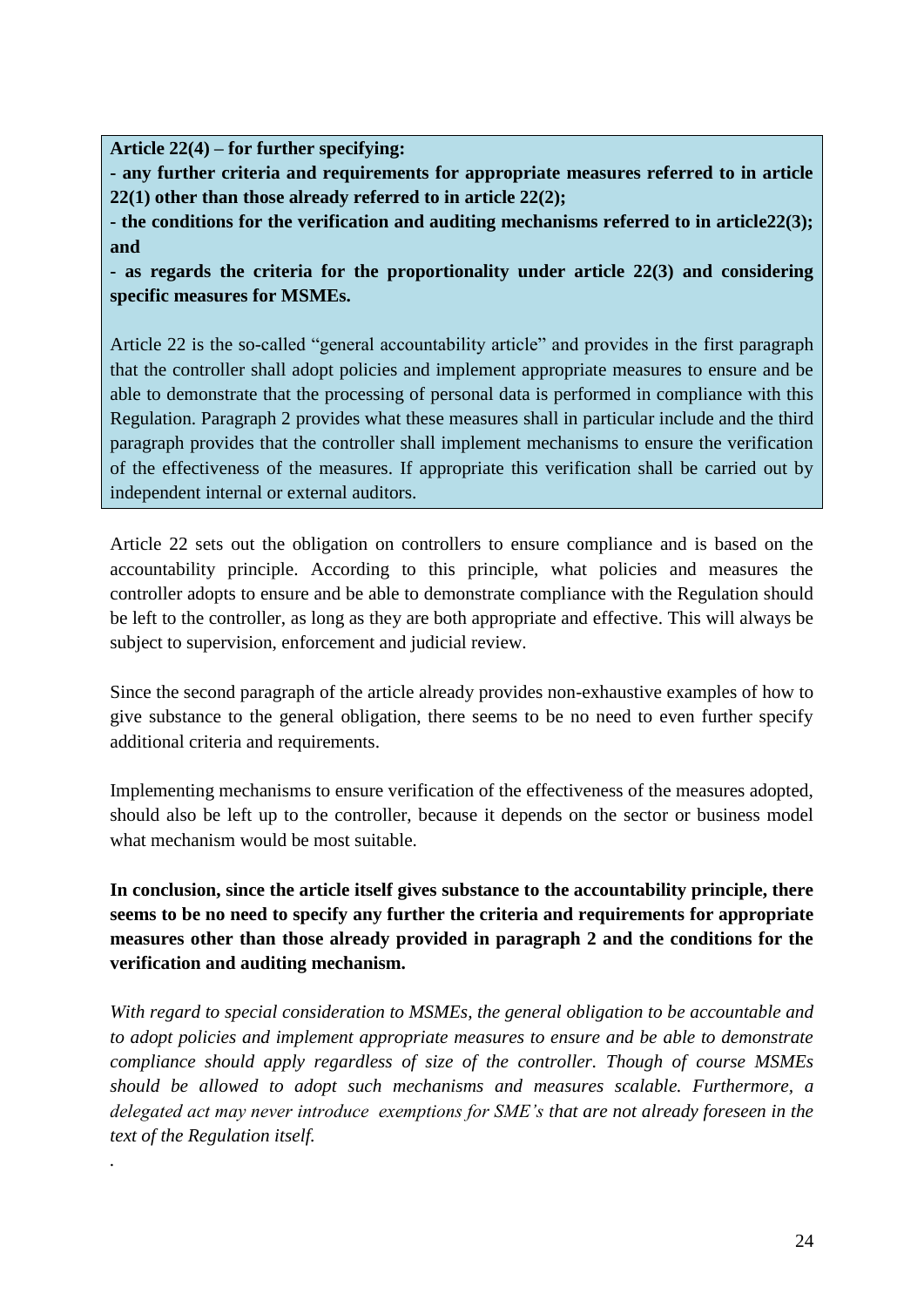**Article 22(4) – for further specifying:**

*.*

**- any further criteria and requirements for appropriate measures referred to in article 22(1) other than those already referred to in article 22(2);** 

**- the conditions for the verification and auditing mechanisms referred to in article22(3); and** 

**- as regards the criteria for the proportionality under article 22(3) and considering specific measures for MSMEs.**

Article 22 is the so-called "general accountability article" and provides in the first paragraph that the controller shall adopt policies and implement appropriate measures to ensure and be able to demonstrate that the processing of personal data is performed in compliance with this Regulation. Paragraph 2 provides what these measures shall in particular include and the third paragraph provides that the controller shall implement mechanisms to ensure the verification of the effectiveness of the measures. If appropriate this verification shall be carried out by independent internal or external auditors.

Article 22 sets out the obligation on controllers to ensure compliance and is based on the accountability principle. According to this principle, what policies and measures the controller adopts to ensure and be able to demonstrate compliance with the Regulation should be left to the controller, as long as they are both appropriate and effective. This will always be subject to supervision, enforcement and judicial review.

Since the second paragraph of the article already provides non-exhaustive examples of how to give substance to the general obligation, there seems to be no need to even further specify additional criteria and requirements.

Implementing mechanisms to ensure verification of the effectiveness of the measures adopted, should also be left up to the controller, because it depends on the sector or business model what mechanism would be most suitable.

**In conclusion, since the article itself gives substance to the accountability principle, there seems to be no need to specify any further the criteria and requirements for appropriate measures other than those already provided in paragraph 2 and the conditions for the verification and auditing mechanism.** 

*With regard to special consideration to MSMEs, the general obligation to be accountable and to adopt policies and implement appropriate measures to ensure and be able to demonstrate compliance should apply regardless of size of the controller. Though of course MSMEs should be allowed to adopt such mechanisms and measures scalable. Furthermore, a delegated act may never introduce exemptions for SME's that are not already foreseen in the text of the Regulation itself.*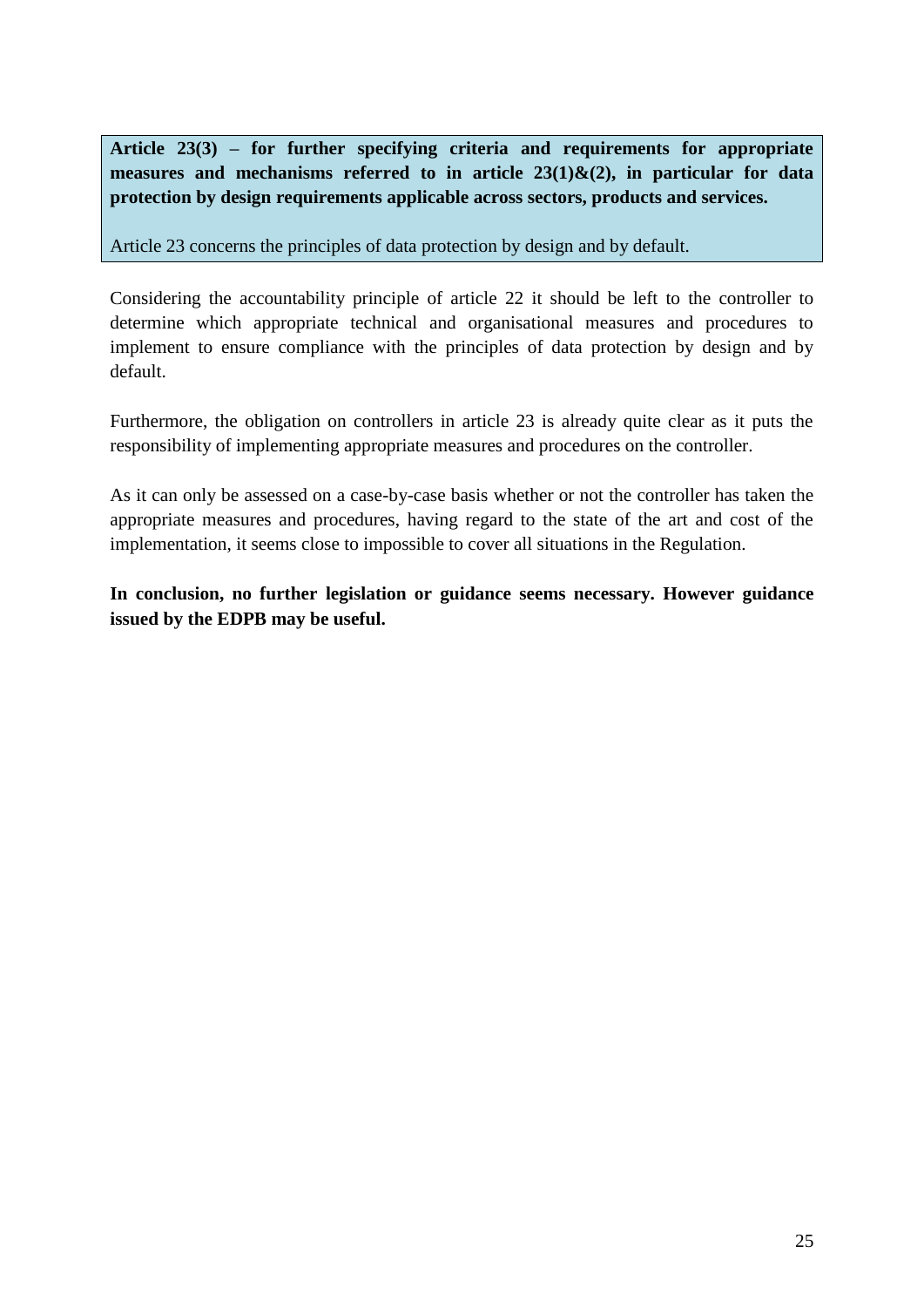**Article 23(3) – for further specifying criteria and requirements for appropriate measures and mechanisms referred to in article 23(1)&(2), in particular for data protection by design requirements applicable across sectors, products and services.** 

Article 23 concerns the principles of data protection by design and by default.

Considering the accountability principle of article 22 it should be left to the controller to determine which appropriate technical and organisational measures and procedures to implement to ensure compliance with the principles of data protection by design and by default.

Furthermore, the obligation on controllers in article 23 is already quite clear as it puts the responsibility of implementing appropriate measures and procedures on the controller.

As it can only be assessed on a case-by-case basis whether or not the controller has taken the appropriate measures and procedures, having regard to the state of the art and cost of the implementation, it seems close to impossible to cover all situations in the Regulation.

**In conclusion, no further legislation or guidance seems necessary. However guidance issued by the EDPB may be useful.**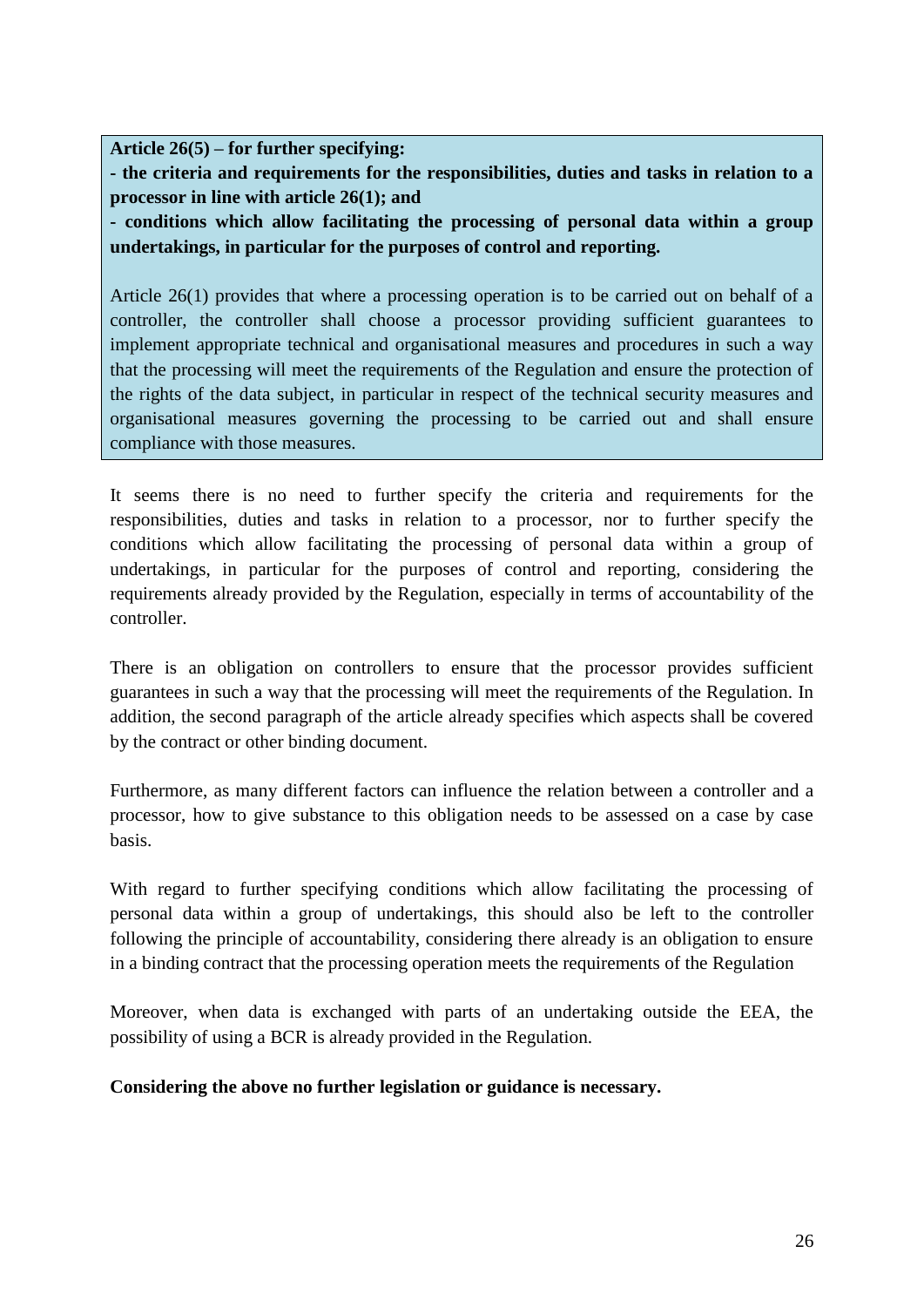**Article 26(5) – for further specifying:**

**- the criteria and requirements for the responsibilities, duties and tasks in relation to a processor in line with article 26(1); and**

**- conditions which allow facilitating the processing of personal data within a group undertakings, in particular for the purposes of control and reporting.**

Article 26(1) provides that where a processing operation is to be carried out on behalf of a controller, the controller shall choose a processor providing sufficient guarantees to implement appropriate technical and organisational measures and procedures in such a way that the processing will meet the requirements of the Regulation and ensure the protection of the rights of the data subject, in particular in respect of the technical security measures and organisational measures governing the processing to be carried out and shall ensure compliance with those measures.

It seems there is no need to further specify the criteria and requirements for the responsibilities, duties and tasks in relation to a processor, nor to further specify the conditions which allow facilitating the processing of personal data within a group of undertakings, in particular for the purposes of control and reporting, considering the requirements already provided by the Regulation, especially in terms of accountability of the controller.

There is an obligation on controllers to ensure that the processor provides sufficient guarantees in such a way that the processing will meet the requirements of the Regulation. In addition, the second paragraph of the article already specifies which aspects shall be covered by the contract or other binding document.

Furthermore, as many different factors can influence the relation between a controller and a processor, how to give substance to this obligation needs to be assessed on a case by case basis.

With regard to further specifying conditions which allow facilitating the processing of personal data within a group of undertakings, this should also be left to the controller following the principle of accountability, considering there already is an obligation to ensure in a binding contract that the processing operation meets the requirements of the Regulation

Moreover, when data is exchanged with parts of an undertaking outside the EEA, the possibility of using a BCR is already provided in the Regulation.

**Considering the above no further legislation or guidance is necessary.**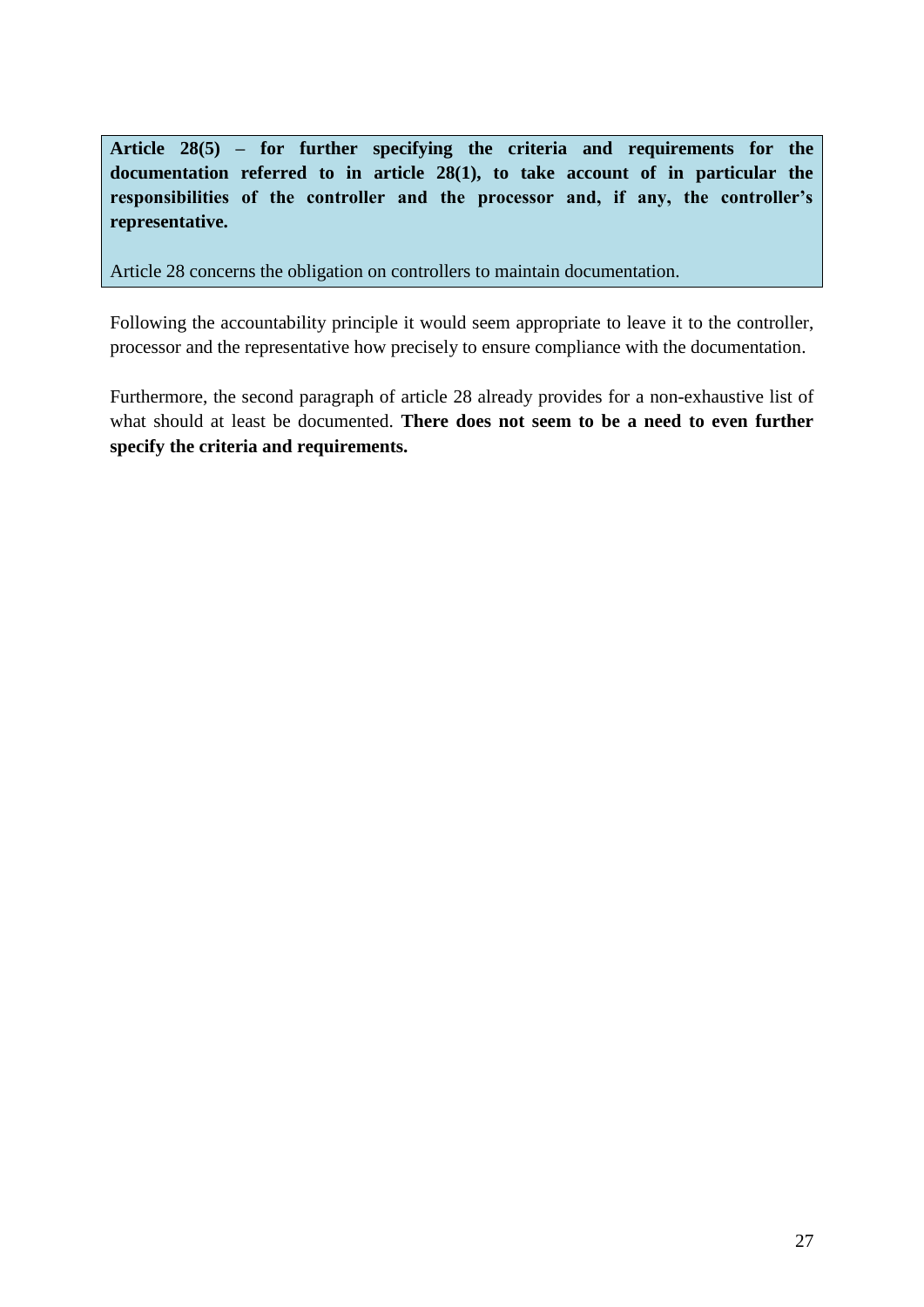**Article 28(5) – for further specifying the criteria and requirements for the documentation referred to in article 28(1), to take account of in particular the responsibilities of the controller and the processor and, if any, the controller's representative.** 

Article 28 concerns the obligation on controllers to maintain documentation.

Following the accountability principle it would seem appropriate to leave it to the controller, processor and the representative how precisely to ensure compliance with the documentation.

Furthermore, the second paragraph of article 28 already provides for a non-exhaustive list of what should at least be documented. **There does not seem to be a need to even further specify the criteria and requirements.**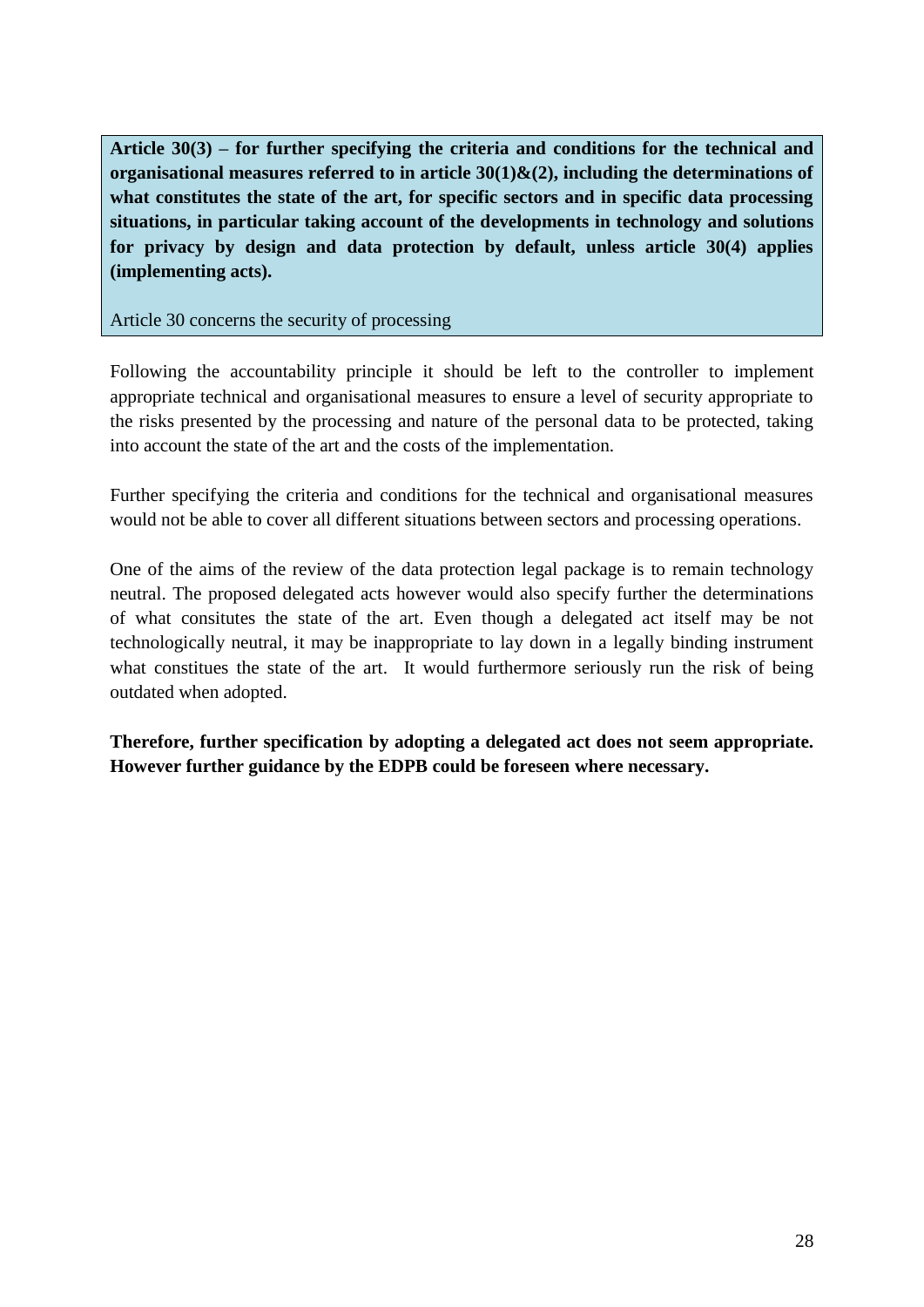**Article 30(3) – for further specifying the criteria and conditions for the technical and organisational measures referred to in article 30(1)&(2), including the determinations of what constitutes the state of the art, for specific sectors and in specific data processing situations, in particular taking account of the developments in technology and solutions for privacy by design and data protection by default, unless article 30(4) applies (implementing acts).**

Article 30 concerns the security of processing

Following the accountability principle it should be left to the controller to implement appropriate technical and organisational measures to ensure a level of security appropriate to the risks presented by the processing and nature of the personal data to be protected, taking into account the state of the art and the costs of the implementation.

Further specifying the criteria and conditions for the technical and organisational measures would not be able to cover all different situations between sectors and processing operations.

One of the aims of the review of the data protection legal package is to remain technology neutral. The proposed delegated acts however would also specify further the determinations of what consitutes the state of the art. Even though a delegated act itself may be not technologically neutral, it may be inappropriate to lay down in a legally binding instrument what constitues the state of the art. It would furthermore seriously run the risk of being outdated when adopted.

**Therefore, further specification by adopting a delegated act does not seem appropriate. However further guidance by the EDPB could be foreseen where necessary.**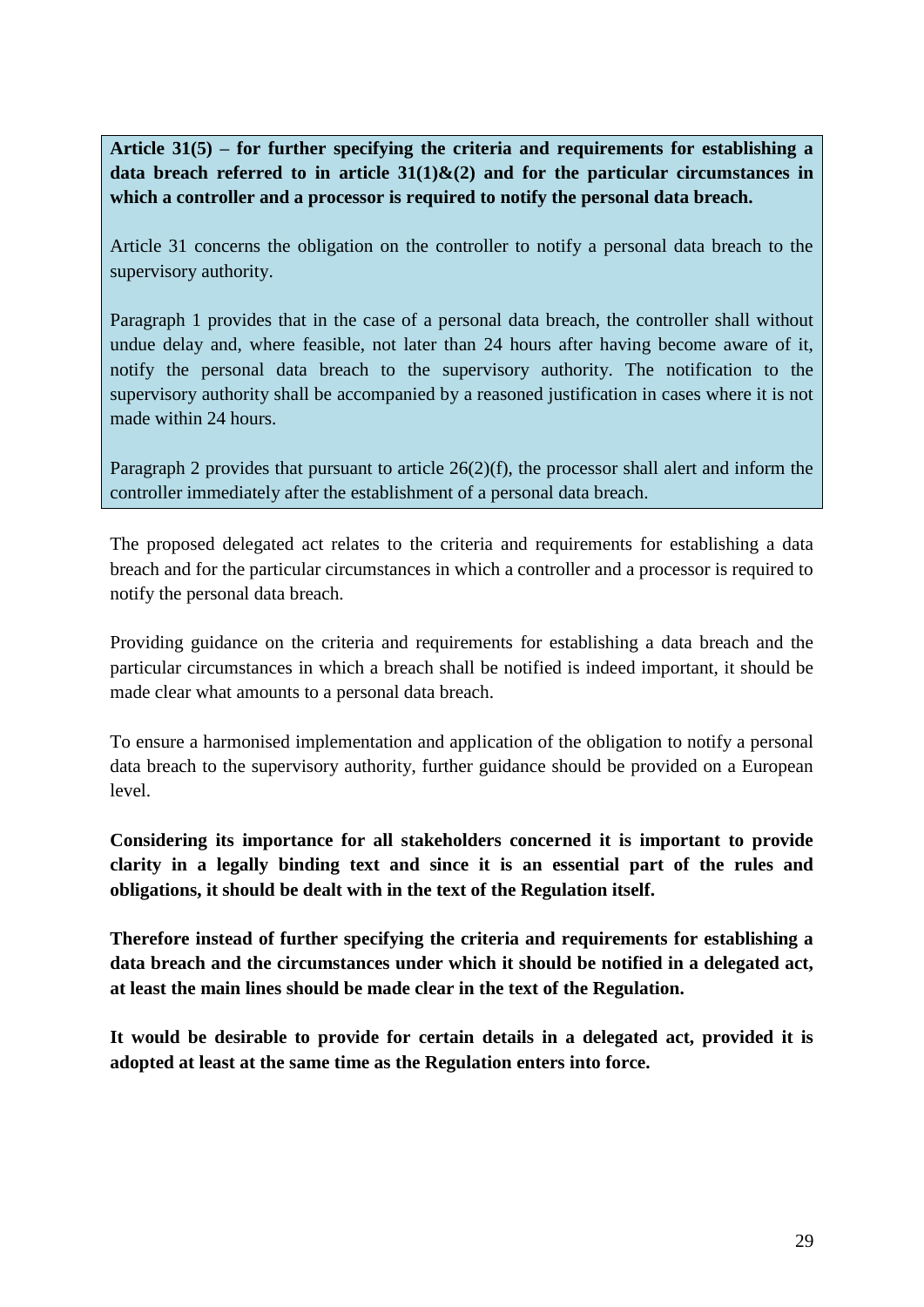**Article 31(5) – for further specifying the criteria and requirements for establishing a**  data breach referred to in article  $31(1)$ & $(2)$  and for the particular circumstances in **which a controller and a processor is required to notify the personal data breach.**

Article 31 concerns the obligation on the controller to notify a personal data breach to the supervisory authority.

Paragraph 1 provides that in the case of a personal data breach, the controller shall without undue delay and, where feasible, not later than 24 hours after having become aware of it, notify the personal data breach to the supervisory authority. The notification to the supervisory authority shall be accompanied by a reasoned justification in cases where it is not made within 24 hours.

Paragraph 2 provides that pursuant to article 26(2)(f), the processor shall alert and inform the controller immediately after the establishment of a personal data breach.

The proposed delegated act relates to the criteria and requirements for establishing a data breach and for the particular circumstances in which a controller and a processor is required to notify the personal data breach.

Providing guidance on the criteria and requirements for establishing a data breach and the particular circumstances in which a breach shall be notified is indeed important, it should be made clear what amounts to a personal data breach.

To ensure a harmonised implementation and application of the obligation to notify a personal data breach to the supervisory authority, further guidance should be provided on a European level.

**Considering its importance for all stakeholders concerned it is important to provide clarity in a legally binding text and since it is an essential part of the rules and obligations, it should be dealt with in the text of the Regulation itself.**

**Therefore instead of further specifying the criteria and requirements for establishing a data breach and the circumstances under which it should be notified in a delegated act, at least the main lines should be made clear in the text of the Regulation.** 

**It would be desirable to provide for certain details in a delegated act, provided it is adopted at least at the same time as the Regulation enters into force.**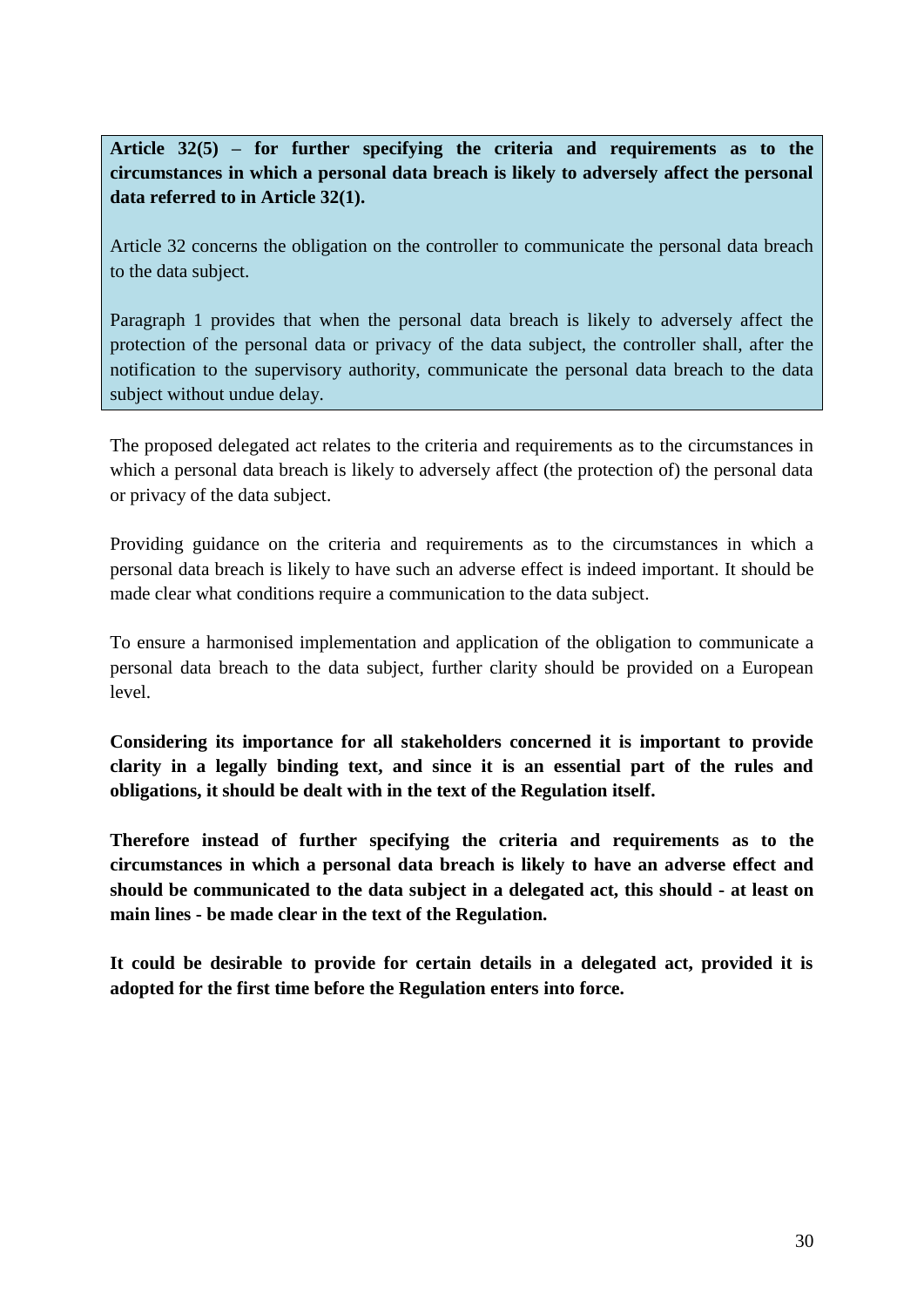**Article 32(5) – for further specifying the criteria and requirements as to the circumstances in which a personal data breach is likely to adversely affect the personal data referred to in Article 32(1).**

Article 32 concerns the obligation on the controller to communicate the personal data breach to the data subject.

Paragraph 1 provides that when the personal data breach is likely to adversely affect the protection of the personal data or privacy of the data subject, the controller shall, after the notification to the supervisory authority, communicate the personal data breach to the data subject without undue delay.

The proposed delegated act relates to the criteria and requirements as to the circumstances in which a personal data breach is likely to adversely affect (the protection of) the personal data or privacy of the data subject.

Providing guidance on the criteria and requirements as to the circumstances in which a personal data breach is likely to have such an adverse effect is indeed important. It should be made clear what conditions require a communication to the data subject.

To ensure a harmonised implementation and application of the obligation to communicate a personal data breach to the data subject, further clarity should be provided on a European level.

**Considering its importance for all stakeholders concerned it is important to provide clarity in a legally binding text, and since it is an essential part of the rules and obligations, it should be dealt with in the text of the Regulation itself.** 

**Therefore instead of further specifying the criteria and requirements as to the circumstances in which a personal data breach is likely to have an adverse effect and should be communicated to the data subject in a delegated act, this should - at least on main lines - be made clear in the text of the Regulation.** 

**It could be desirable to provide for certain details in a delegated act, provided it is adopted for the first time before the Regulation enters into force.**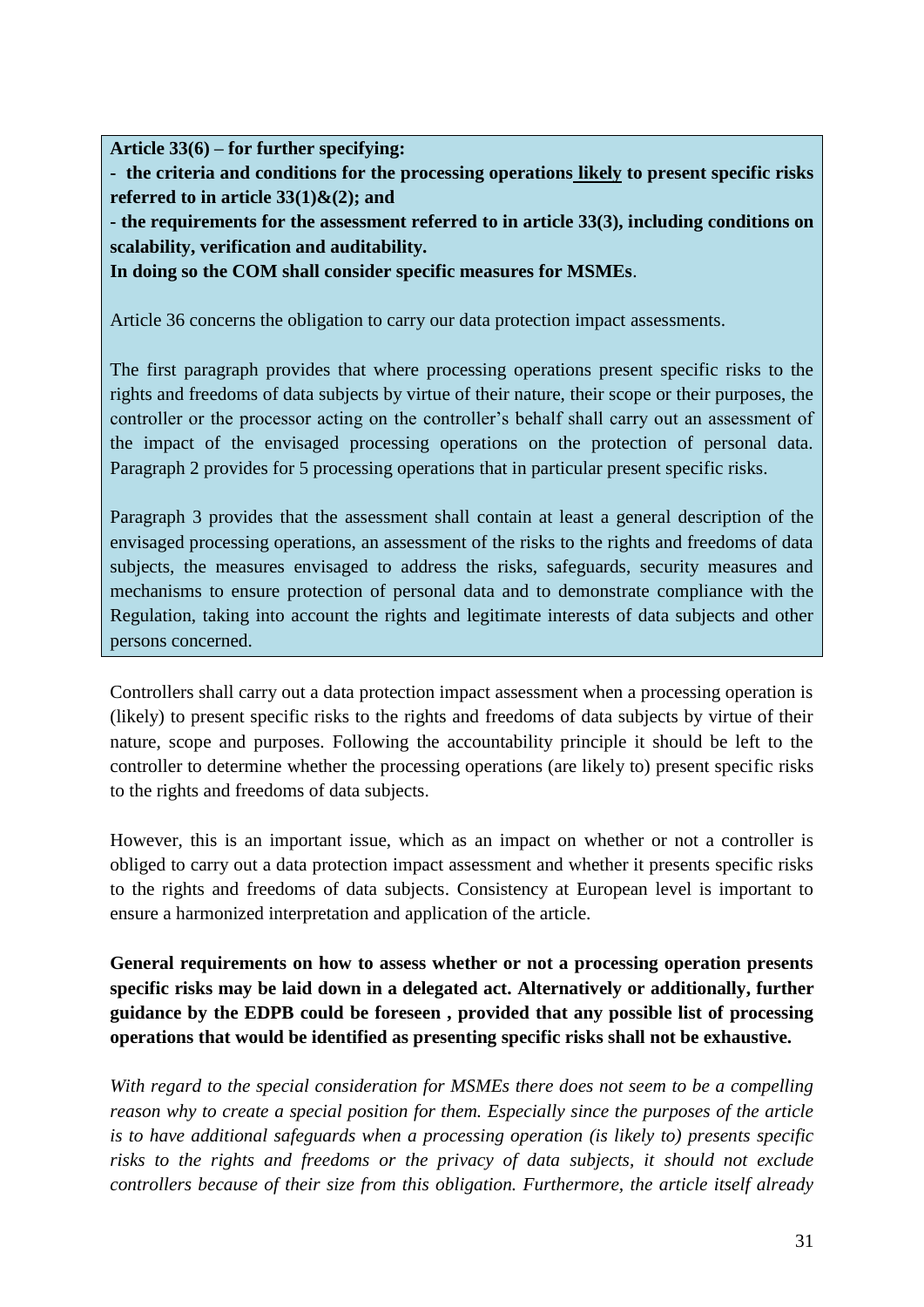**Article 33(6) – for further specifying:**

**- the criteria and conditions for the processing operations likely to present specific risks referred to in article 33(1)&(2); and**

**- the requirements for the assessment referred to in article 33(3), including conditions on scalability, verification and auditability.** 

**In doing so the COM shall consider specific measures for MSMEs**.

Article 36 concerns the obligation to carry our data protection impact assessments.

The first paragraph provides that where processing operations present specific risks to the rights and freedoms of data subjects by virtue of their nature, their scope or their purposes, the controller or the processor acting on the controller's behalf shall carry out an assessment of the impact of the envisaged processing operations on the protection of personal data. Paragraph 2 provides for 5 processing operations that in particular present specific risks.

Paragraph 3 provides that the assessment shall contain at least a general description of the envisaged processing operations, an assessment of the risks to the rights and freedoms of data subjects, the measures envisaged to address the risks, safeguards, security measures and mechanisms to ensure protection of personal data and to demonstrate compliance with the Regulation, taking into account the rights and legitimate interests of data subjects and other persons concerned.

Controllers shall carry out a data protection impact assessment when a processing operation is (likely) to present specific risks to the rights and freedoms of data subjects by virtue of their nature, scope and purposes. Following the accountability principle it should be left to the controller to determine whether the processing operations (are likely to) present specific risks to the rights and freedoms of data subjects.

However, this is an important issue, which as an impact on whether or not a controller is obliged to carry out a data protection impact assessment and whether it presents specific risks to the rights and freedoms of data subjects. Consistency at European level is important to ensure a harmonized interpretation and application of the article.

**General requirements on how to assess whether or not a processing operation presents specific risks may be laid down in a delegated act. Alternatively or additionally, further guidance by the EDPB could be foreseen , provided that any possible list of processing operations that would be identified as presenting specific risks shall not be exhaustive.**

*With regard to the special consideration for MSMEs there does not seem to be a compelling reason why to create a special position for them. Especially since the purposes of the article is to have additional safeguards when a processing operation (is likely to) presents specific risks to the rights and freedoms or the privacy of data subjects, it should not exclude controllers because of their size from this obligation. Furthermore, the article itself already*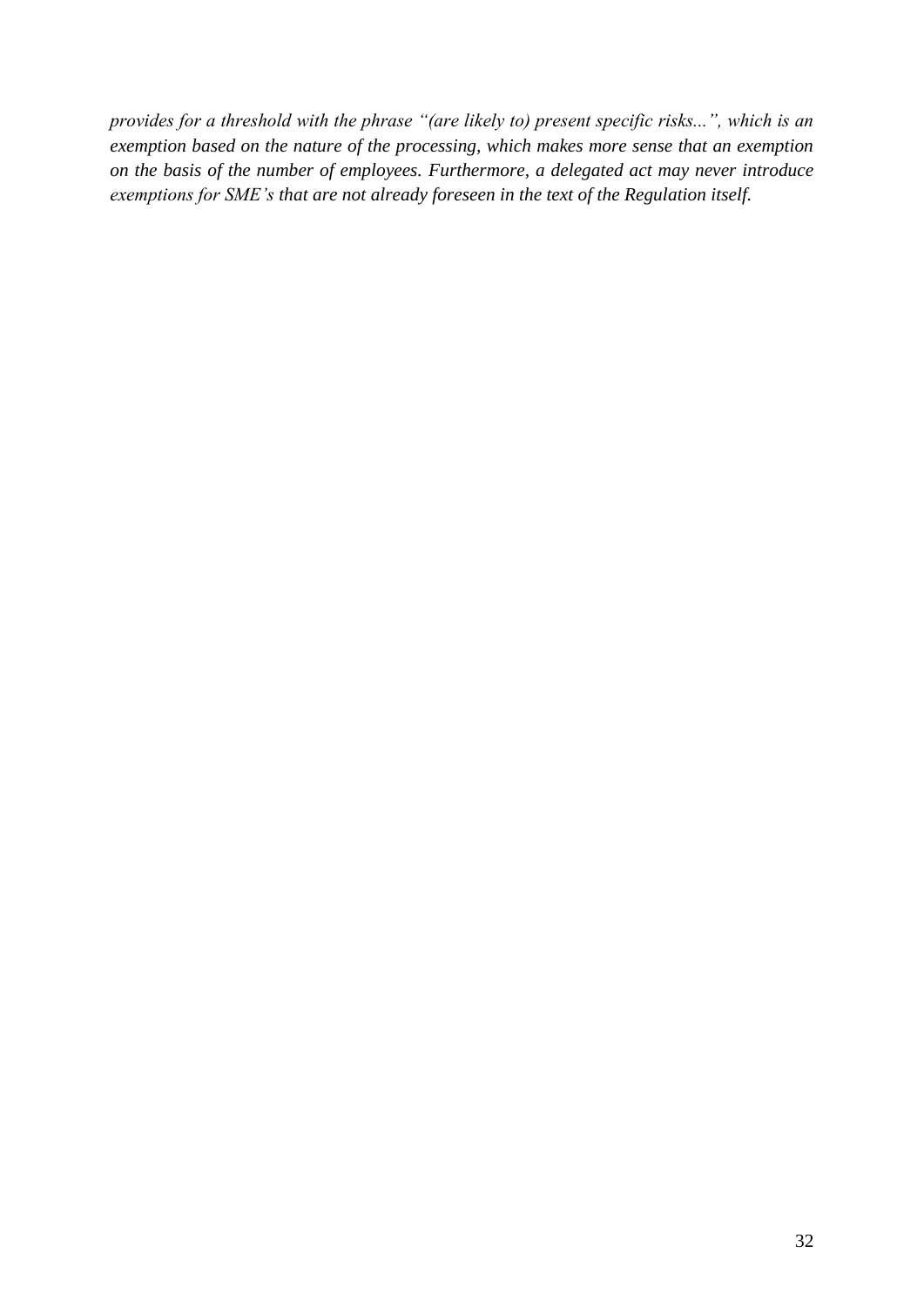*provides for a threshold with the phrase "(are likely to) present specific risks...", which is an exemption based on the nature of the processing, which makes more sense that an exemption on the basis of the number of employees. Furthermore, a delegated act may never introduce exemptions for SME's that are not already foreseen in the text of the Regulation itself.*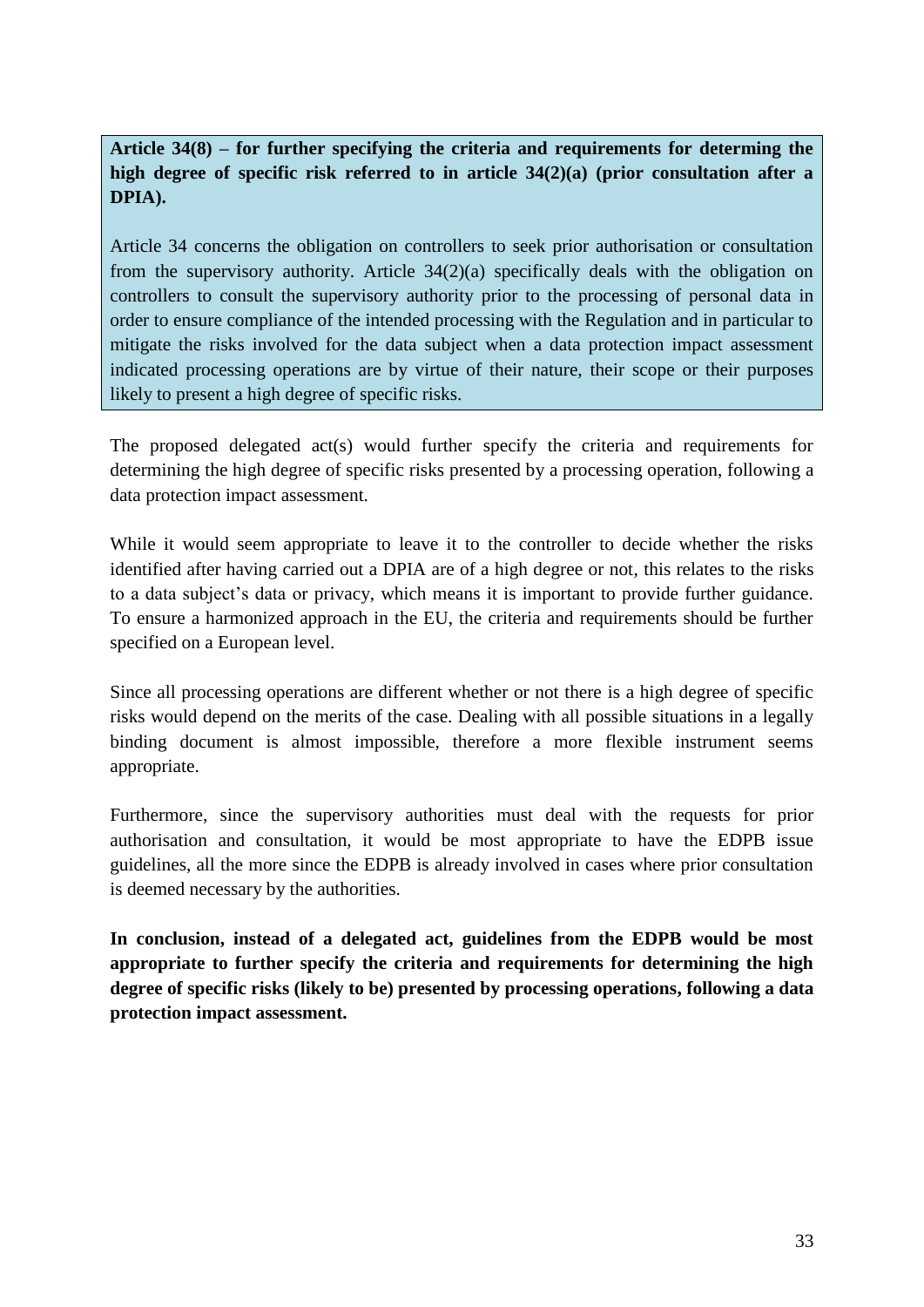**Article 34(8) – for further specifying the criteria and requirements for determing the high degree of specific risk referred to in article 34(2)(a) (prior consultation after a DPIA).**

Article 34 concerns the obligation on controllers to seek prior authorisation or consultation from the supervisory authority. Article 34(2)(a) specifically deals with the obligation on controllers to consult the supervisory authority prior to the processing of personal data in order to ensure compliance of the intended processing with the Regulation and in particular to mitigate the risks involved for the data subject when a data protection impact assessment indicated processing operations are by virtue of their nature, their scope or their purposes likely to present a high degree of specific risks.

The proposed delegated act(s) would further specify the criteria and requirements for determining the high degree of specific risks presented by a processing operation, following a data protection impact assessment.

While it would seem appropriate to leave it to the controller to decide whether the risks identified after having carried out a DPIA are of a high degree or not, this relates to the risks to a data subject's data or privacy, which means it is important to provide further guidance. To ensure a harmonized approach in the EU, the criteria and requirements should be further specified on a European level.

Since all processing operations are different whether or not there is a high degree of specific risks would depend on the merits of the case. Dealing with all possible situations in a legally binding document is almost impossible, therefore a more flexible instrument seems appropriate.

Furthermore, since the supervisory authorities must deal with the requests for prior authorisation and consultation, it would be most appropriate to have the EDPB issue guidelines, all the more since the EDPB is already involved in cases where prior consultation is deemed necessary by the authorities.

**In conclusion, instead of a delegated act, guidelines from the EDPB would be most appropriate to further specify the criteria and requirements for determining the high degree of specific risks (likely to be) presented by processing operations, following a data protection impact assessment.**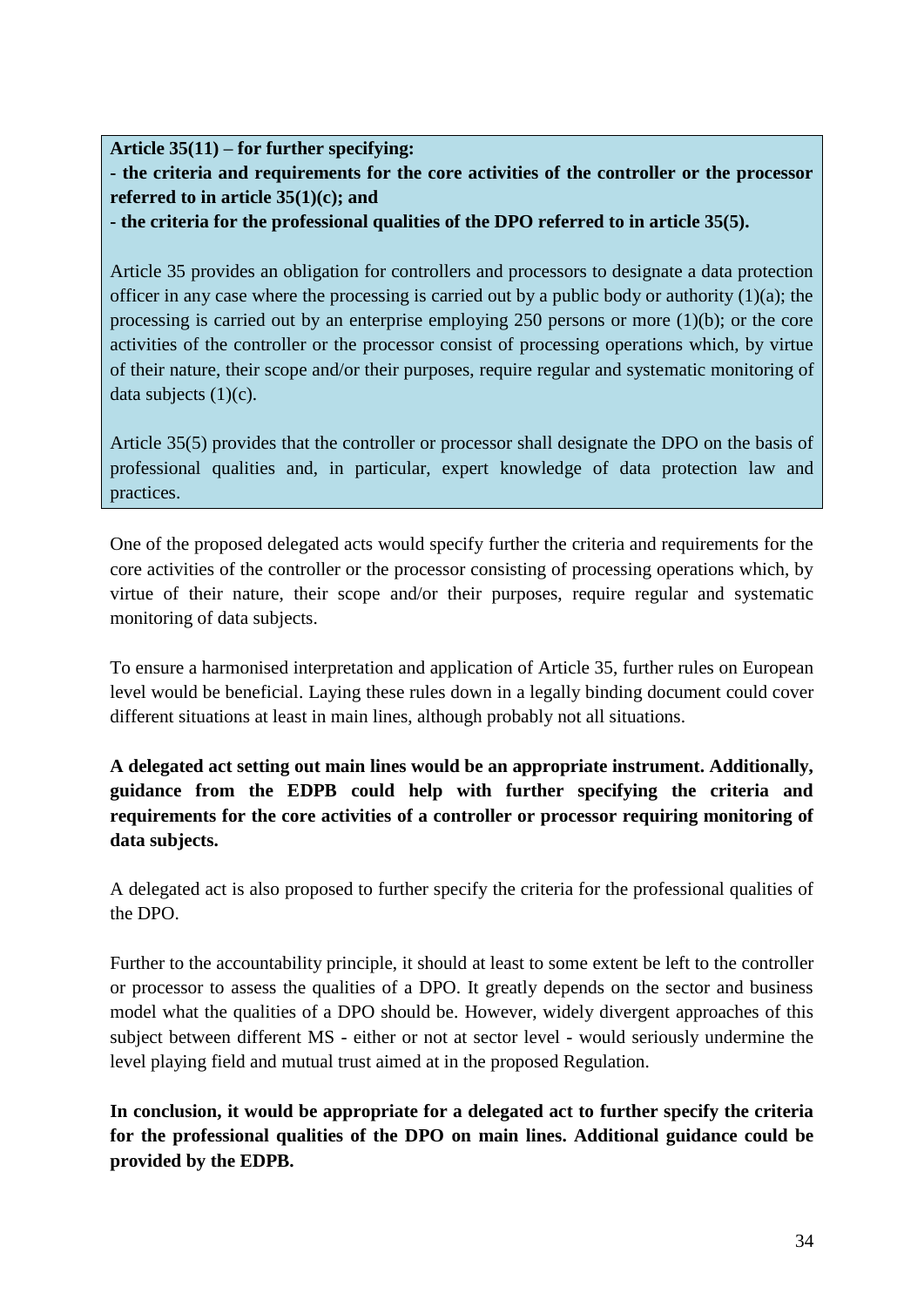### **Article 35(11) – for further specifying:**

**- the criteria and requirements for the core activities of the controller or the processor referred to in article 35(1)(c); and**

**- the criteria for the professional qualities of the DPO referred to in article 35(5).**

Article 35 provides an obligation for controllers and processors to designate a data protection officer in any case where the processing is carried out by a public body or authority (1)(a); the processing is carried out by an enterprise employing 250 persons or more (1)(b); or the core activities of the controller or the processor consist of processing operations which, by virtue of their nature, their scope and/or their purposes, require regular and systematic monitoring of data subjects  $(1)(c)$ .

Article 35(5) provides that the controller or processor shall designate the DPO on the basis of professional qualities and, in particular, expert knowledge of data protection law and practices.

One of the proposed delegated acts would specify further the criteria and requirements for the core activities of the controller or the processor consisting of processing operations which, by virtue of their nature, their scope and/or their purposes, require regular and systematic monitoring of data subjects.

To ensure a harmonised interpretation and application of Article 35, further rules on European level would be beneficial. Laying these rules down in a legally binding document could cover different situations at least in main lines, although probably not all situations.

**A delegated act setting out main lines would be an appropriate instrument. Additionally, guidance from the EDPB could help with further specifying the criteria and requirements for the core activities of a controller or processor requiring monitoring of data subjects.**

A delegated act is also proposed to further specify the criteria for the professional qualities of the DPO.

Further to the accountability principle, it should at least to some extent be left to the controller or processor to assess the qualities of a DPO. It greatly depends on the sector and business model what the qualities of a DPO should be. However, widely divergent approaches of this subject between different MS - either or not at sector level - would seriously undermine the level playing field and mutual trust aimed at in the proposed Regulation.

**In conclusion, it would be appropriate for a delegated act to further specify the criteria for the professional qualities of the DPO on main lines. Additional guidance could be provided by the EDPB.**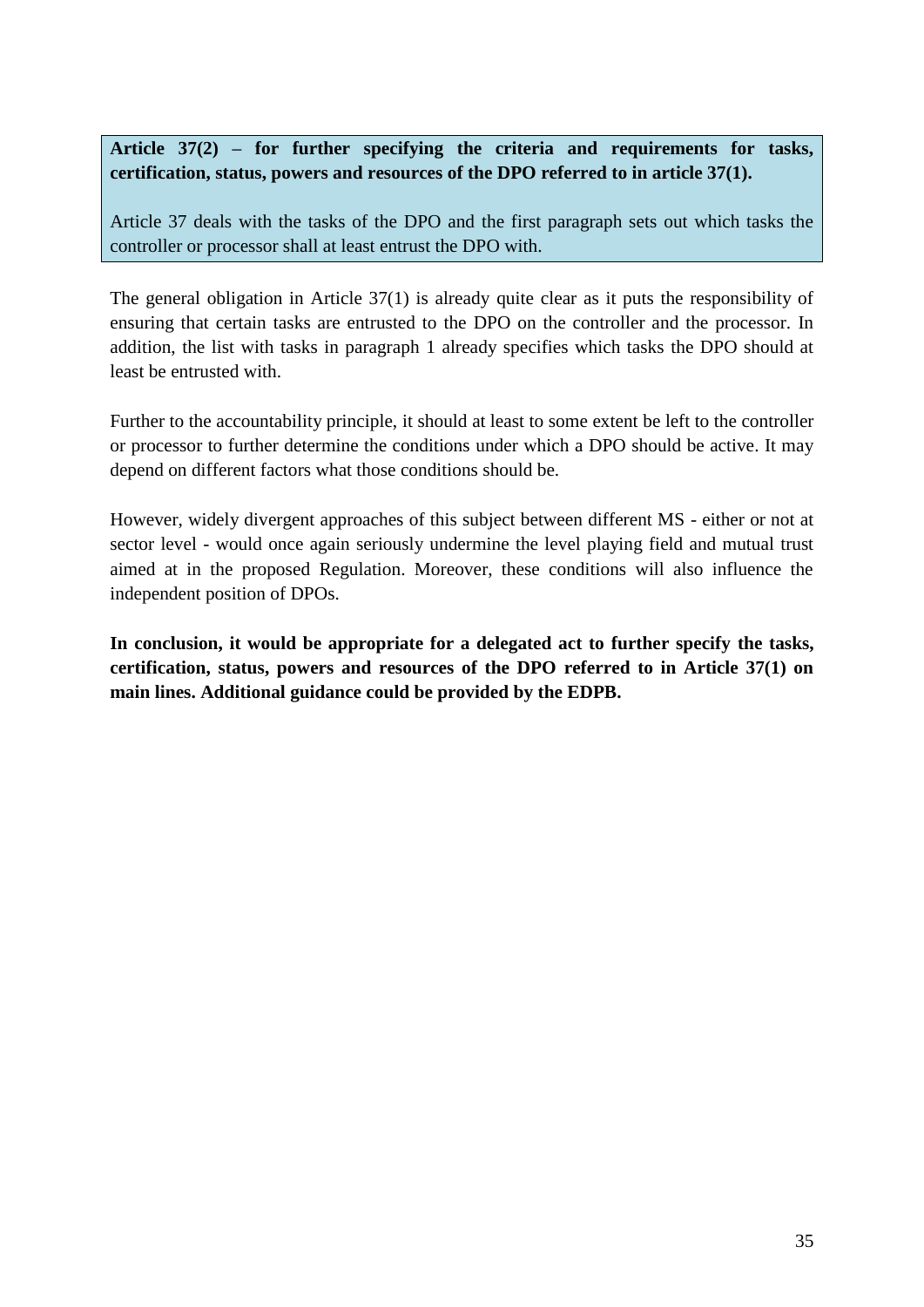# **Article 37(2) – for further specifying the criteria and requirements for tasks, certification, status, powers and resources of the DPO referred to in article 37(1).**

Article 37 deals with the tasks of the DPO and the first paragraph sets out which tasks the controller or processor shall at least entrust the DPO with.

The general obligation in Article 37(1) is already quite clear as it puts the responsibility of ensuring that certain tasks are entrusted to the DPO on the controller and the processor. In addition, the list with tasks in paragraph 1 already specifies which tasks the DPO should at least be entrusted with.

Further to the accountability principle, it should at least to some extent be left to the controller or processor to further determine the conditions under which a DPO should be active. It may depend on different factors what those conditions should be.

However, widely divergent approaches of this subject between different MS - either or not at sector level - would once again seriously undermine the level playing field and mutual trust aimed at in the proposed Regulation. Moreover, these conditions will also influence the independent position of DPOs.

**In conclusion, it would be appropriate for a delegated act to further specify the tasks, certification, status, powers and resources of the DPO referred to in Article 37(1) on main lines. Additional guidance could be provided by the EDPB.**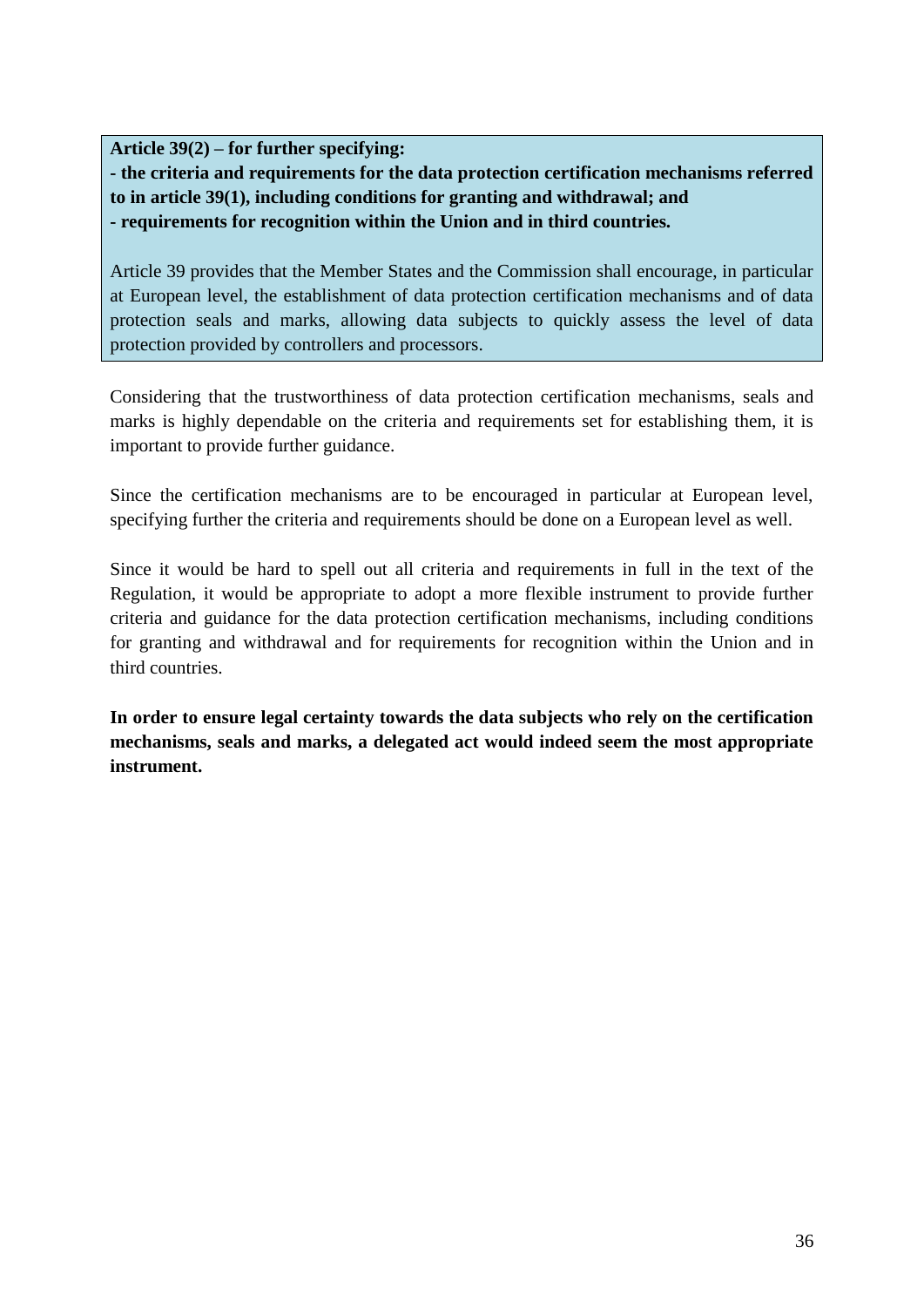**Article 39(2) – for further specifying:**

**- the criteria and requirements for the data protection certification mechanisms referred to in article 39(1), including conditions for granting and withdrawal; and - requirements for recognition within the Union and in third countries.** 

Article 39 provides that the Member States and the Commission shall encourage, in particular at European level, the establishment of data protection certification mechanisms and of data protection seals and marks, allowing data subjects to quickly assess the level of data protection provided by controllers and processors.

Considering that the trustworthiness of data protection certification mechanisms, seals and marks is highly dependable on the criteria and requirements set for establishing them, it is important to provide further guidance.

Since the certification mechanisms are to be encouraged in particular at European level, specifying further the criteria and requirements should be done on a European level as well.

Since it would be hard to spell out all criteria and requirements in full in the text of the Regulation, it would be appropriate to adopt a more flexible instrument to provide further criteria and guidance for the data protection certification mechanisms, including conditions for granting and withdrawal and for requirements for recognition within the Union and in third countries.

**In order to ensure legal certainty towards the data subjects who rely on the certification mechanisms, seals and marks, a delegated act would indeed seem the most appropriate instrument.**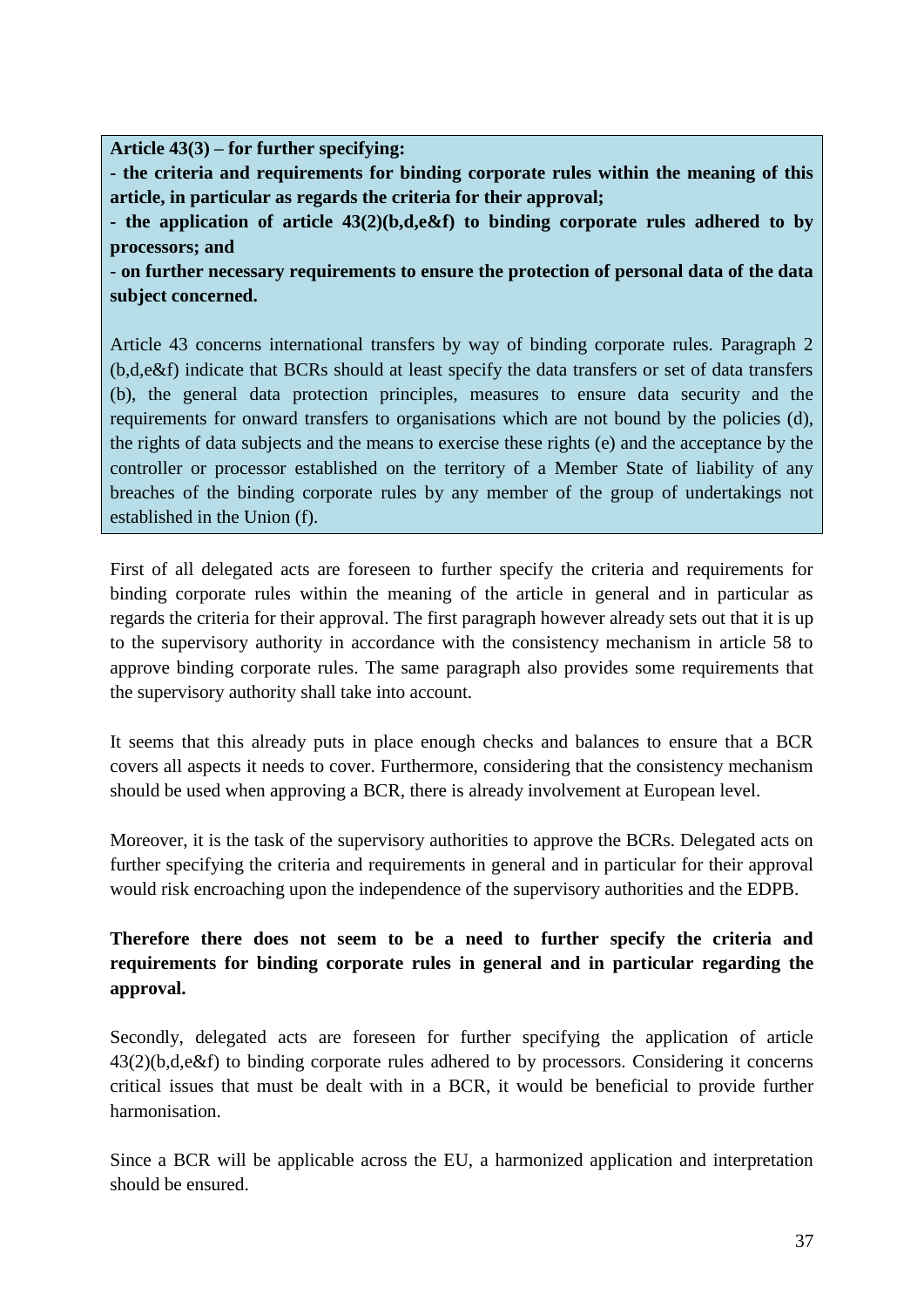**Article 43(3) – for further specifying:**

**- the criteria and requirements for binding corporate rules within the meaning of this article, in particular as regards the criteria for their approval;**

**- the application of article 43(2)(b,d,e&f) to binding corporate rules adhered to by processors; and**

**- on further necessary requirements to ensure the protection of personal data of the data subject concerned.**

Article 43 concerns international transfers by way of binding corporate rules. Paragraph 2 (b,d,e&f) indicate that BCRs should at least specify the data transfers or set of data transfers (b), the general data protection principles, measures to ensure data security and the requirements for onward transfers to organisations which are not bound by the policies (d), the rights of data subjects and the means to exercise these rights (e) and the acceptance by the controller or processor established on the territory of a Member State of liability of any breaches of the binding corporate rules by any member of the group of undertakings not established in the Union (f).

First of all delegated acts are foreseen to further specify the criteria and requirements for binding corporate rules within the meaning of the article in general and in particular as regards the criteria for their approval. The first paragraph however already sets out that it is up to the supervisory authority in accordance with the consistency mechanism in article 58 to approve binding corporate rules. The same paragraph also provides some requirements that the supervisory authority shall take into account.

It seems that this already puts in place enough checks and balances to ensure that a BCR covers all aspects it needs to cover. Furthermore, considering that the consistency mechanism should be used when approving a BCR, there is already involvement at European level.

Moreover, it is the task of the supervisory authorities to approve the BCRs. Delegated acts on further specifying the criteria and requirements in general and in particular for their approval would risk encroaching upon the independence of the supervisory authorities and the EDPB.

# **Therefore there does not seem to be a need to further specify the criteria and requirements for binding corporate rules in general and in particular regarding the approval.**

Secondly, delegated acts are foreseen for further specifying the application of article 43(2)(b,d,e&f) to binding corporate rules adhered to by processors. Considering it concerns critical issues that must be dealt with in a BCR, it would be beneficial to provide further harmonisation.

Since a BCR will be applicable across the EU, a harmonized application and interpretation should be ensured.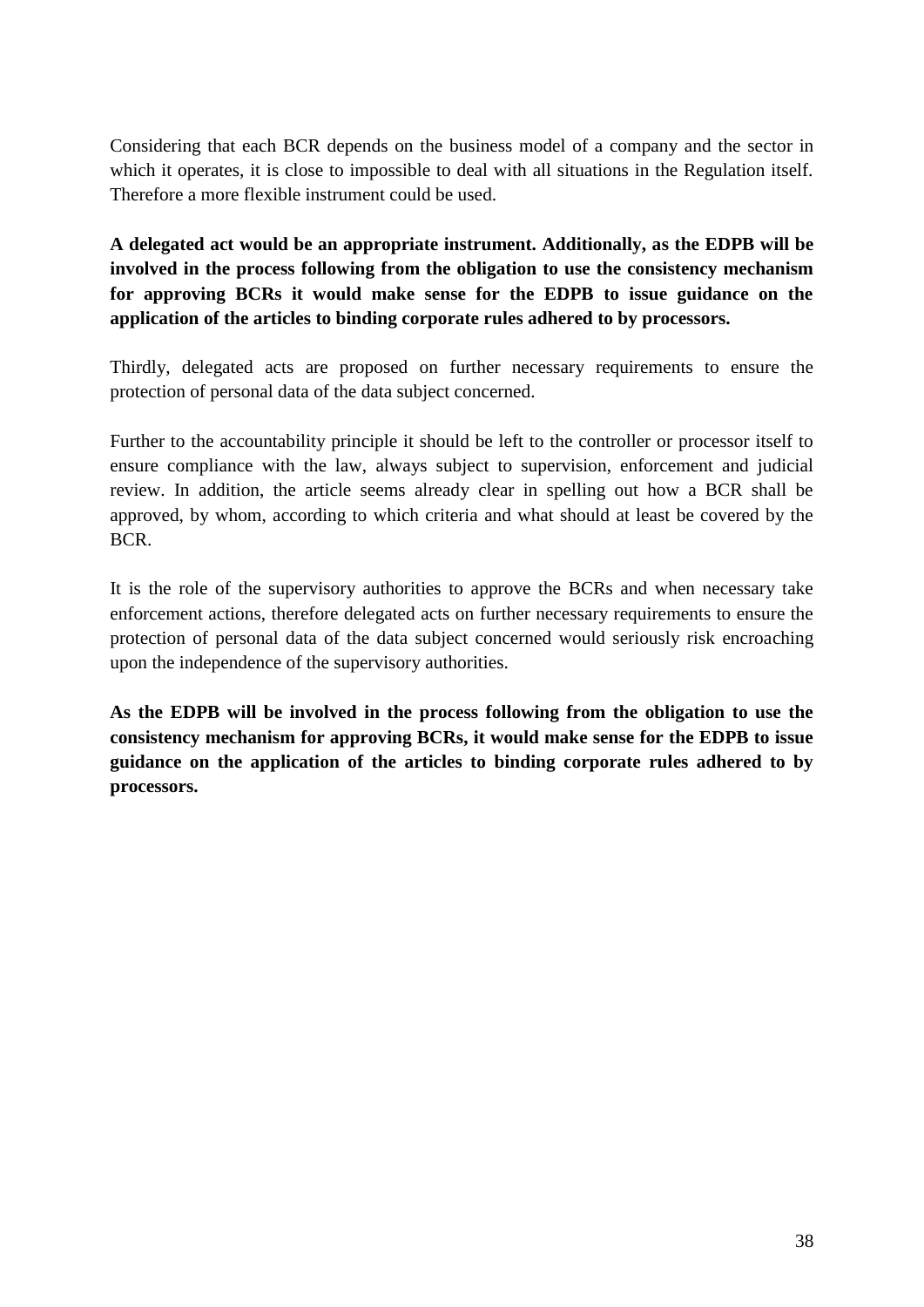Considering that each BCR depends on the business model of a company and the sector in which it operates, it is close to impossible to deal with all situations in the Regulation itself. Therefore a more flexible instrument could be used.

**A delegated act would be an appropriate instrument. Additionally, as the EDPB will be involved in the process following from the obligation to use the consistency mechanism for approving BCRs it would make sense for the EDPB to issue guidance on the application of the articles to binding corporate rules adhered to by processors.**

Thirdly, delegated acts are proposed on further necessary requirements to ensure the protection of personal data of the data subject concerned.

Further to the accountability principle it should be left to the controller or processor itself to ensure compliance with the law, always subject to supervision, enforcement and judicial review. In addition, the article seems already clear in spelling out how a BCR shall be approved, by whom, according to which criteria and what should at least be covered by the BCR.

It is the role of the supervisory authorities to approve the BCRs and when necessary take enforcement actions, therefore delegated acts on further necessary requirements to ensure the protection of personal data of the data subject concerned would seriously risk encroaching upon the independence of the supervisory authorities.

**As the EDPB will be involved in the process following from the obligation to use the consistency mechanism for approving BCRs, it would make sense for the EDPB to issue guidance on the application of the articles to binding corporate rules adhered to by processors.**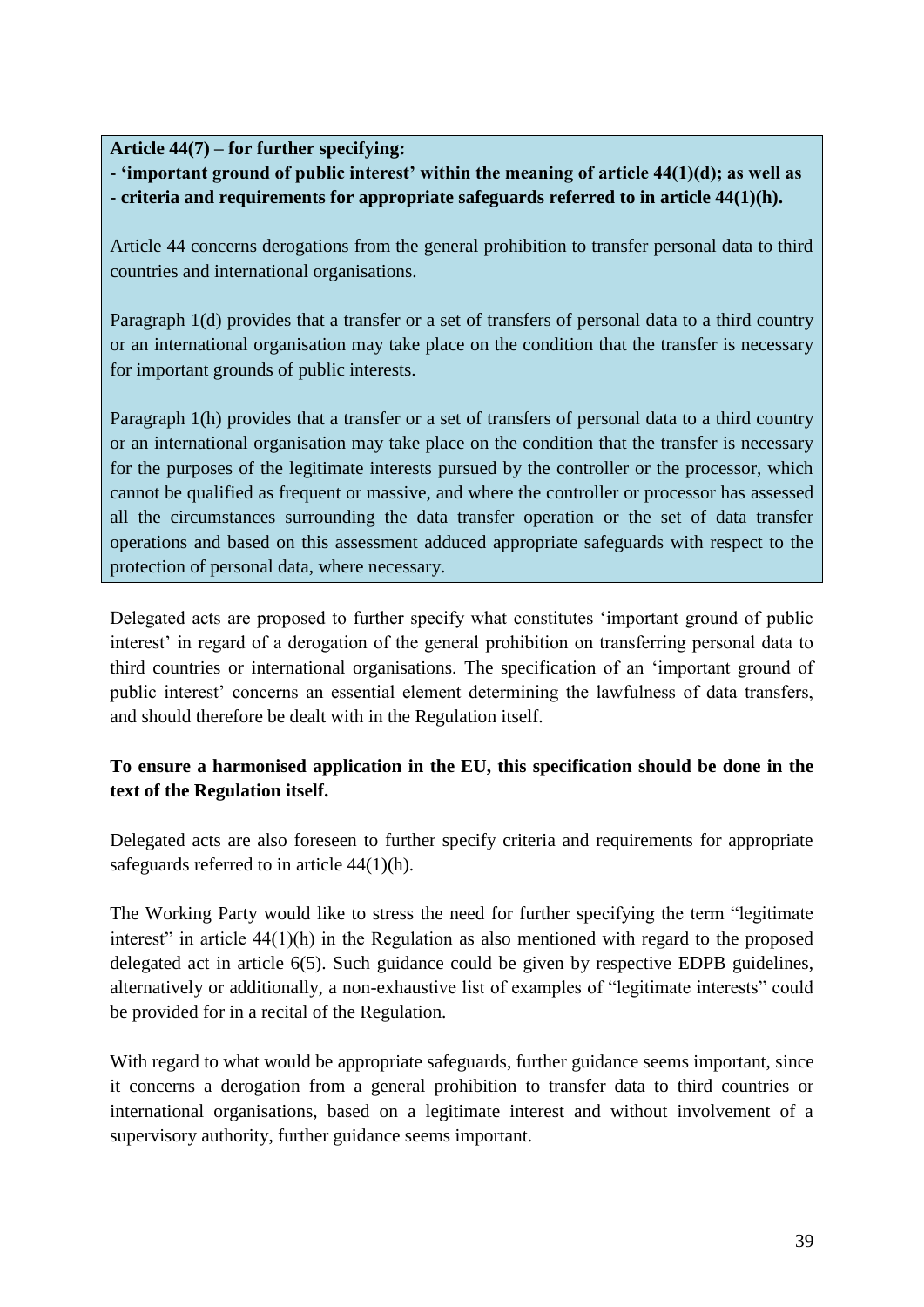**Article 44(7) – for further specifying:**

**- 'important ground of public interest' within the meaning of article 44(1)(d); as well as - criteria and requirements for appropriate safeguards referred to in article 44(1)(h).**

Article 44 concerns derogations from the general prohibition to transfer personal data to third countries and international organisations.

Paragraph 1(d) provides that a transfer or a set of transfers of personal data to a third country or an international organisation may take place on the condition that the transfer is necessary for important grounds of public interests.

Paragraph 1(h) provides that a transfer or a set of transfers of personal data to a third country or an international organisation may take place on the condition that the transfer is necessary for the purposes of the legitimate interests pursued by the controller or the processor, which cannot be qualified as frequent or massive, and where the controller or processor has assessed all the circumstances surrounding the data transfer operation or the set of data transfer operations and based on this assessment adduced appropriate safeguards with respect to the protection of personal data, where necessary.

Delegated acts are proposed to further specify what constitutes 'important ground of public interest' in regard of a derogation of the general prohibition on transferring personal data to third countries or international organisations. The specification of an 'important ground of public interest' concerns an essential element determining the lawfulness of data transfers, and should therefore be dealt with in the Regulation itself.

### **To ensure a harmonised application in the EU, this specification should be done in the text of the Regulation itself.**

Delegated acts are also foreseen to further specify criteria and requirements for appropriate safeguards referred to in article 44(1)(h).

The Working Party would like to stress the need for further specifying the term "legitimate interest" in article 44(1)(h) in the Regulation as also mentioned with regard to the proposed delegated act in article 6(5). Such guidance could be given by respective EDPB guidelines, alternatively or additionally, a non-exhaustive list of examples of "legitimate interests" could be provided for in a recital of the Regulation.

With regard to what would be appropriate safeguards, further guidance seems important, since it concerns a derogation from a general prohibition to transfer data to third countries or international organisations, based on a legitimate interest and without involvement of a supervisory authority, further guidance seems important.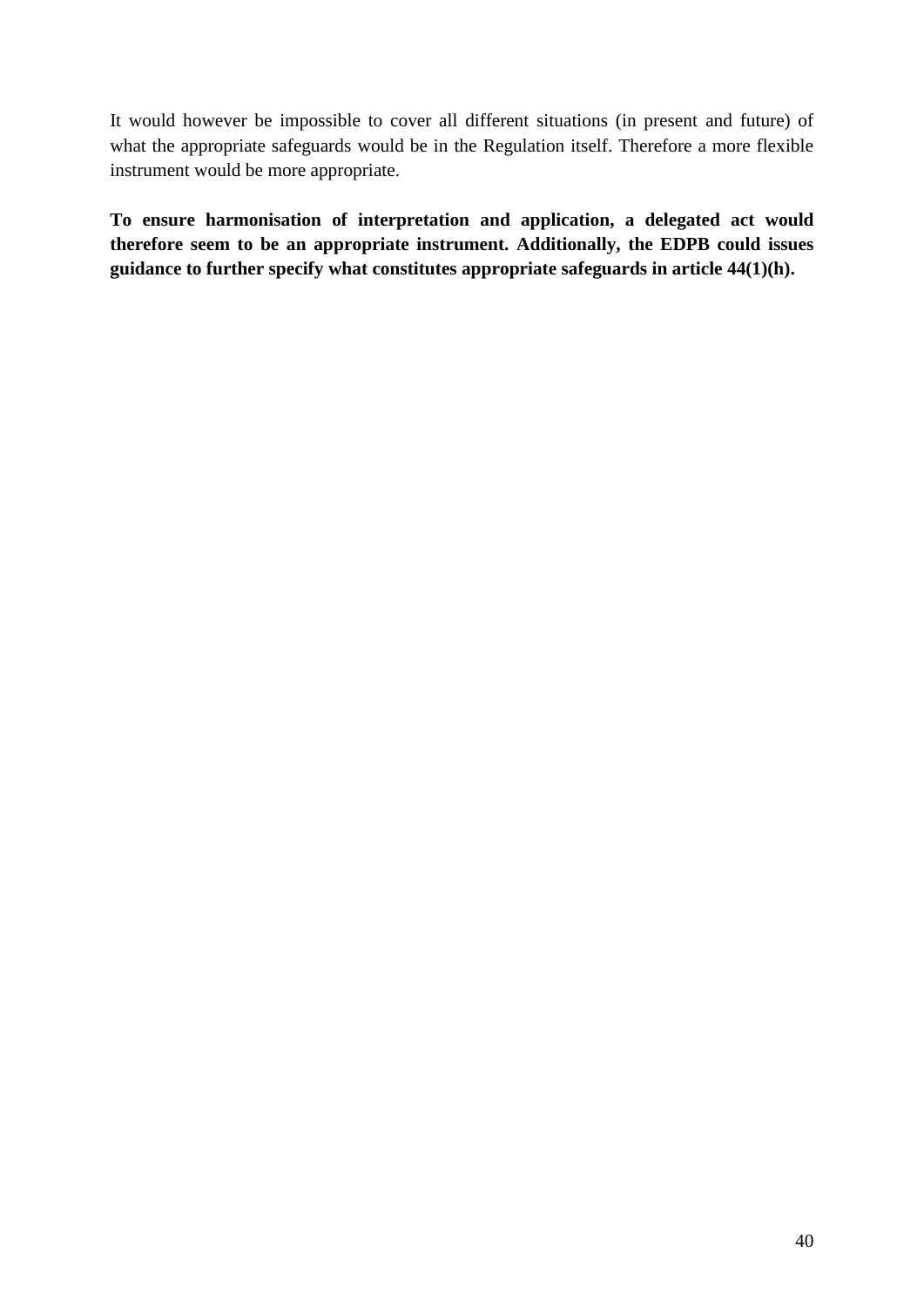It would however be impossible to cover all different situations (in present and future) of what the appropriate safeguards would be in the Regulation itself. Therefore a more flexible instrument would be more appropriate.

**To ensure harmonisation of interpretation and application, a delegated act would therefore seem to be an appropriate instrument. Additionally, the EDPB could issues guidance to further specify what constitutes appropriate safeguards in article 44(1)(h).**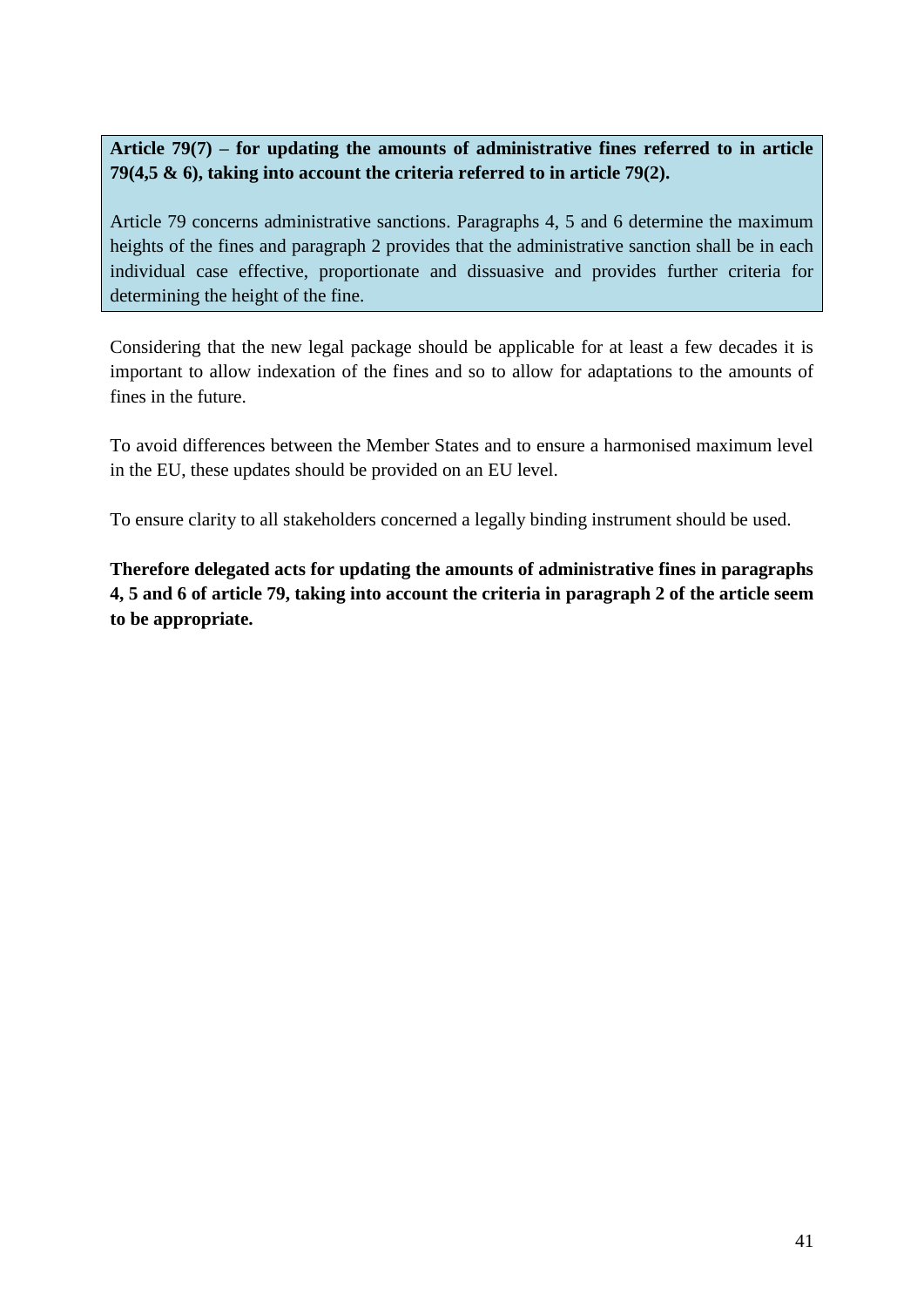**Article 79(7) – for updating the amounts of administrative fines referred to in article 79(4,5 & 6), taking into account the criteria referred to in article 79(2).** 

Article 79 concerns administrative sanctions. Paragraphs 4, 5 and 6 determine the maximum heights of the fines and paragraph 2 provides that the administrative sanction shall be in each individual case effective, proportionate and dissuasive and provides further criteria for determining the height of the fine.

Considering that the new legal package should be applicable for at least a few decades it is important to allow indexation of the fines and so to allow for adaptations to the amounts of fines in the future.

To avoid differences between the Member States and to ensure a harmonised maximum level in the EU, these updates should be provided on an EU level.

To ensure clarity to all stakeholders concerned a legally binding instrument should be used.

**Therefore delegated acts for updating the amounts of administrative fines in paragraphs 4, 5 and 6 of article 79, taking into account the criteria in paragraph 2 of the article seem to be appropriate.**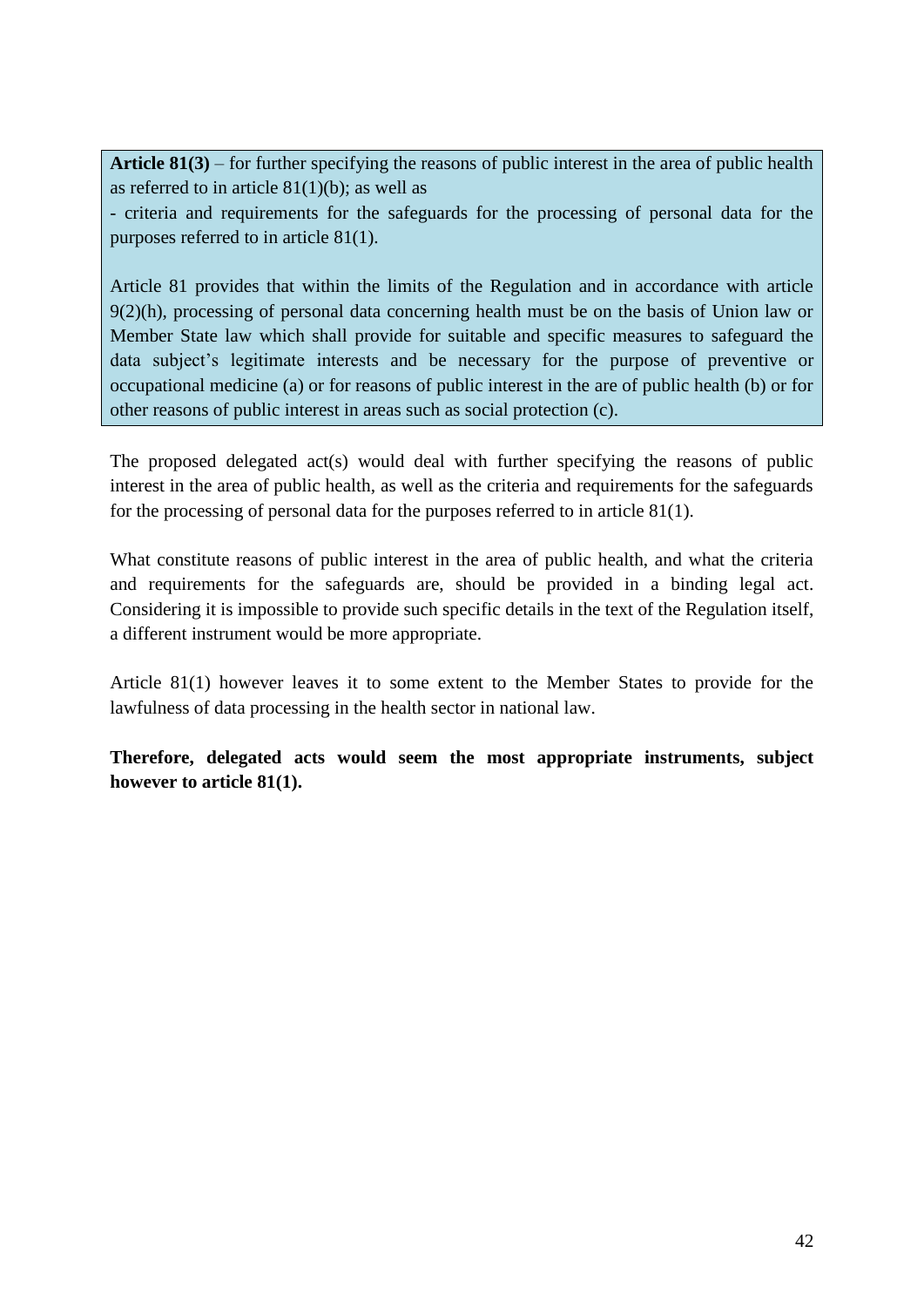**Article 81(3)** – for further specifying the reasons of public interest in the area of public health as referred to in article  $81(1)(b)$ ; as well as

- criteria and requirements for the safeguards for the processing of personal data for the purposes referred to in article 81(1).

Article 81 provides that within the limits of the Regulation and in accordance with article 9(2)(h), processing of personal data concerning health must be on the basis of Union law or Member State law which shall provide for suitable and specific measures to safeguard the data subject's legitimate interests and be necessary for the purpose of preventive or occupational medicine (a) or for reasons of public interest in the are of public health (b) or for other reasons of public interest in areas such as social protection (c).

The proposed delegated act(s) would deal with further specifying the reasons of public interest in the area of public health, as well as the criteria and requirements for the safeguards for the processing of personal data for the purposes referred to in article 81(1).

What constitute reasons of public interest in the area of public health, and what the criteria and requirements for the safeguards are, should be provided in a binding legal act. Considering it is impossible to provide such specific details in the text of the Regulation itself, a different instrument would be more appropriate.

Article 81(1) however leaves it to some extent to the Member States to provide for the lawfulness of data processing in the health sector in national law.

**Therefore, delegated acts would seem the most appropriate instruments, subject however to article 81(1).**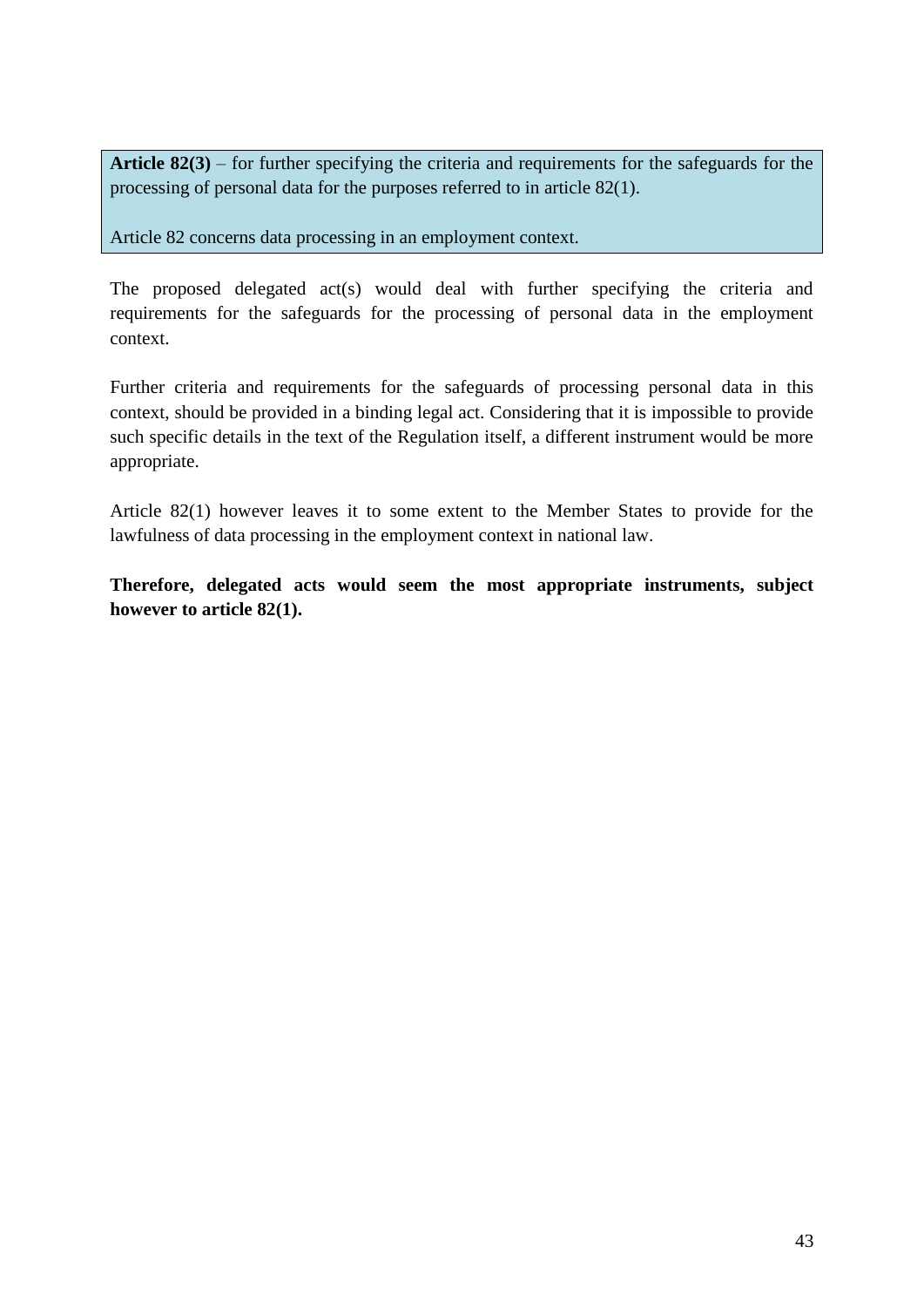**Article 82(3)** – for further specifying the criteria and requirements for the safeguards for the processing of personal data for the purposes referred to in article 82(1).

Article 82 concerns data processing in an employment context.

The proposed delegated act(s) would deal with further specifying the criteria and requirements for the safeguards for the processing of personal data in the employment context.

Further criteria and requirements for the safeguards of processing personal data in this context, should be provided in a binding legal act. Considering that it is impossible to provide such specific details in the text of the Regulation itself, a different instrument would be more appropriate.

Article 82(1) however leaves it to some extent to the Member States to provide for the lawfulness of data processing in the employment context in national law.

**Therefore, delegated acts would seem the most appropriate instruments, subject however to article 82(1).**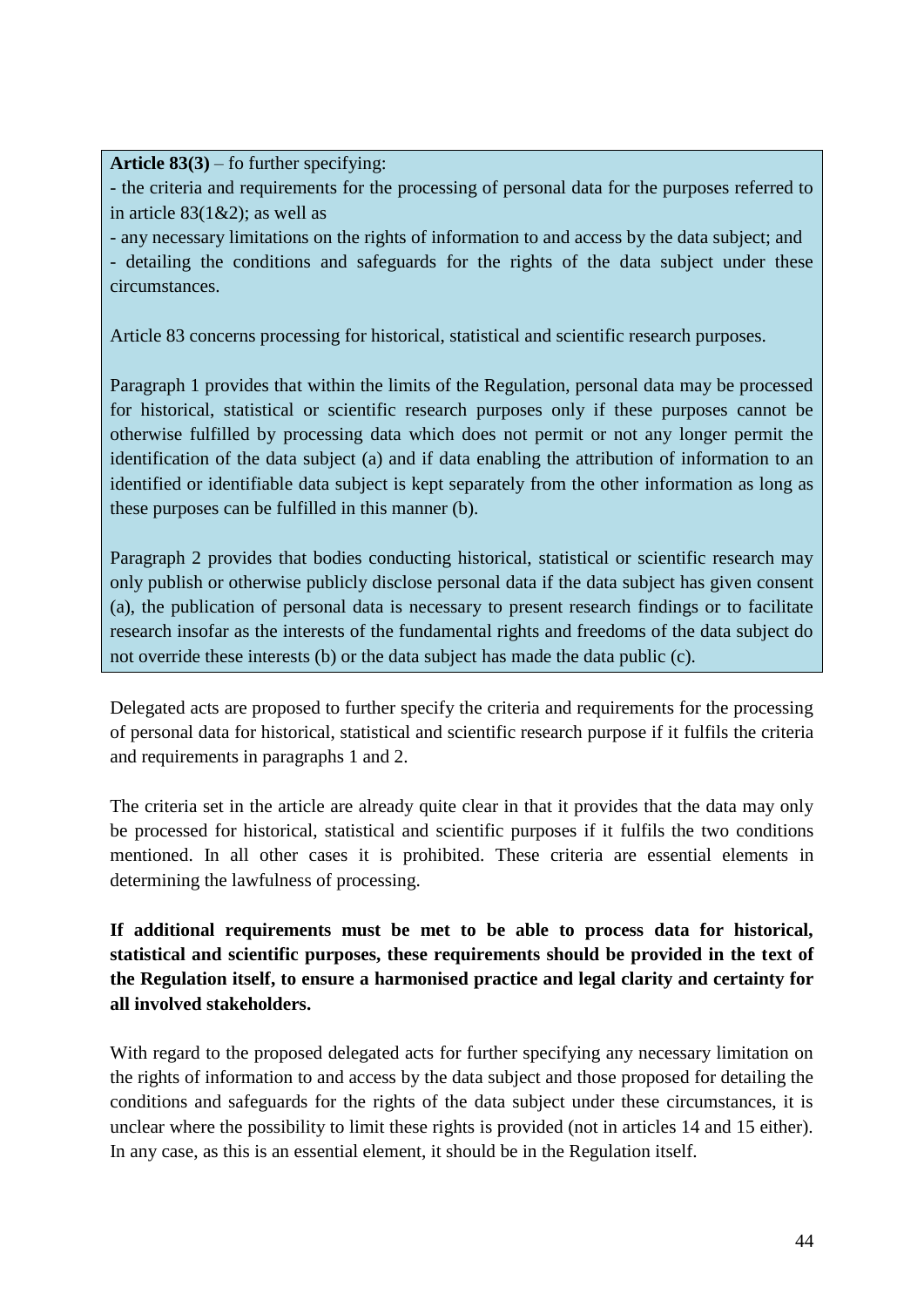**Article 83(3)** – fo further specifying:

- the criteria and requirements for the processing of personal data for the purposes referred to in article  $83(1&2)$ ; as well as

- any necessary limitations on the rights of information to and access by the data subject; and - detailing the conditions and safeguards for the rights of the data subject under these circumstances.

Article 83 concerns processing for historical, statistical and scientific research purposes.

Paragraph 1 provides that within the limits of the Regulation, personal data may be processed for historical, statistical or scientific research purposes only if these purposes cannot be otherwise fulfilled by processing data which does not permit or not any longer permit the identification of the data subject (a) and if data enabling the attribution of information to an identified or identifiable data subject is kept separately from the other information as long as these purposes can be fulfilled in this manner (b).

Paragraph 2 provides that bodies conducting historical, statistical or scientific research may only publish or otherwise publicly disclose personal data if the data subject has given consent (a), the publication of personal data is necessary to present research findings or to facilitate research insofar as the interests of the fundamental rights and freedoms of the data subject do not override these interests (b) or the data subject has made the data public (c).

Delegated acts are proposed to further specify the criteria and requirements for the processing of personal data for historical, statistical and scientific research purpose if it fulfils the criteria and requirements in paragraphs 1 and 2.

The criteria set in the article are already quite clear in that it provides that the data may only be processed for historical, statistical and scientific purposes if it fulfils the two conditions mentioned. In all other cases it is prohibited. These criteria are essential elements in determining the lawfulness of processing.

**If additional requirements must be met to be able to process data for historical, statistical and scientific purposes, these requirements should be provided in the text of the Regulation itself, to ensure a harmonised practice and legal clarity and certainty for all involved stakeholders.** 

With regard to the proposed delegated acts for further specifying any necessary limitation on the rights of information to and access by the data subject and those proposed for detailing the conditions and safeguards for the rights of the data subject under these circumstances, it is unclear where the possibility to limit these rights is provided (not in articles 14 and 15 either). In any case, as this is an essential element, it should be in the Regulation itself.